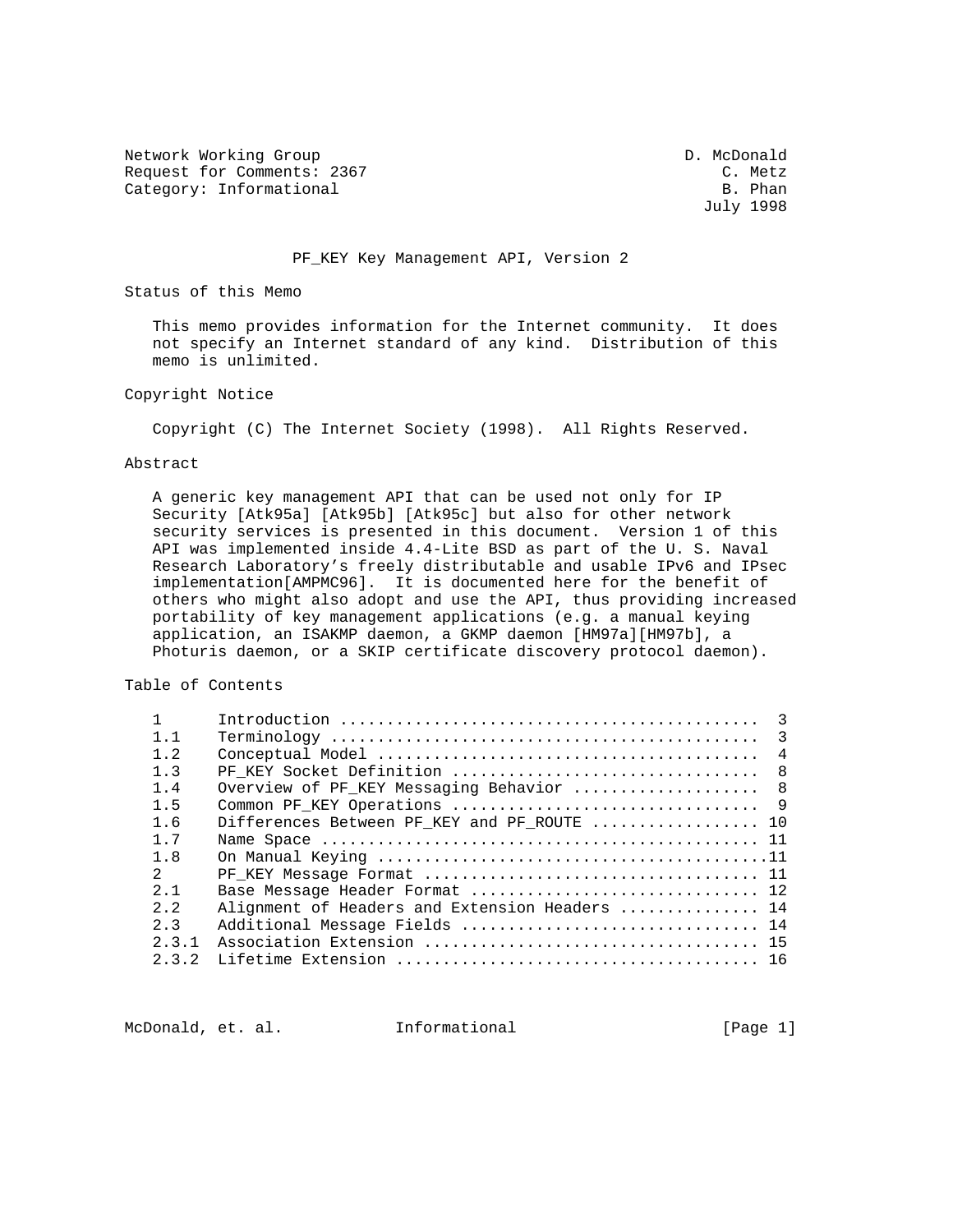Network Working Group D. McDonald Request for Comments: 2367 C. Metz<br>Category: Informational C. Metz Category: Informational

July 1998

PF\_KEY Key Management API, Version 2

Status of this Memo

 This memo provides information for the Internet community. It does not specify an Internet standard of any kind. Distribution of this memo is unlimited.

Copyright Notice

Copyright (C) The Internet Society (1998). All Rights Reserved.

#### Abstract

 A generic key management API that can be used not only for IP Security [Atk95a] [Atk95b] [Atk95c] but also for other network security services is presented in this document. Version 1 of this API was implemented inside 4.4-Lite BSD as part of the U. S. Naval Research Laboratory's freely distributable and usable IPv6 and IPsec implementation[AMPMC96]. It is documented here for the benefit of others who might also adopt and use the API, thus providing increased portability of key management applications (e.g. a manual keying application, an ISAKMP daemon, a GKMP daemon [HM97a][HM97b], a Photuris daemon, or a SKIP certificate discovery protocol daemon).

Table of Contents

|                |                                                | $\mathcal{E}$  |
|----------------|------------------------------------------------|----------------|
| 1.1            |                                                |                |
| $1 \quad 2$    |                                                | $\overline{4}$ |
| 1.3            |                                                |                |
| $1\quad 4$     | Overview of PF KEY Messaging Behavior  8       |                |
| 1.5            |                                                |                |
| 1.6            | Differences Between PF KEY and PF ROUTE  10    |                |
| $1 \t7$        |                                                |                |
| 1.8            |                                                |                |
| $\mathcal{L}$  |                                                |                |
| $2 \quad 1$    | Base Message Header Format  12                 |                |
| 2.2            | Alignment of Headers and Extension Headers  14 |                |
| 2 <sup>2</sup> | Additional Message Fields  14                  |                |
| 2, 3, 1        |                                                |                |
| 2 3 2          |                                                |                |
|                |                                                |                |

McDonald, et. al. Informational [Page 1]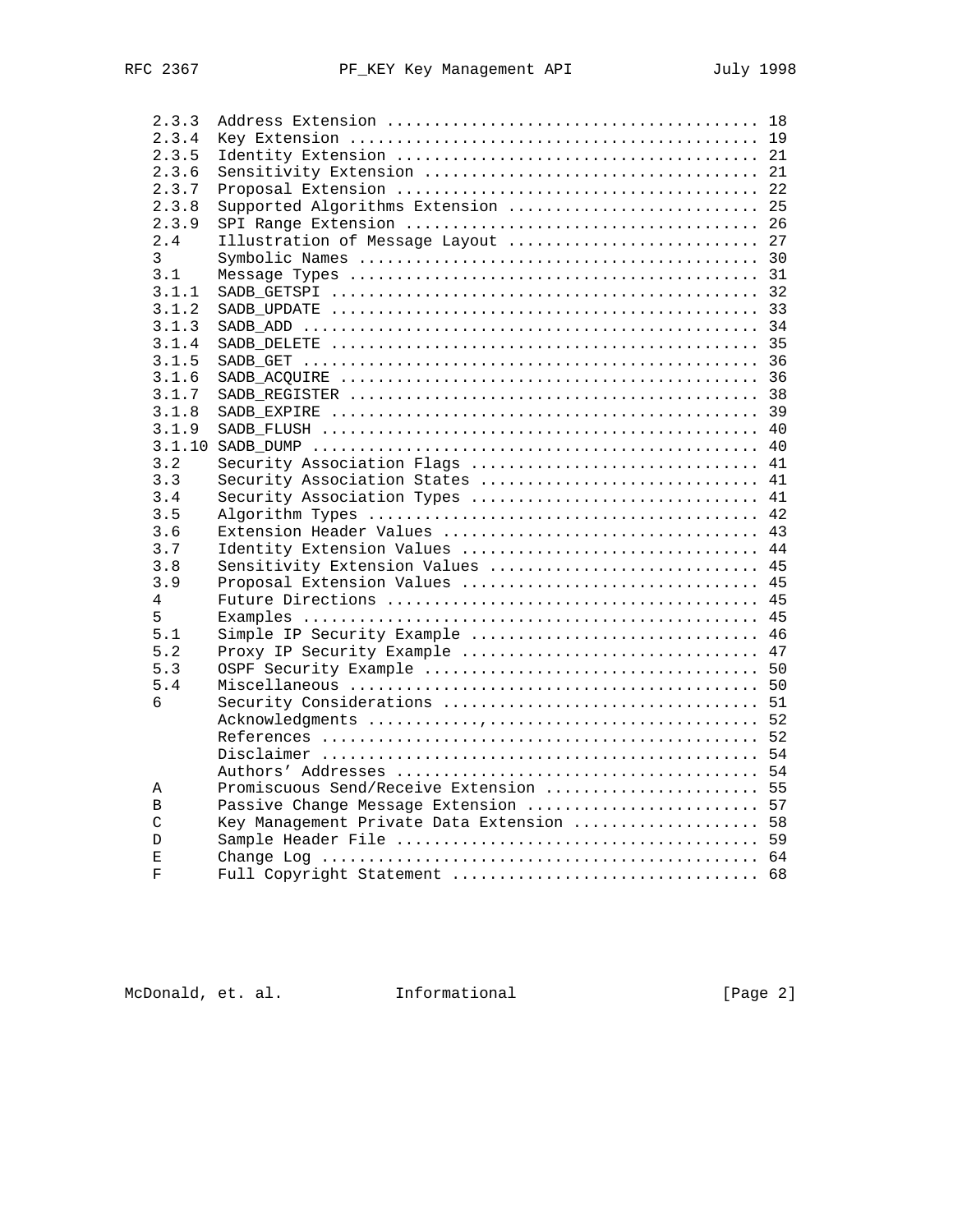| 2.3.3         |                                           |  |
|---------------|-------------------------------------------|--|
| 2.3.4         |                                           |  |
| 2.3.5         |                                           |  |
| 2.3.6         |                                           |  |
| 2.3.7         |                                           |  |
| 2.3.8         | Supported Algorithms Extension  25        |  |
| 2.3.9         |                                           |  |
| 2.4           | Illustration of Message Layout  27        |  |
| 3             |                                           |  |
| 3.1           |                                           |  |
| 3.1.1         |                                           |  |
| 3.1.2         |                                           |  |
| 3.1.3         |                                           |  |
| 3.1.4         |                                           |  |
| 3.1.5         |                                           |  |
| 3.1.6         |                                           |  |
| 3.1.7         |                                           |  |
| 3.1.8         |                                           |  |
| 3.1.9         |                                           |  |
|               |                                           |  |
| 3.2           | Security Association Flags  41            |  |
| 3.3           | Security Association States  41           |  |
| 3.4           | Security Association Types  41            |  |
| 3.5           |                                           |  |
| 3.6           | Extension Header Values  43               |  |
| 3.7           | Identity Extension Values  44             |  |
| 3.8           | Sensitivity Extension Values  45          |  |
| 3.9           | Proposal Extension Values  45             |  |
| 4             |                                           |  |
| 5             |                                           |  |
| 5.1           | Simple IP Security Example  46            |  |
| 5.2           | Proxy IP Security Example  47             |  |
| 5.3           |                                           |  |
| 5.4           |                                           |  |
| 6             |                                           |  |
|               |                                           |  |
|               |                                           |  |
|               |                                           |  |
|               |                                           |  |
| Α             | Promiscuous Send/Receive Extension  55    |  |
| B             | Passive Change Message Extension  57      |  |
| $\mathcal{C}$ | Key Management Private Data Extension  58 |  |
| D             |                                           |  |
| Ε             |                                           |  |
| F             |                                           |  |
|               |                                           |  |

McDonald, et. al. 1nformational 1999 [Page 2]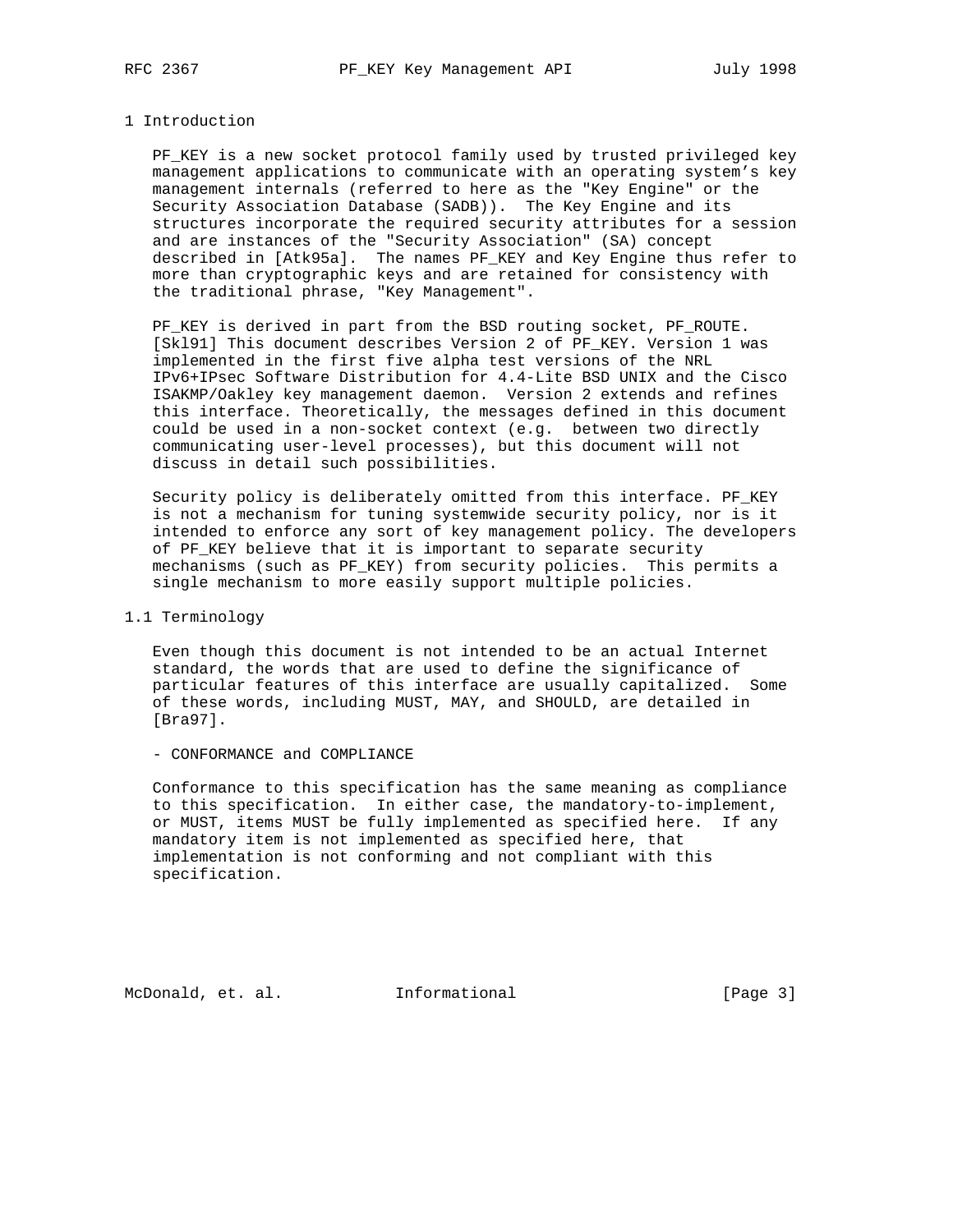### 1 Introduction

 PF\_KEY is a new socket protocol family used by trusted privileged key management applications to communicate with an operating system's key management internals (referred to here as the "Key Engine" or the Security Association Database (SADB)). The Key Engine and its structures incorporate the required security attributes for a session and are instances of the "Security Association" (SA) concept described in [Atk95a]. The names PF\_KEY and Key Engine thus refer to more than cryptographic keys and are retained for consistency with the traditional phrase, "Key Management".

 PF\_KEY is derived in part from the BSD routing socket, PF\_ROUTE. [Skl91] This document describes Version 2 of PF\_KEY. Version 1 was implemented in the first five alpha test versions of the NRL IPv6+IPsec Software Distribution for 4.4-Lite BSD UNIX and the Cisco ISAKMP/Oakley key management daemon. Version 2 extends and refines this interface. Theoretically, the messages defined in this document could be used in a non-socket context (e.g. between two directly communicating user-level processes), but this document will not discuss in detail such possibilities.

 Security policy is deliberately omitted from this interface. PF\_KEY is not a mechanism for tuning systemwide security policy, nor is it intended to enforce any sort of key management policy. The developers of PF\_KEY believe that it is important to separate security mechanisms (such as PF\_KEY) from security policies. This permits a single mechanism to more easily support multiple policies.

## 1.1 Terminology

 Even though this document is not intended to be an actual Internet standard, the words that are used to define the significance of particular features of this interface are usually capitalized. Some of these words, including MUST, MAY, and SHOULD, are detailed in [Bra97].

#### - CONFORMANCE and COMPLIANCE

 Conformance to this specification has the same meaning as compliance to this specification. In either case, the mandatory-to-implement, or MUST, items MUST be fully implemented as specified here. If any mandatory item is not implemented as specified here, that implementation is not conforming and not compliant with this specification.

McDonald, et. al. 1nformational 1999 [Page 3]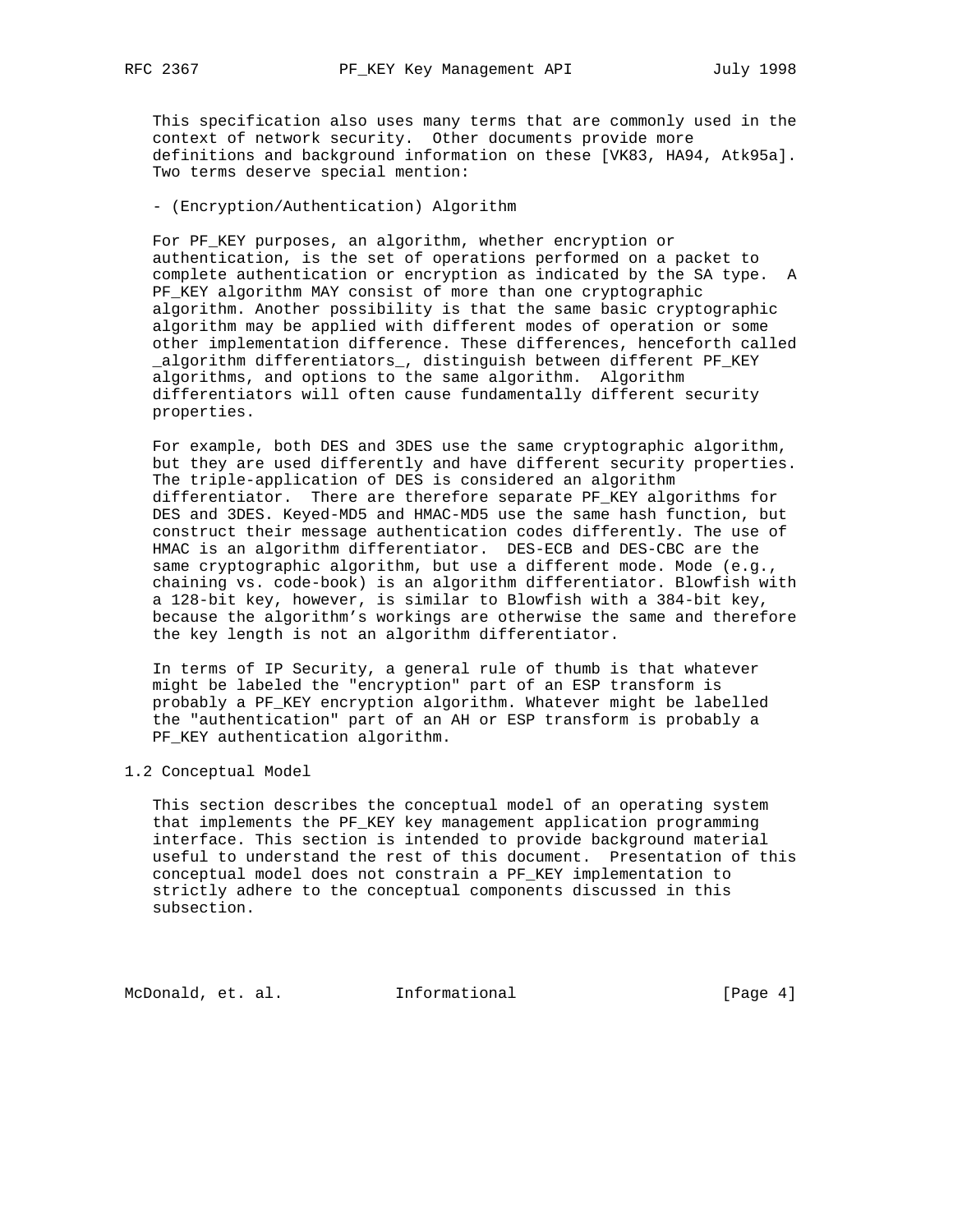This specification also uses many terms that are commonly used in the context of network security. Other documents provide more definitions and background information on these [VK83, HA94, Atk95a]. Two terms deserve special mention:

- (Encryption/Authentication) Algorithm

 For PF\_KEY purposes, an algorithm, whether encryption or authentication, is the set of operations performed on a packet to complete authentication or encryption as indicated by the SA type. A PF\_KEY algorithm MAY consist of more than one cryptographic algorithm. Another possibility is that the same basic cryptographic algorithm may be applied with different modes of operation or some other implementation difference. These differences, henceforth called \_algorithm differentiators\_, distinguish between different PF\_KEY algorithms, and options to the same algorithm. Algorithm differentiators will often cause fundamentally different security properties.

 For example, both DES and 3DES use the same cryptographic algorithm, but they are used differently and have different security properties. The triple-application of DES is considered an algorithm differentiator. There are therefore separate PF\_KEY algorithms for DES and 3DES. Keyed-MD5 and HMAC-MD5 use the same hash function, but construct their message authentication codes differently. The use of HMAC is an algorithm differentiator. DES-ECB and DES-CBC are the same cryptographic algorithm, but use a different mode. Mode (e.g., chaining vs. code-book) is an algorithm differentiator. Blowfish with a 128-bit key, however, is similar to Blowfish with a 384-bit key, because the algorithm's workings are otherwise the same and therefore the key length is not an algorithm differentiator.

 In terms of IP Security, a general rule of thumb is that whatever might be labeled the "encryption" part of an ESP transform is probably a PF\_KEY encryption algorithm. Whatever might be labelled the "authentication" part of an AH or ESP transform is probably a PF\_KEY authentication algorithm.

1.2 Conceptual Model

 This section describes the conceptual model of an operating system that implements the PF\_KEY key management application programming interface. This section is intended to provide background material useful to understand the rest of this document. Presentation of this conceptual model does not constrain a PF\_KEY implementation to strictly adhere to the conceptual components discussed in this subsection.

McDonald, et. al. 1nformational 1999 [Page 4]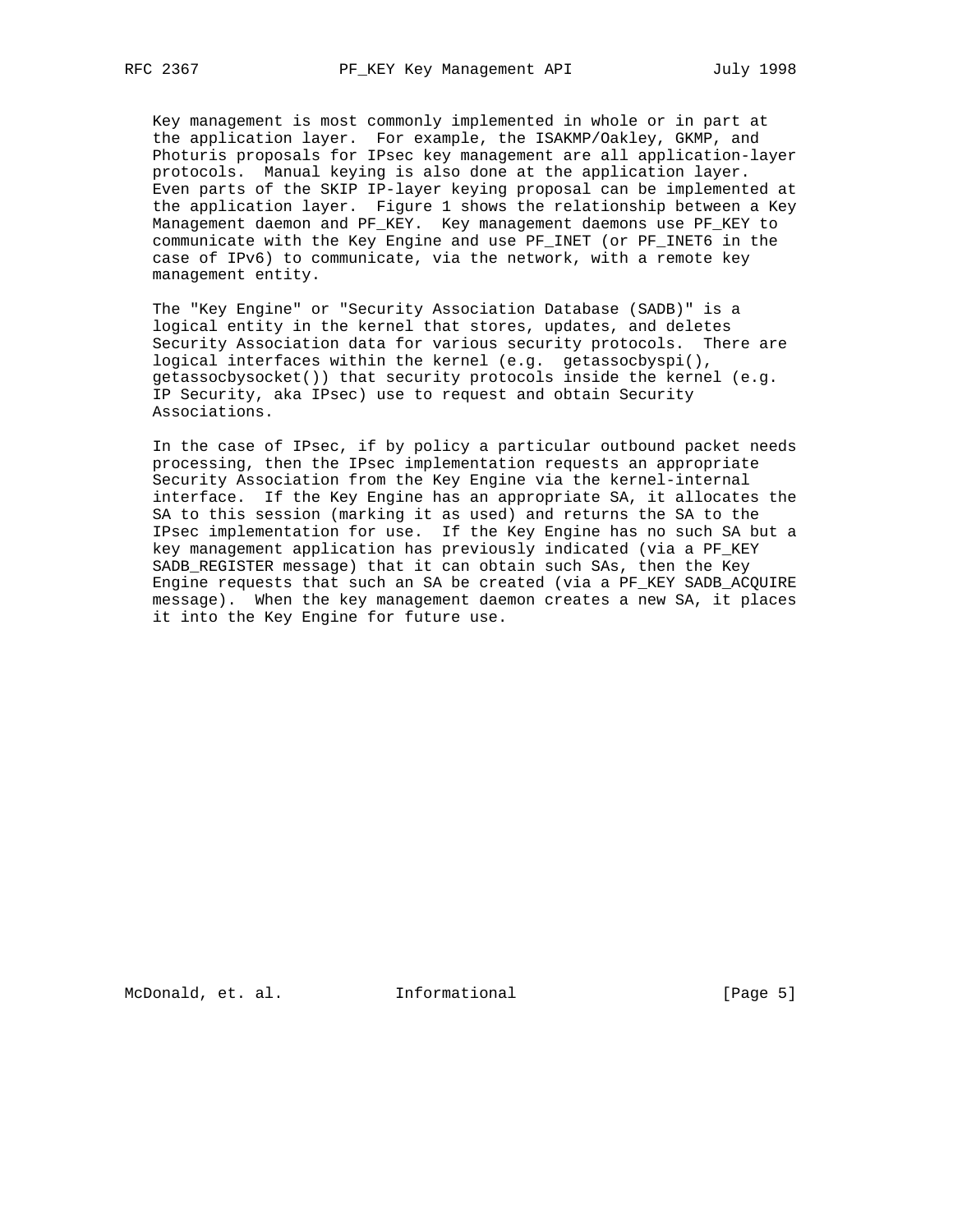Key management is most commonly implemented in whole or in part at the application layer. For example, the ISAKMP/Oakley, GKMP, and Photuris proposals for IPsec key management are all application-layer protocols. Manual keying is also done at the application layer. Even parts of the SKIP IP-layer keying proposal can be implemented at the application layer. Figure 1 shows the relationship between a Key Management daemon and PF\_KEY. Key management daemons use PF\_KEY to communicate with the Key Engine and use PF\_INET (or PF\_INET6 in the case of IPv6) to communicate, via the network, with a remote key management entity.

 The "Key Engine" or "Security Association Database (SADB)" is a logical entity in the kernel that stores, updates, and deletes Security Association data for various security protocols. There are logical interfaces within the kernel (e.g. getassocbyspi(), getassocbysocket()) that security protocols inside the kernel (e.g. IP Security, aka IPsec) use to request and obtain Security Associations.

 In the case of IPsec, if by policy a particular outbound packet needs processing, then the IPsec implementation requests an appropriate Security Association from the Key Engine via the kernel-internal interface. If the Key Engine has an appropriate SA, it allocates the SA to this session (marking it as used) and returns the SA to the IPsec implementation for use. If the Key Engine has no such SA but a key management application has previously indicated (via a PF\_KEY SADB\_REGISTER message) that it can obtain such SAs, then the Key Engine requests that such an SA be created (via a PF KEY SADB ACQUIRE message). When the key management daemon creates a new SA, it places it into the Key Engine for future use.

McDonald, et. al. Informational [Page 5]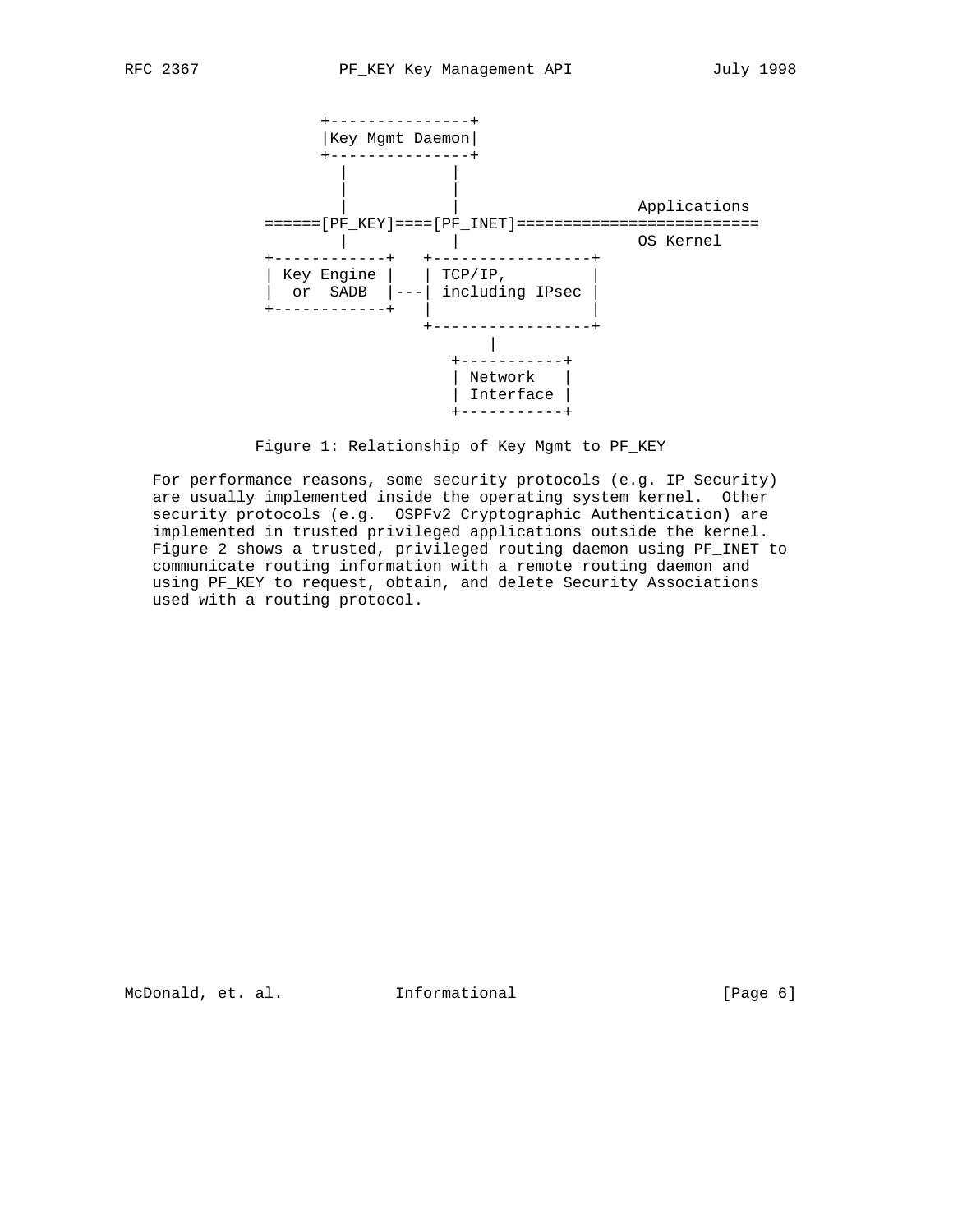

Figure 1: Relationship of Key Mgmt to PF\_KEY

 For performance reasons, some security protocols (e.g. IP Security) are usually implemented inside the operating system kernel. Other security protocols (e.g. OSPFv2 Cryptographic Authentication) are implemented in trusted privileged applications outside the kernel. Figure 2 shows a trusted, privileged routing daemon using PF\_INET to communicate routing information with a remote routing daemon and using PF\_KEY to request, obtain, and delete Security Associations used with a routing protocol.

McDonald, et. al. Informational [Page 6]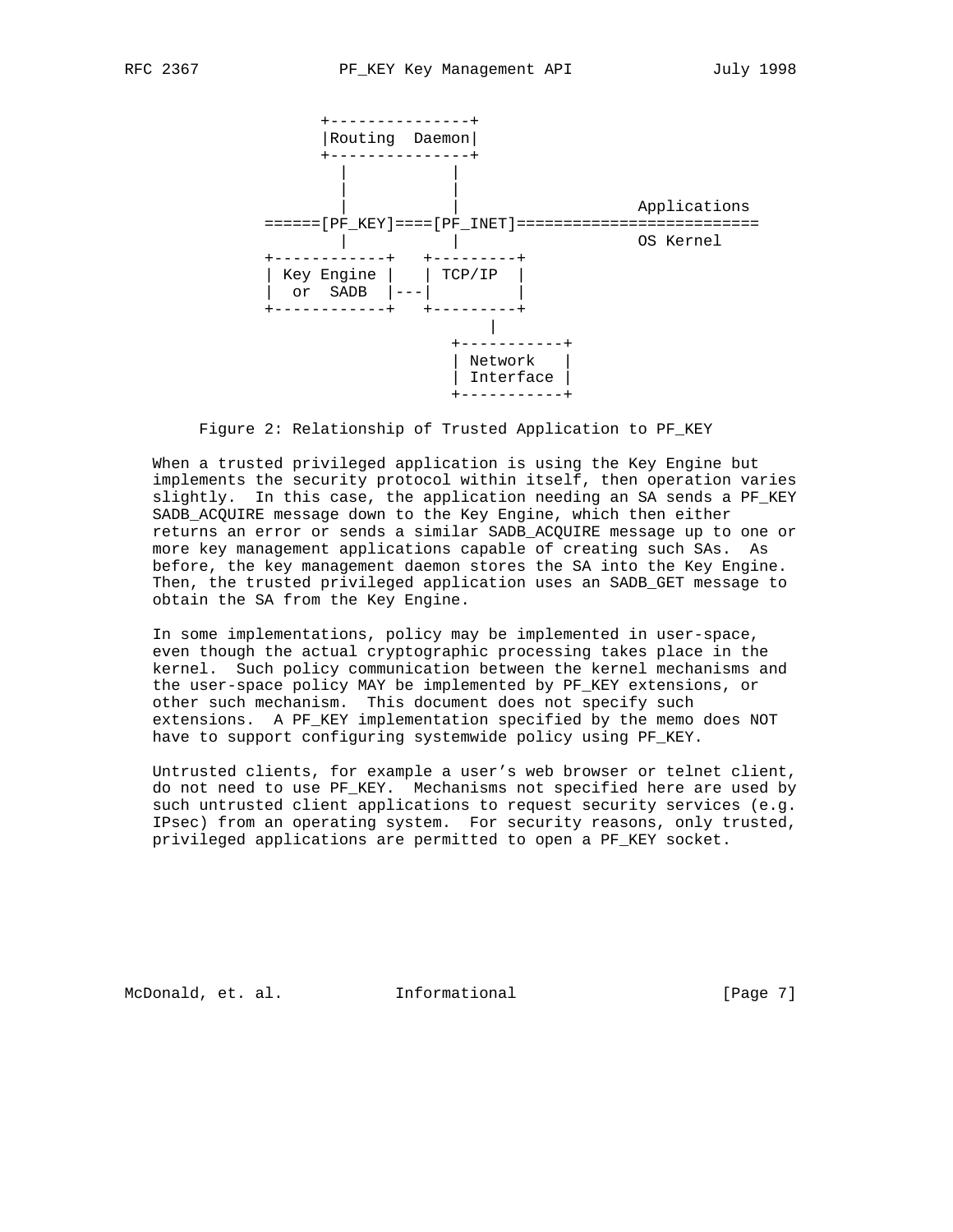

Figure 2: Relationship of Trusted Application to PF\_KEY

 When a trusted privileged application is using the Key Engine but implements the security protocol within itself, then operation varies slightly. In this case, the application needing an SA sends a PF\_KEY SADB\_ACQUIRE message down to the Key Engine, which then either returns an error or sends a similar SADB\_ACQUIRE message up to one or more key management applications capable of creating such SAs. As before, the key management daemon stores the SA into the Key Engine. Then, the trusted privileged application uses an SADB\_GET message to obtain the SA from the Key Engine.

 In some implementations, policy may be implemented in user-space, even though the actual cryptographic processing takes place in the kernel. Such policy communication between the kernel mechanisms and the user-space policy MAY be implemented by PF KEY extensions, or other such mechanism. This document does not specify such extensions. A PF\_KEY implementation specified by the memo does NOT have to support configuring systemwide policy using PF\_KEY.

 Untrusted clients, for example a user's web browser or telnet client, do not need to use PF\_KEY. Mechanisms not specified here are used by such untrusted client applications to request security services (e.g. IPsec) from an operating system. For security reasons, only trusted, privileged applications are permitted to open a PF\_KEY socket.

McDonald, et. al. Informational [Page 7]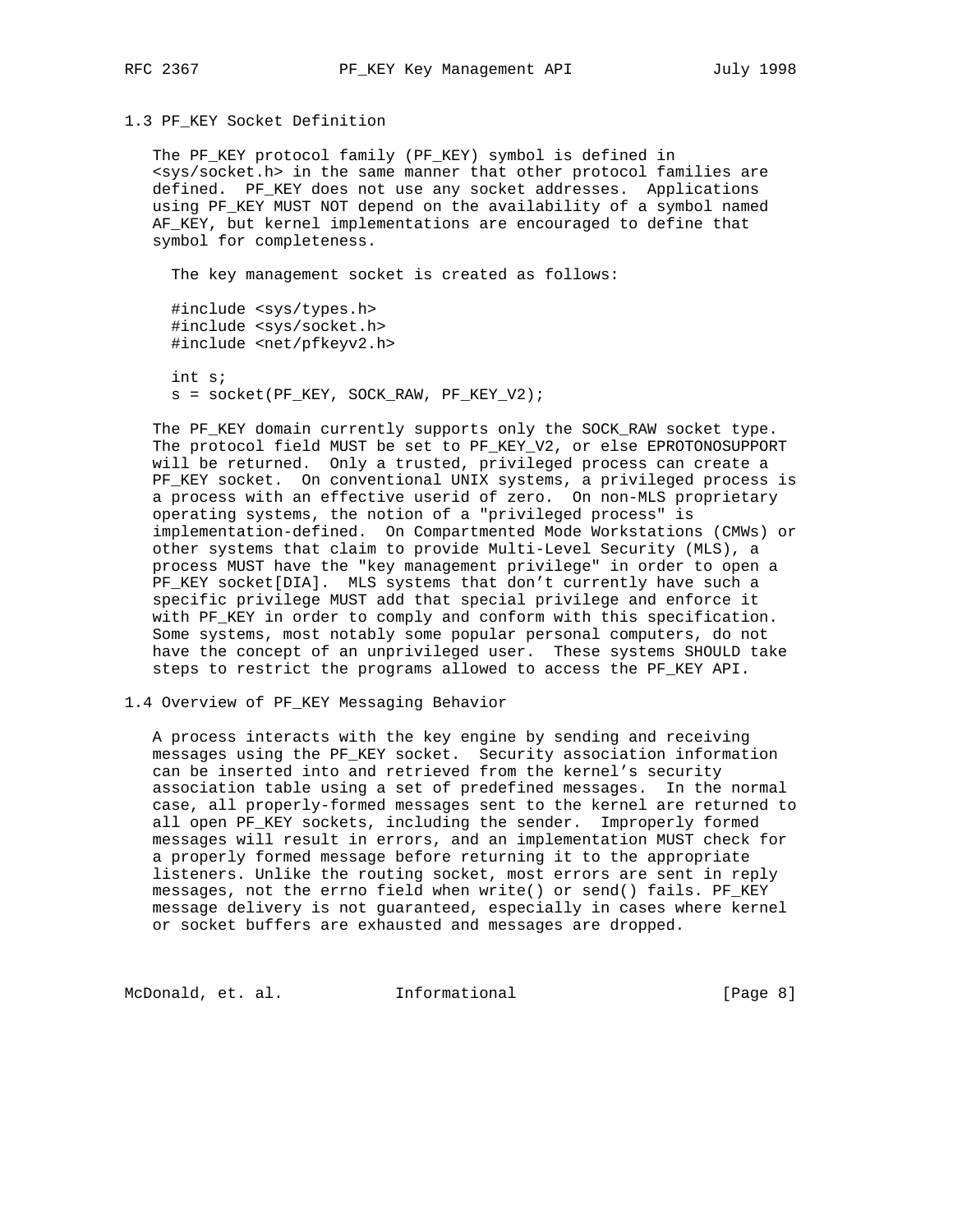## 1.3 PF\_KEY Socket Definition

 The PF\_KEY protocol family (PF\_KEY) symbol is defined in <sys/socket.h> in the same manner that other protocol families are defined. PF\_KEY does not use any socket addresses. Applications using PF\_KEY MUST NOT depend on the availability of a symbol named AF\_KEY, but kernel implementations are encouraged to define that symbol for completeness.

The key management socket is created as follows:

 #include <sys/types.h> #include <sys/socket.h> #include <net/pfkeyv2.h>

 int s; s = socket(PF\_KEY, SOCK\_RAW, PF\_KEY\_V2);

 The PF\_KEY domain currently supports only the SOCK\_RAW socket type. The protocol field MUST be set to PF\_KEY\_V2, or else EPROTONOSUPPORT will be returned. Only a trusted, privileged process can create a PF\_KEY socket. On conventional UNIX systems, a privileged process is a process with an effective userid of zero. On non-MLS proprietary operating systems, the notion of a "privileged process" is implementation-defined. On Compartmented Mode Workstations (CMWs) or other systems that claim to provide Multi-Level Security (MLS), a process MUST have the "key management privilege" in order to open a PF KEY socket[DIA]. MLS systems that don't currently have such a specific privilege MUST add that special privilege and enforce it with PF\_KEY in order to comply and conform with this specification. Some systems, most notably some popular personal computers, do not have the concept of an unprivileged user. These systems SHOULD take steps to restrict the programs allowed to access the PF\_KEY API.

## 1.4 Overview of PF\_KEY Messaging Behavior

 A process interacts with the key engine by sending and receiving messages using the PF\_KEY socket. Security association information can be inserted into and retrieved from the kernel's security association table using a set of predefined messages. In the normal case, all properly-formed messages sent to the kernel are returned to all open PF\_KEY sockets, including the sender. Improperly formed messages will result in errors, and an implementation MUST check for a properly formed message before returning it to the appropriate listeners. Unlike the routing socket, most errors are sent in reply messages, not the errno field when write() or send() fails. PF\_KEY message delivery is not guaranteed, especially in cases where kernel or socket buffers are exhausted and messages are dropped.

McDonald, et. al. 1nformational 1999 [Page 8]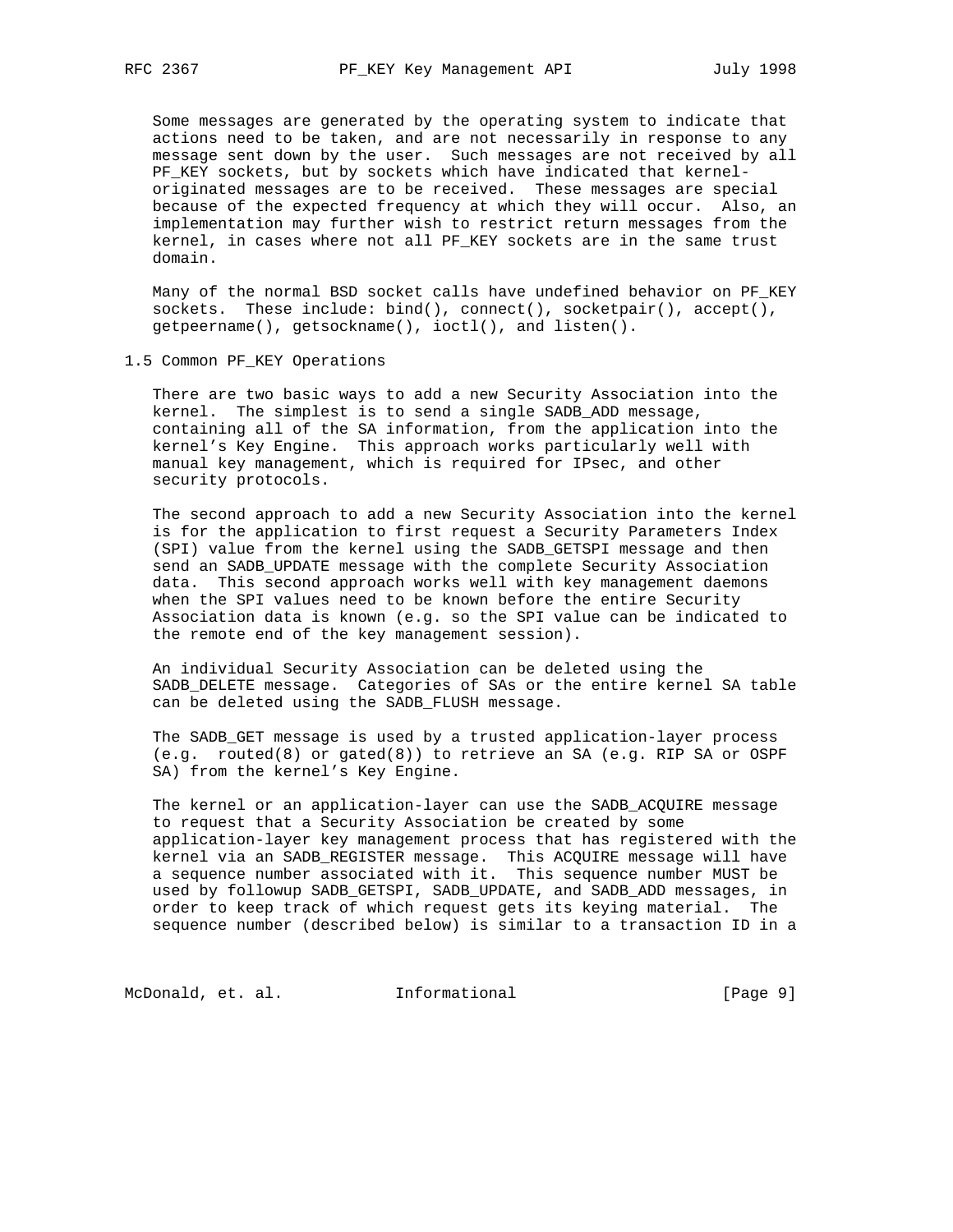Some messages are generated by the operating system to indicate that actions need to be taken, and are not necessarily in response to any message sent down by the user. Such messages are not received by all PF\_KEY sockets, but by sockets which have indicated that kernel originated messages are to be received. These messages are special because of the expected frequency at which they will occur. Also, an implementation may further wish to restrict return messages from the kernel, in cases where not all PF\_KEY sockets are in the same trust domain.

 Many of the normal BSD socket calls have undefined behavior on PF\_KEY sockets. These include: bind(), connect(), socketpair(), accept(), getpeername(), getsockname(), ioctl(), and listen().

### 1.5 Common PF\_KEY Operations

 There are two basic ways to add a new Security Association into the kernel. The simplest is to send a single SADB\_ADD message, containing all of the SA information, from the application into the kernel's Key Engine. This approach works particularly well with manual key management, which is required for IPsec, and other security protocols.

 The second approach to add a new Security Association into the kernel is for the application to first request a Security Parameters Index (SPI) value from the kernel using the SADB\_GETSPI message and then send an SADB\_UPDATE message with the complete Security Association data. This second approach works well with key management daemons when the SPI values need to be known before the entire Security Association data is known (e.g. so the SPI value can be indicated to the remote end of the key management session).

 An individual Security Association can be deleted using the SADB DELETE message. Categories of SAs or the entire kernel SA table can be deleted using the SADB\_FLUSH message.

 The SADB\_GET message is used by a trusted application-layer process (e.g. routed(8) or gated(8)) to retrieve an SA (e.g. RIP SA or OSPF SA) from the kernel's Key Engine.

 The kernel or an application-layer can use the SADB\_ACQUIRE message to request that a Security Association be created by some application-layer key management process that has registered with the kernel via an SADB\_REGISTER message. This ACQUIRE message will have a sequence number associated with it. This sequence number MUST be used by followup SADB\_GETSPI, SADB\_UPDATE, and SADB\_ADD messages, in order to keep track of which request gets its keying material. The sequence number (described below) is similar to a transaction ID in a

McDonald, et. al. 1nformational 1999 [Page 9]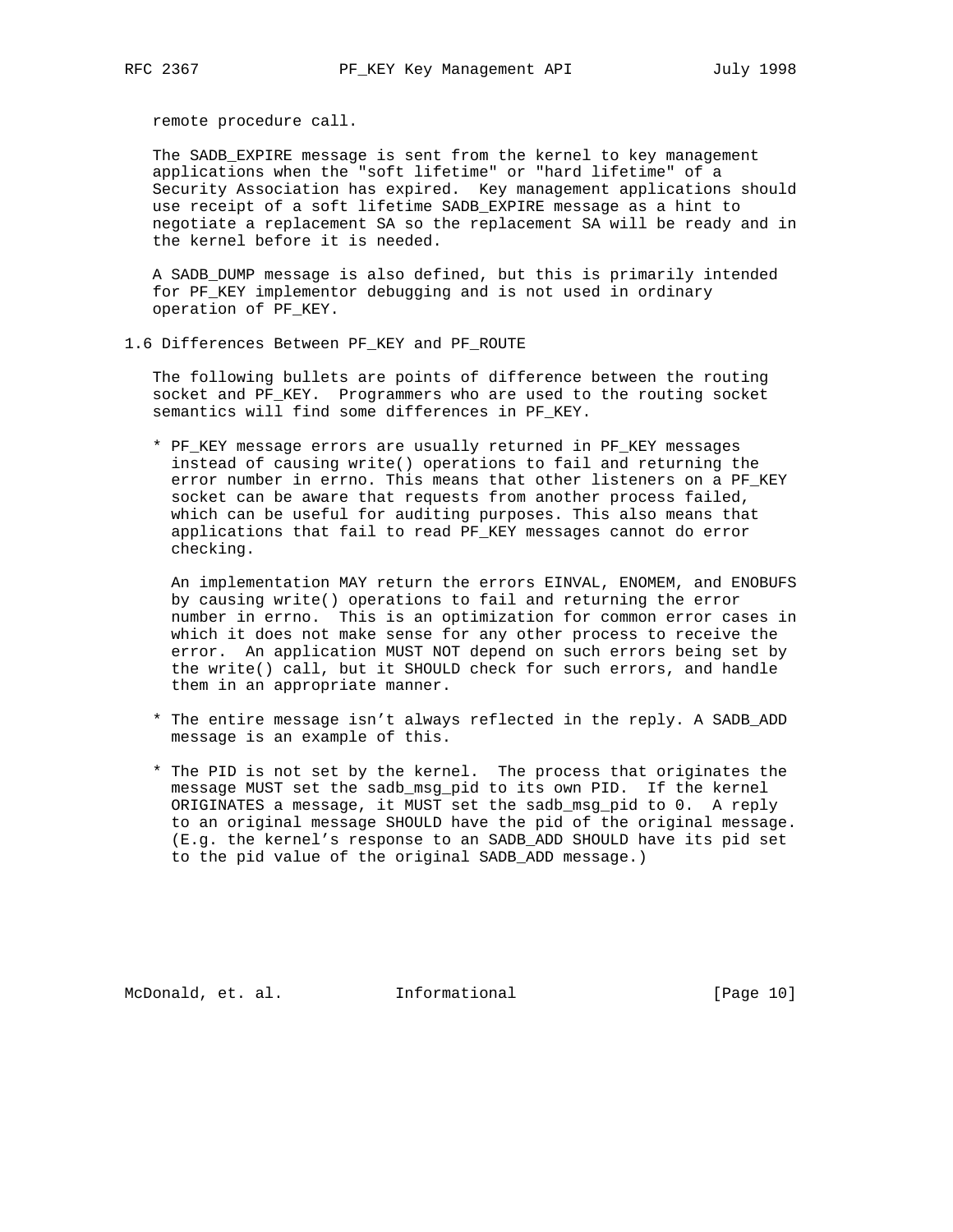remote procedure call.

 The SADB\_EXPIRE message is sent from the kernel to key management applications when the "soft lifetime" or "hard lifetime" of a Security Association has expired. Key management applications should use receipt of a soft lifetime SADB\_EXPIRE message as a hint to negotiate a replacement SA so the replacement SA will be ready and in the kernel before it is needed.

 A SADB\_DUMP message is also defined, but this is primarily intended for PF\_KEY implementor debugging and is not used in ordinary operation of PF\_KEY.

1.6 Differences Between PF\_KEY and PF\_ROUTE

 The following bullets are points of difference between the routing socket and PF\_KEY. Programmers who are used to the routing socket semantics will find some differences in PF\_KEY.

 \* PF\_KEY message errors are usually returned in PF\_KEY messages instead of causing write() operations to fail and returning the error number in errno. This means that other listeners on a PF\_KEY socket can be aware that requests from another process failed, which can be useful for auditing purposes. This also means that applications that fail to read PF\_KEY messages cannot do error checking.

 An implementation MAY return the errors EINVAL, ENOMEM, and ENOBUFS by causing write() operations to fail and returning the error number in errno. This is an optimization for common error cases in which it does not make sense for any other process to receive the error. An application MUST NOT depend on such errors being set by the write() call, but it SHOULD check for such errors, and handle them in an appropriate manner.

- \* The entire message isn't always reflected in the reply. A SADB\_ADD message is an example of this.
- \* The PID is not set by the kernel. The process that originates the message MUST set the sadb\_msg\_pid to its own PID. If the kernel ORIGINATES a message, it MUST set the sadb\_msg\_pid to 0. A reply to an original message SHOULD have the pid of the original message. (E.g. the kernel's response to an SADB\_ADD SHOULD have its pid set to the pid value of the original SADB\_ADD message.)

McDonald, et. al. Informational [Page 10]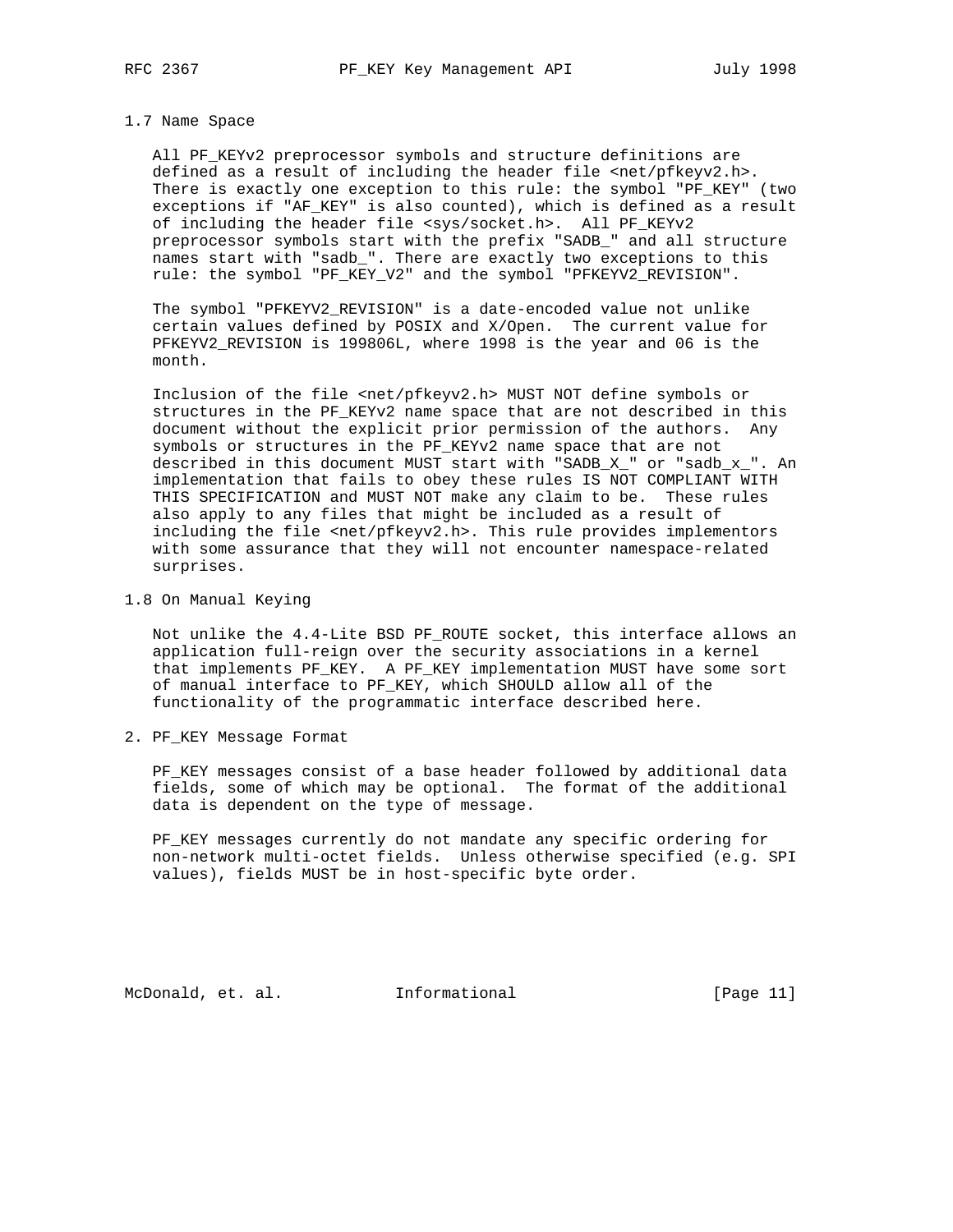#### 1.7 Name Space

 All PF\_KEYv2 preprocessor symbols and structure definitions are defined as a result of including the header file <net/pfkeyv2.h>. There is exactly one exception to this rule: the symbol "PF\_KEY" (two exceptions if "AF\_KEY" is also counted), which is defined as a result of including the header file <sys/socket.h>. All PF\_KEYv2 preprocessor symbols start with the prefix "SADB\_" and all structure names start with "sadb\_". There are exactly two exceptions to this rule: the symbol "PF\_KEY\_V2" and the symbol "PFKEYV2\_REVISION".

 The symbol "PFKEYV2\_REVISION" is a date-encoded value not unlike certain values defined by POSIX and X/Open. The current value for PFKEYV2\_REVISION is 199806L, where 1998 is the year and 06 is the month.

 Inclusion of the file <net/pfkeyv2.h> MUST NOT define symbols or structures in the PF\_KEYv2 name space that are not described in this document without the explicit prior permission of the authors. Any symbols or structures in the PF\_KEYv2 name space that are not described in this document MUST start with "SADB\_X\_" or "sadb\_x\_". An implementation that fails to obey these rules IS NOT COMPLIANT WITH THIS SPECIFICATION and MUST NOT make any claim to be. These rules also apply to any files that might be included as a result of including the file <net/pfkeyv2.h>. This rule provides implementors with some assurance that they will not encounter namespace-related surprises.

1.8 On Manual Keying

 Not unlike the 4.4-Lite BSD PF\_ROUTE socket, this interface allows an application full-reign over the security associations in a kernel that implements PF\_KEY. A PF\_KEY implementation MUST have some sort of manual interface to PF\_KEY, which SHOULD allow all of the functionality of the programmatic interface described here.

2. PF\_KEY Message Format

 PF\_KEY messages consist of a base header followed by additional data fields, some of which may be optional. The format of the additional data is dependent on the type of message.

 PF\_KEY messages currently do not mandate any specific ordering for non-network multi-octet fields. Unless otherwise specified (e.g. SPI values), fields MUST be in host-specific byte order.

McDonald, et. al. Informational [Page 11]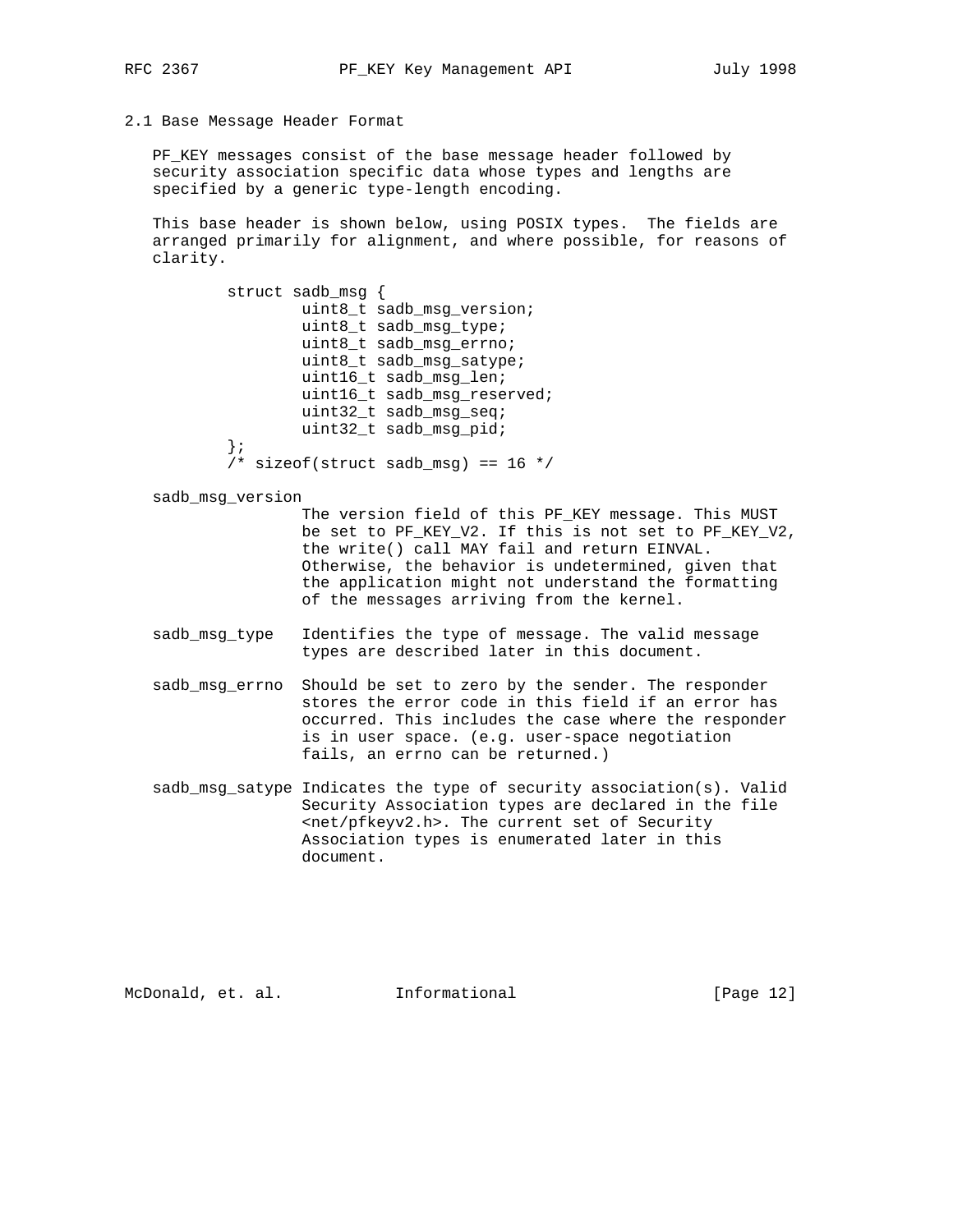2.1 Base Message Header Format

 PF\_KEY messages consist of the base message header followed by security association specific data whose types and lengths are specified by a generic type-length encoding.

 This base header is shown below, using POSIX types. The fields are arranged primarily for alignment, and where possible, for reasons of clarity.

 struct sadb\_msg { uint8\_t sadb\_msg\_version; uint8\_t sadb\_msg\_type; uint8\_t sadb\_msg\_errno; uint8\_t sadb\_msg\_satype; uint16 t sadb msg len; uint16\_t sadb\_msg\_reserved; uint32\_t sadb\_msg\_seq; uint32\_t sadb\_msg\_pid; };  $/*$  sizeof(struct sadb\_msg) == 16 \*/

sadb\_msg\_version

 The version field of this PF\_KEY message. This MUST be set to PF\_KEY\_V2. If this is not set to PF\_KEY\_V2, the write() call MAY fail and return EINVAL. Otherwise, the behavior is undetermined, given that the application might not understand the formatting of the messages arriving from the kernel.

- sadb\_msg\_type Identifies the type of message. The valid message types are described later in this document.
- sadb msg errno Should be set to zero by the sender. The responder stores the error code in this field if an error has occurred. This includes the case where the responder is in user space. (e.g. user-space negotiation fails, an errno can be returned.)
- sadb\_msg\_satype Indicates the type of security association(s). Valid Security Association types are declared in the file <net/pfkeyv2.h>. The current set of Security Association types is enumerated later in this document.

McDonald, et. al. Informational [Page 12]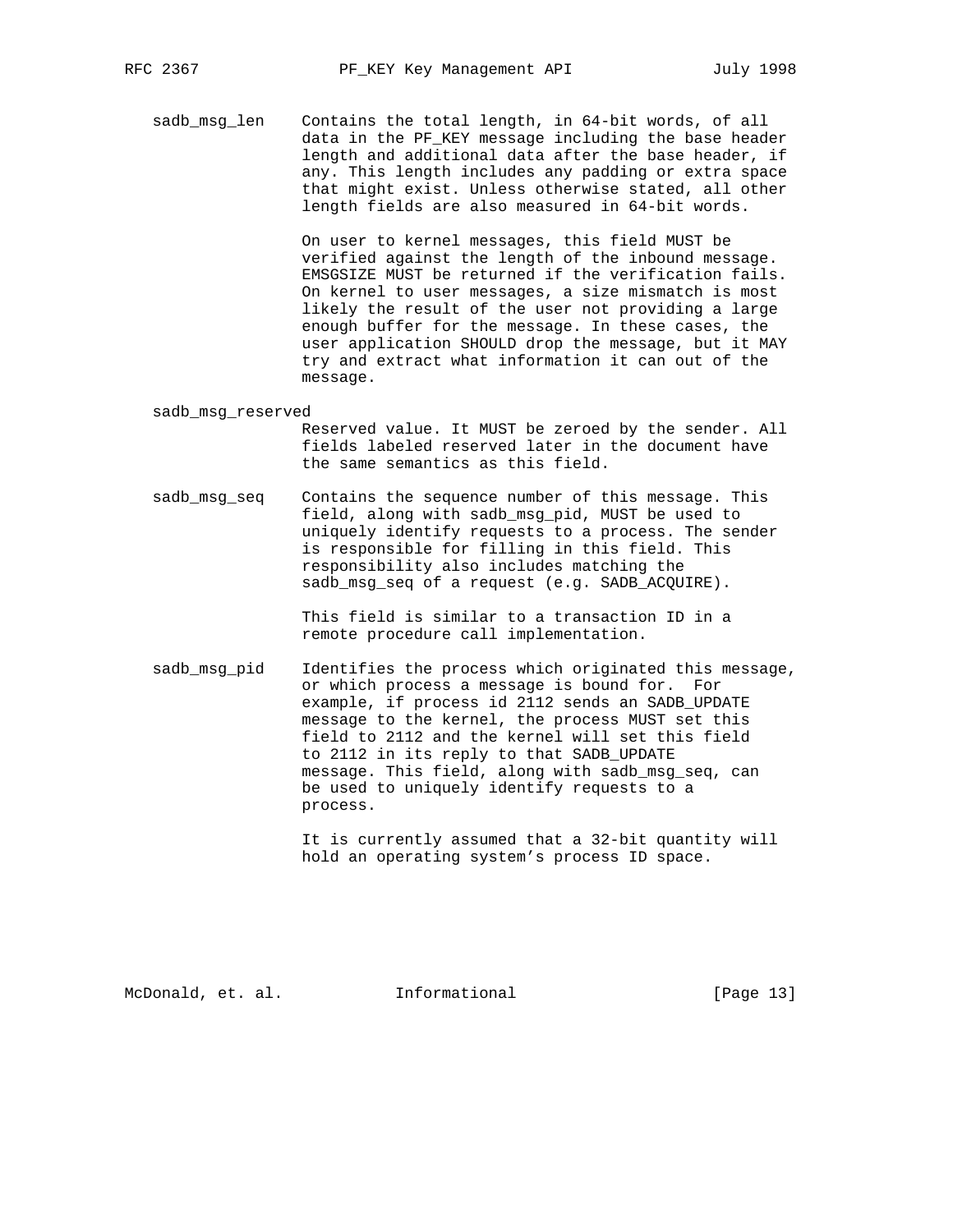sadb\_msg\_len Contains the total length, in 64-bit words, of all data in the PF\_KEY message including the base header length and additional data after the base header, if any. This length includes any padding or extra space that might exist. Unless otherwise stated, all other length fields are also measured in 64-bit words.

> On user to kernel messages, this field MUST be verified against the length of the inbound message. EMSGSIZE MUST be returned if the verification fails. On kernel to user messages, a size mismatch is most likely the result of the user not providing a large enough buffer for the message. In these cases, the user application SHOULD drop the message, but it MAY try and extract what information it can out of the message.

sadb\_msg\_reserved

 Reserved value. It MUST be zeroed by the sender. All fields labeled reserved later in the document have the same semantics as this field.

 sadb\_msg\_seq Contains the sequence number of this message. This field, along with sadb\_msg\_pid, MUST be used to uniquely identify requests to a process. The sender is responsible for filling in this field. This responsibility also includes matching the sadb\_msg\_seq of a request (e.g. SADB\_ACQUIRE).

> This field is similar to a transaction ID in a remote procedure call implementation.

 sadb\_msg\_pid Identifies the process which originated this message, or which process a message is bound for. For example, if process id 2112 sends an SADB\_UPDATE message to the kernel, the process MUST set this field to 2112 and the kernel will set this field to 2112 in its reply to that SADB\_UPDATE message. This field, along with sadb\_msg\_seq, can be used to uniquely identify requests to a process.

> It is currently assumed that a 32-bit quantity will hold an operating system's process ID space.

McDonald, et. al. Informational [Page 13]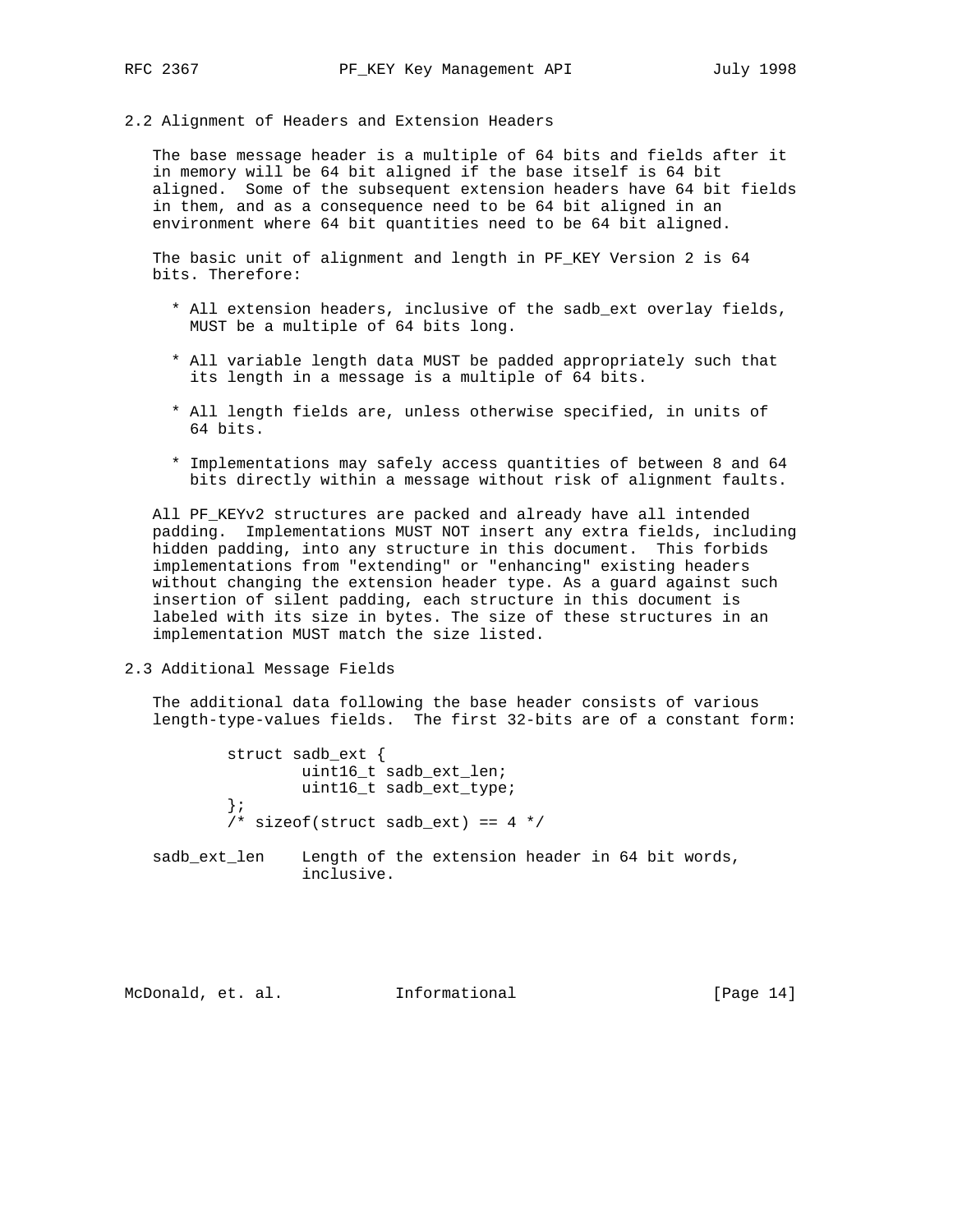2.2 Alignment of Headers and Extension Headers

 The base message header is a multiple of 64 bits and fields after it in memory will be 64 bit aligned if the base itself is 64 bit aligned. Some of the subsequent extension headers have 64 bit fields in them, and as a consequence need to be 64 bit aligned in an environment where 64 bit quantities need to be 64 bit aligned.

 The basic unit of alignment and length in PF\_KEY Version 2 is 64 bits. Therefore:

- \* All extension headers, inclusive of the sadb\_ext overlay fields, MUST be a multiple of 64 bits long.
- \* All variable length data MUST be padded appropriately such that its length in a message is a multiple of 64 bits.
- \* All length fields are, unless otherwise specified, in units of 64 bits.
- \* Implementations may safely access quantities of between 8 and 64 bits directly within a message without risk of alignment faults.

 All PF\_KEYv2 structures are packed and already have all intended padding. Implementations MUST NOT insert any extra fields, including hidden padding, into any structure in this document. This forbids implementations from "extending" or "enhancing" existing headers without changing the extension header type. As a guard against such insertion of silent padding, each structure in this document is labeled with its size in bytes. The size of these structures in an implementation MUST match the size listed.

2.3 Additional Message Fields

 The additional data following the base header consists of various length-type-values fields. The first 32-bits are of a constant form:

 struct sadb\_ext { uint16\_t sadb\_ext\_len; uint16\_t sadb\_ext\_type; };  $\gamma^*$  sizeof(struct sadb\_ext) == 4 \*/

 sadb\_ext\_len Length of the extension header in 64 bit words, inclusive.

McDonald, et. al. Informational [Page 14]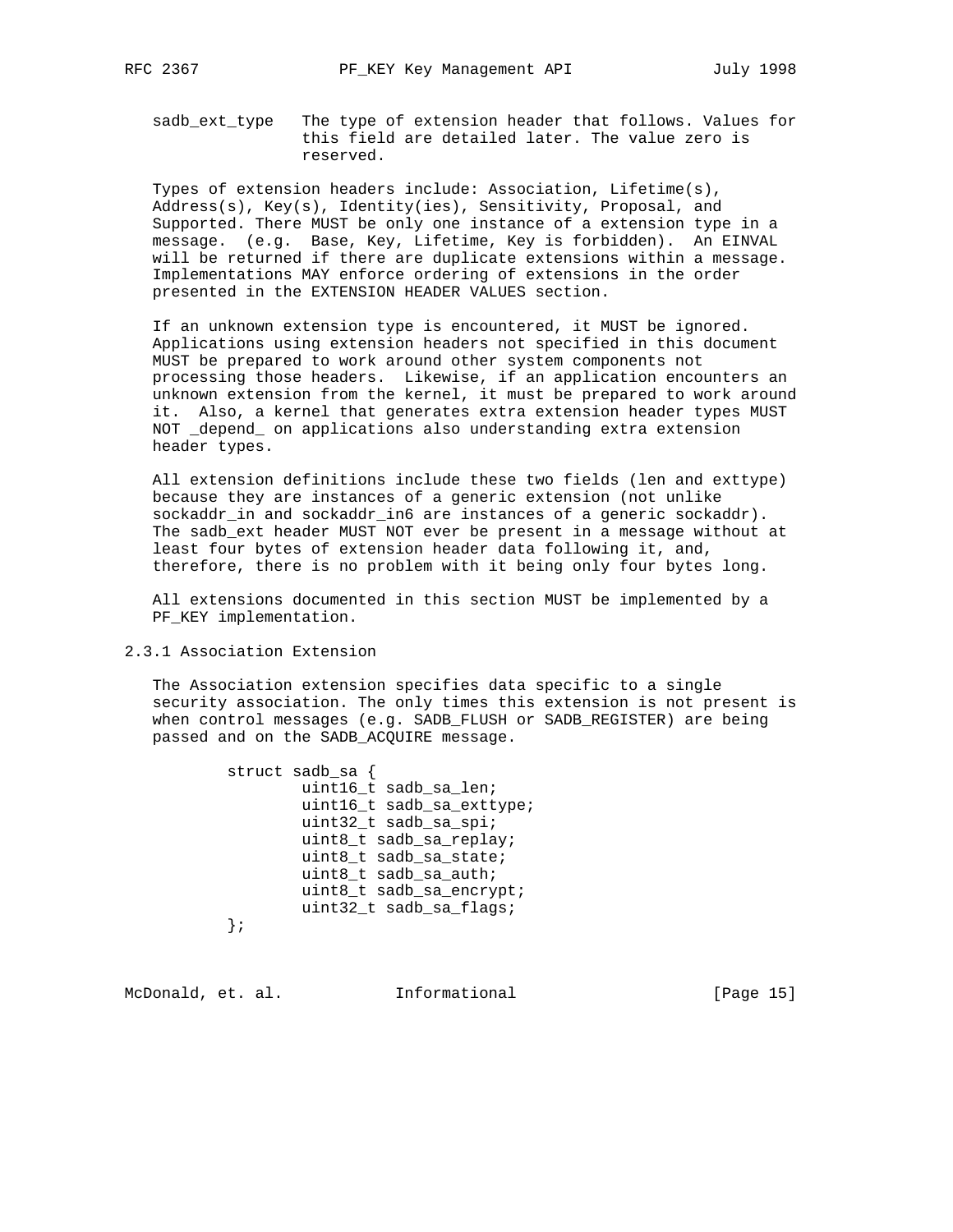sadb\_ext\_type The type of extension header that follows. Values for this field are detailed later. The value zero is reserved.

 Types of extension headers include: Association, Lifetime(s), Address(s), Key(s), Identity(ies), Sensitivity, Proposal, and Supported. There MUST be only one instance of a extension type in a message. (e.g. Base, Key, Lifetime, Key is forbidden). An EINVAL will be returned if there are duplicate extensions within a message. Implementations MAY enforce ordering of extensions in the order presented in the EXTENSION HEADER VALUES section.

 If an unknown extension type is encountered, it MUST be ignored. Applications using extension headers not specified in this document MUST be prepared to work around other system components not processing those headers. Likewise, if an application encounters an unknown extension from the kernel, it must be prepared to work around it. Also, a kernel that generates extra extension header types MUST NOT \_depend\_ on applications also understanding extra extension header types.

 All extension definitions include these two fields (len and exttype) because they are instances of a generic extension (not unlike sockaddr\_in and sockaddr\_in6 are instances of a generic sockaddr). The sadb\_ext header MUST NOT ever be present in a message without at least four bytes of extension header data following it, and, therefore, there is no problem with it being only four bytes long.

 All extensions documented in this section MUST be implemented by a PF\_KEY implementation.

2.3.1 Association Extension

 The Association extension specifies data specific to a single security association. The only times this extension is not present is when control messages (e.g. SADB\_FLUSH or SADB\_REGISTER) are being passed and on the SADB\_ACQUIRE message.

> struct sadb\_sa { uint16\_t sadb\_sa\_len; uint16\_t sadb\_sa\_exttype; uint32\_t sadb\_sa\_spi; uint8\_t sadb\_sa\_replay; uint8\_t sadb\_sa\_state; uint8\_t sadb\_sa\_auth; uint8\_t sadb\_sa\_encrypt; uint32\_t sadb\_sa\_flags; };

McDonald, et. al. Informational [Page 15]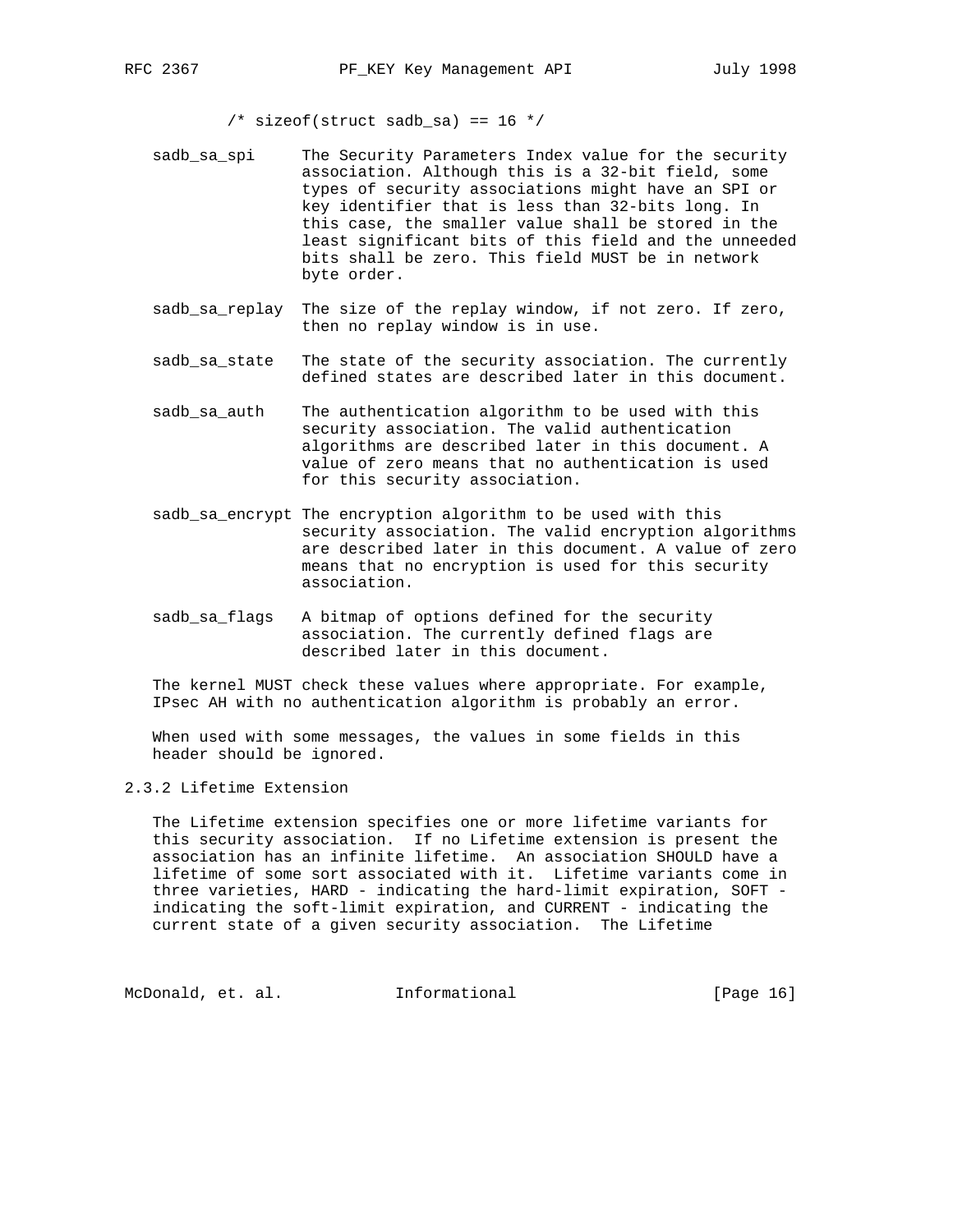$/*$  sizeof(struct sadb\_sa) == 16 \*/

- sadb\_sa\_spi The Security Parameters Index value for the security association. Although this is a 32-bit field, some types of security associations might have an SPI or key identifier that is less than 32-bits long. In this case, the smaller value shall be stored in the least significant bits of this field and the unneeded bits shall be zero. This field MUST be in network byte order.
- sadb\_sa\_replay The size of the replay window, if not zero. If zero, then no replay window is in use.
- sadb\_sa\_state The state of the security association. The currently defined states are described later in this document.
- sadb\_sa\_auth The authentication algorithm to be used with this security association. The valid authentication algorithms are described later in this document. A value of zero means that no authentication is used for this security association.
- sadb\_sa\_encrypt The encryption algorithm to be used with this security association. The valid encryption algorithms are described later in this document. A value of zero means that no encryption is used for this security association.
- sadb\_sa\_flags A bitmap of options defined for the security association. The currently defined flags are described later in this document.

 The kernel MUST check these values where appropriate. For example, IPsec AH with no authentication algorithm is probably an error.

 When used with some messages, the values in some fields in this header should be ignored.

## 2.3.2 Lifetime Extension

 The Lifetime extension specifies one or more lifetime variants for this security association. If no Lifetime extension is present the association has an infinite lifetime. An association SHOULD have a lifetime of some sort associated with it. Lifetime variants come in three varieties, HARD - indicating the hard-limit expiration, SOFT indicating the soft-limit expiration, and CURRENT - indicating the current state of a given security association. The Lifetime

McDonald, et. al. 1nformational 1999 [Page 16]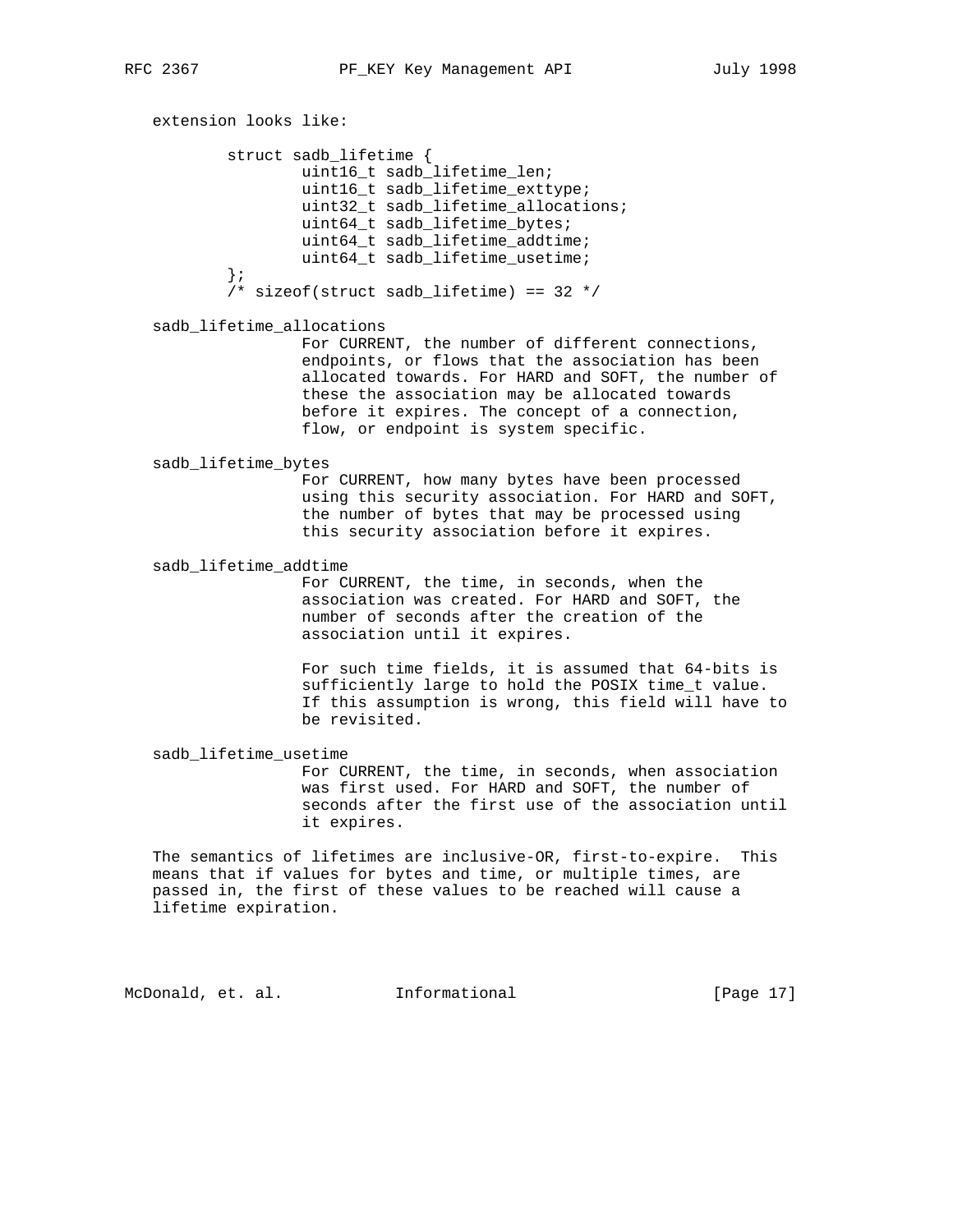extension looks like: struct sadb\_lifetime { uint16 t sadb lifetime len; uint16\_t sadb\_lifetime\_exttype; uint32\_t sadb\_lifetime\_allocations; uint64\_t sadb\_lifetime\_bytes; uint64\_t sadb\_lifetime\_addtime; uint64\_t sadb\_lifetime\_usetime; };  $/*$  sizeof(struct sadb\_lifetime) == 32 \*/ sadb\_lifetime\_allocations For CURRENT, the number of different connections, endpoints, or flows that the association has been allocated towards. For HARD and SOFT, the number of these the association may be allocated towards before it expires. The concept of a connection, flow, or endpoint is system specific. sadb\_lifetime\_bytes For CURRENT, how many bytes have been processed using this security association. For HARD and SOFT, the number of bytes that may be processed using this security association before it expires. sadb\_lifetime\_addtime For CURRENT, the time, in seconds, when the association was created. For HARD and SOFT, the number of seconds after the creation of the association until it expires. For such time fields, it is assumed that 64-bits is sufficiently large to hold the POSIX time\_t value. If this assumption is wrong, this field will have to be revisited. sadb\_lifetime\_usetime For CURRENT, the time, in seconds, when association was first used. For HARD and SOFT, the number of seconds after the first use of the association until it expires. The semantics of lifetimes are inclusive-OR, first-to-expire. This means that if values for bytes and time, or multiple times, are passed in, the first of these values to be reached will cause a lifetime expiration. McDonald, et. al. Informational [Page 17]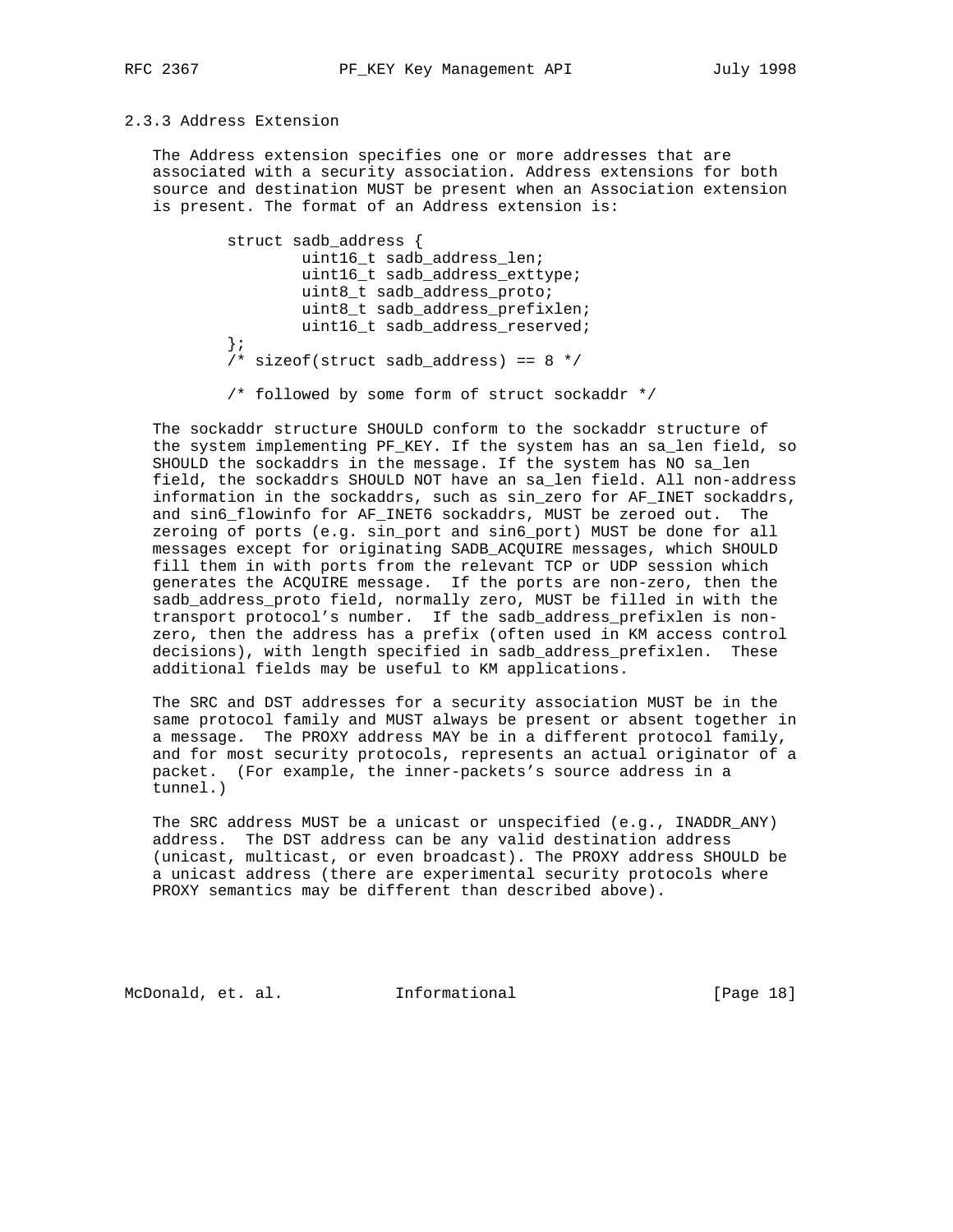## 2.3.3 Address Extension

 The Address extension specifies one or more addresses that are associated with a security association. Address extensions for both source and destination MUST be present when an Association extension is present. The format of an Address extension is:

```
 struct sadb_address {
         uint16_t sadb_address_len;
         uint16_t sadb_address_exttype;
         uint8_t sadb_address_proto;
         uint8_t sadb_address_prefixlen;
         uint16_t sadb_address_reserved;
 };
/* sizeof(struct sadb_address) == 8 * /
```
/\* followed by some form of struct sockaddr \*/

 The sockaddr structure SHOULD conform to the sockaddr structure of the system implementing PF\_KEY. If the system has an sa\_len field, so SHOULD the sockaddrs in the message. If the system has NO sa\_len field, the sockaddrs SHOULD NOT have an sa\_len field. All non-address information in the sockaddrs, such as sin\_zero for AF\_INET sockaddrs, and sin6\_flowinfo for AF\_INET6 sockaddrs, MUST be zeroed out. The zeroing of ports (e.g. sin\_port and sin6\_port) MUST be done for all messages except for originating SADB\_ACQUIRE messages, which SHOULD fill them in with ports from the relevant TCP or UDP session which generates the ACQUIRE message. If the ports are non-zero, then the sadb\_address\_proto field, normally zero, MUST be filled in with the transport protocol's number. If the sadb\_address\_prefixlen is non zero, then the address has a prefix (often used in KM access control decisions), with length specified in sadb\_address\_prefixlen. These additional fields may be useful to KM applications.

 The SRC and DST addresses for a security association MUST be in the same protocol family and MUST always be present or absent together in a message. The PROXY address MAY be in a different protocol family, and for most security protocols, represents an actual originator of a packet. (For example, the inner-packets's source address in a tunnel.)

 The SRC address MUST be a unicast or unspecified (e.g., INADDR\_ANY) address. The DST address can be any valid destination address (unicast, multicast, or even broadcast). The PROXY address SHOULD be a unicast address (there are experimental security protocols where PROXY semantics may be different than described above).

McDonald, et. al. Informational [Page 18]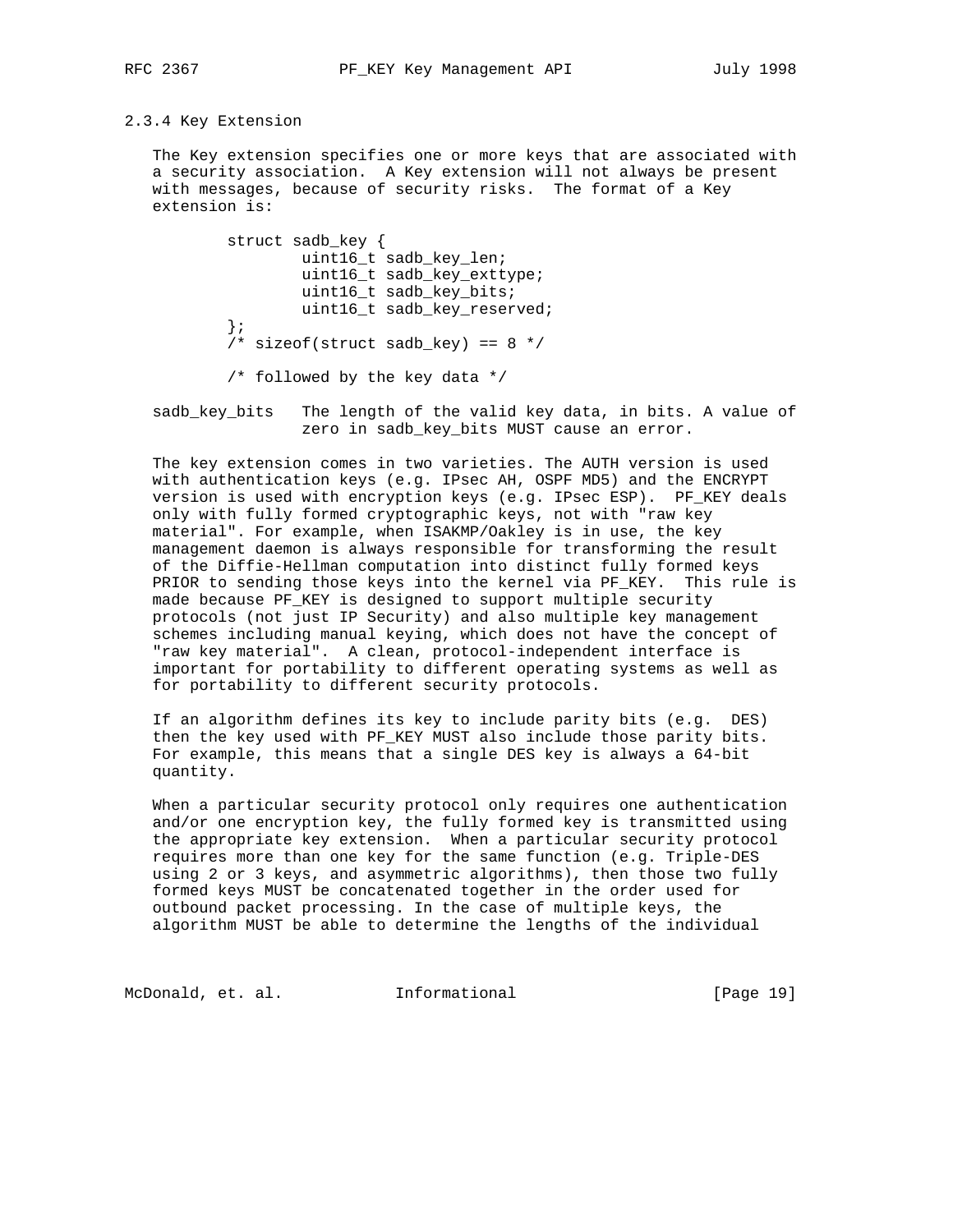## 2.3.4 Key Extension

 The Key extension specifies one or more keys that are associated with a security association. A Key extension will not always be present with messages, because of security risks. The format of a Key extension is:

```
 struct sadb_key {
         uint16_t sadb_key_len;
         uint16_t sadb_key_exttype;
         uint16_t sadb_key_bits;
         uint16_t sadb_key_reserved;
 };
/* sizeof(struct sadb_key) == 8 \times / /* followed by the key data */
```
 sadb\_key\_bits The length of the valid key data, in bits. A value of zero in sadb\_key\_bits MUST cause an error.

 The key extension comes in two varieties. The AUTH version is used with authentication keys (e.g. IPsec AH, OSPF MD5) and the ENCRYPT version is used with encryption keys (e.g. IPsec ESP). PF\_KEY deals only with fully formed cryptographic keys, not with "raw key material". For example, when ISAKMP/Oakley is in use, the key management daemon is always responsible for transforming the result of the Diffie-Hellman computation into distinct fully formed keys PRIOR to sending those keys into the kernel via PF\_KEY. This rule is made because PF\_KEY is designed to support multiple security protocols (not just IP Security) and also multiple key management schemes including manual keying, which does not have the concept of "raw key material". A clean, protocol-independent interface is important for portability to different operating systems as well as for portability to different security protocols.

 If an algorithm defines its key to include parity bits (e.g. DES) then the key used with PF KEY MUST also include those parity bits. For example, this means that a single DES key is always a 64-bit quantity.

 When a particular security protocol only requires one authentication and/or one encryption key, the fully formed key is transmitted using the appropriate key extension. When a particular security protocol requires more than one key for the same function (e.g. Triple-DES using 2 or 3 keys, and asymmetric algorithms), then those two fully formed keys MUST be concatenated together in the order used for outbound packet processing. In the case of multiple keys, the algorithm MUST be able to determine the lengths of the individual

McDonald, et. al. 1nformational 1915 [Page 19]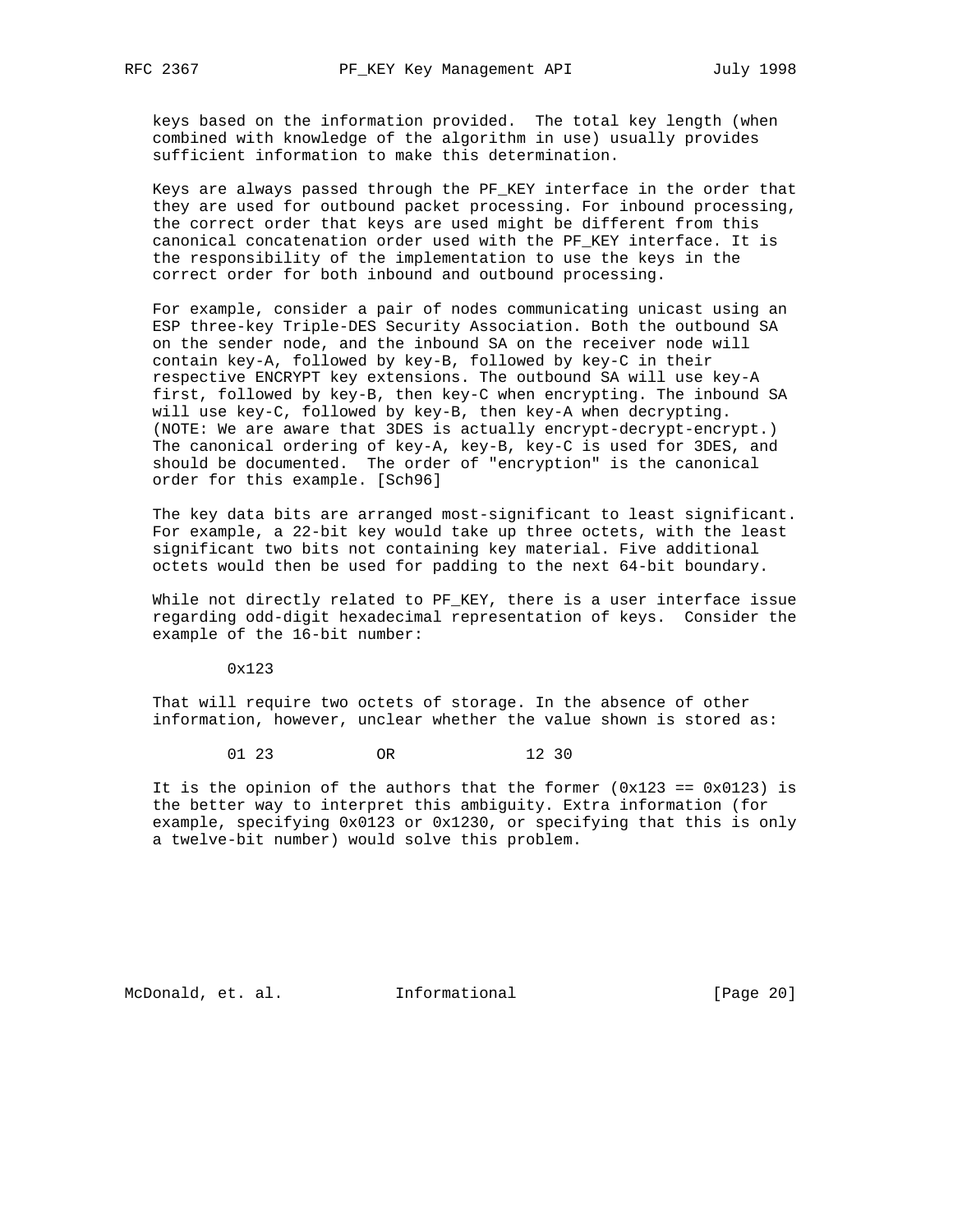keys based on the information provided. The total key length (when combined with knowledge of the algorithm in use) usually provides sufficient information to make this determination.

 Keys are always passed through the PF\_KEY interface in the order that they are used for outbound packet processing. For inbound processing, the correct order that keys are used might be different from this canonical concatenation order used with the PF\_KEY interface. It is the responsibility of the implementation to use the keys in the correct order for both inbound and outbound processing.

 For example, consider a pair of nodes communicating unicast using an ESP three-key Triple-DES Security Association. Both the outbound SA on the sender node, and the inbound SA on the receiver node will contain key-A, followed by key-B, followed by key-C in their respective ENCRYPT key extensions. The outbound SA will use key-A first, followed by key-B, then key-C when encrypting. The inbound SA will use key-C, followed by key-B, then key-A when decrypting. (NOTE: We are aware that 3DES is actually encrypt-decrypt-encrypt.) The canonical ordering of key-A, key-B, key-C is used for 3DES, and should be documented. The order of "encryption" is the canonical order for this example. [Sch96]

 The key data bits are arranged most-significant to least significant. For example, a 22-bit key would take up three octets, with the least significant two bits not containing key material. Five additional octets would then be used for padding to the next 64-bit boundary.

While not directly related to PF\_KEY, there is a user interface issue regarding odd-digit hexadecimal representation of keys. Consider the example of the 16-bit number:

0x123

 That will require two octets of storage. In the absence of other information, however, unclear whether the value shown is stored as:

01 23 OR 12 30

It is the opinion of the authors that the former  $(0x123 == 0x0123)$  is the better way to interpret this ambiguity. Extra information (for example, specifying 0x0123 or 0x1230, or specifying that this is only a twelve-bit number) would solve this problem.

McDonald, et. al. Informational [Page 20]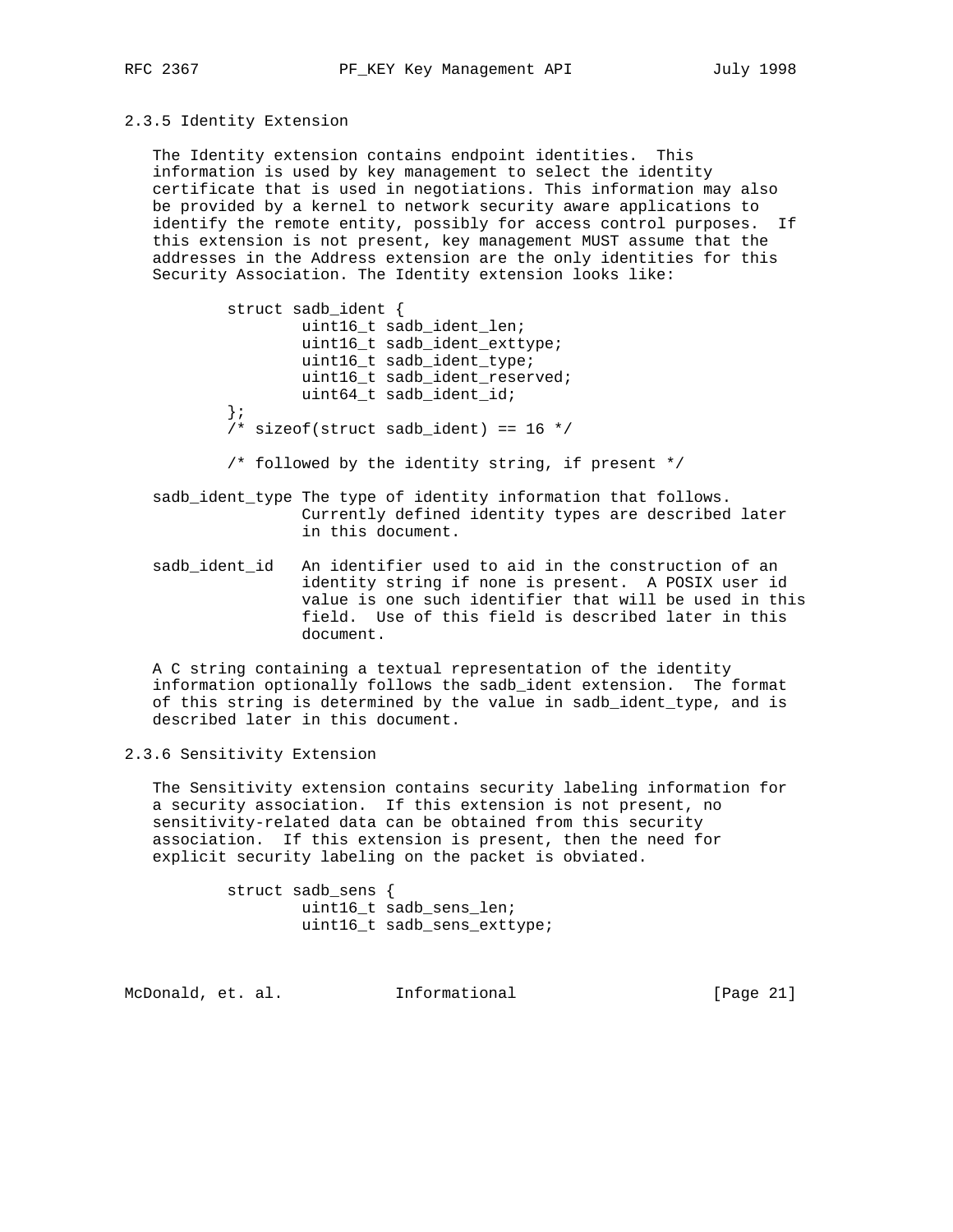## 2.3.5 Identity Extension

 The Identity extension contains endpoint identities. This information is used by key management to select the identity certificate that is used in negotiations. This information may also be provided by a kernel to network security aware applications to identify the remote entity, possibly for access control purposes. If this extension is not present, key management MUST assume that the addresses in the Address extension are the only identities for this Security Association. The Identity extension looks like:

 struct sadb\_ident { uint16\_t sadb\_ident\_len; uint16\_t sadb\_ident\_exttype; uint16\_t sadb\_ident\_type; uint16\_t sadb\_ident\_reserved; uint64\_t sadb\_ident\_id; };  $/*$  sizeof(struct sadb\_ident) == 16  $*/$ 

/\* followed by the identity string, if present \*/

- sadb\_ident\_type The type of identity information that follows. Currently defined identity types are described later in this document.
- sadb\_ident\_id An identifier used to aid in the construction of an identity string if none is present. A POSIX user id value is one such identifier that will be used in this field. Use of this field is described later in this document.

 A C string containing a textual representation of the identity information optionally follows the sadb\_ident extension. The format of this string is determined by the value in sadb\_ident\_type, and is described later in this document.

2.3.6 Sensitivity Extension

 The Sensitivity extension contains security labeling information for a security association. If this extension is not present, no sensitivity-related data can be obtained from this security association. If this extension is present, then the need for explicit security labeling on the packet is obviated.

> struct sadb\_sens { uint16\_t sadb\_sens\_len; uint16\_t sadb\_sens\_exttype;

McDonald, et. al. Informational [Page 21]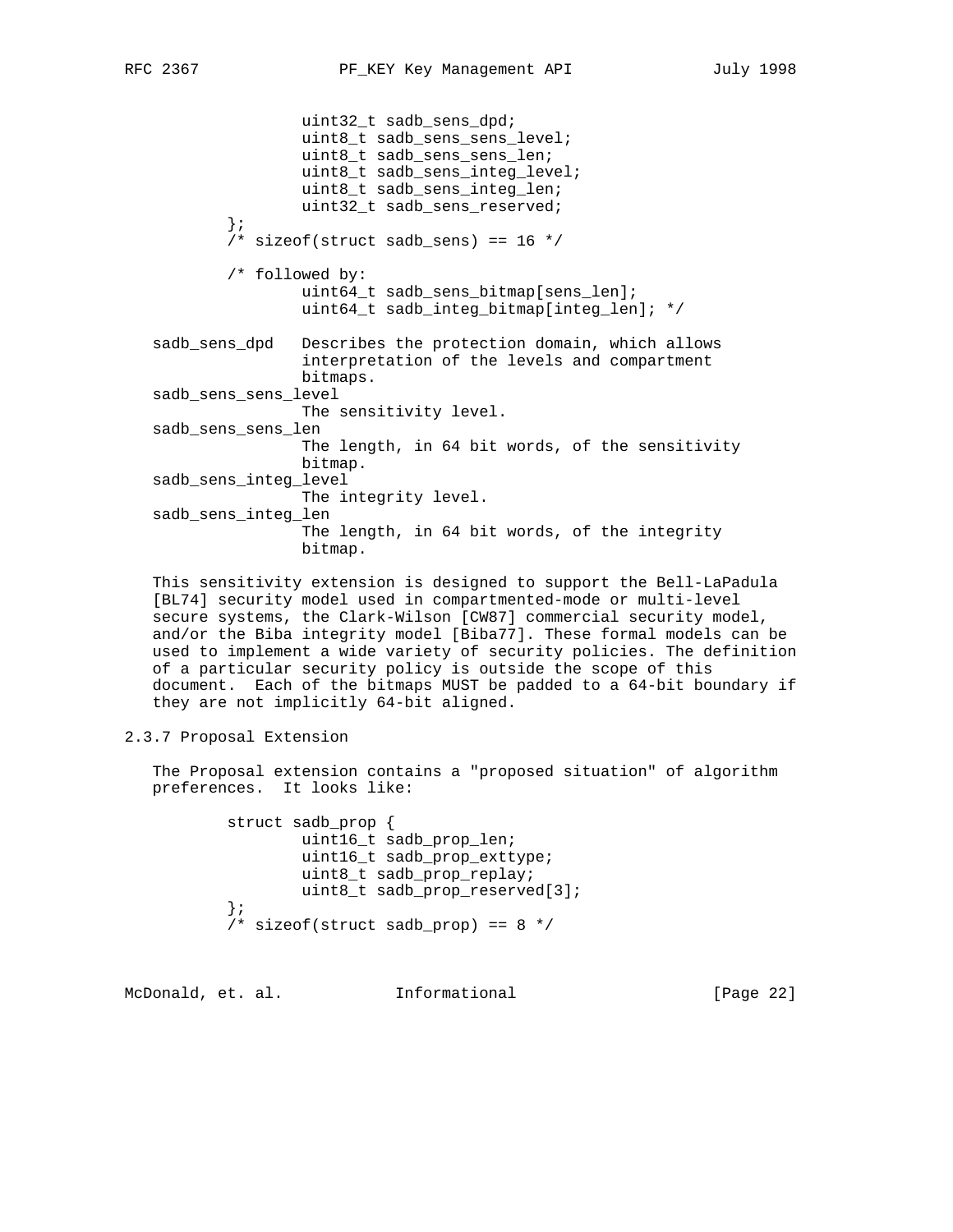```
 uint32_t sadb_sens_dpd;
                 uint8_t sadb_sens_sens_level;
                 uint8_t sadb_sens_sens_len;
                 uint8_t sadb_sens_integ_level;
                 uint8_t sadb_sens_integ_len;
                 uint32_t sadb_sens_reserved;
         };
        /* sizeof(struct sadb_sens) == 16 */ /* followed by:
                 uint64_t sadb_sens_bitmap[sens_len];
                 uint64_t sadb_integ_bitmap[integ_len]; */
 sadb_sens_dpd Describes the protection domain, which allows
                 interpretation of the levels and compartment
                 bitmaps.
 sadb_sens_sens_level
                 The sensitivity level.
 sadb_sens_sens_len
                 The length, in 64 bit words, of the sensitivity
                 bitmap.
 sadb_sens_integ_level
                 The integrity level.
 sadb_sens_integ_len
                 The length, in 64 bit words, of the integrity
                 bitmap.
```
 This sensitivity extension is designed to support the Bell-LaPadula [BL74] security model used in compartmented-mode or multi-level secure systems, the Clark-Wilson [CW87] commercial security model, and/or the Biba integrity model [Biba77]. These formal models can be used to implement a wide variety of security policies. The definition of a particular security policy is outside the scope of this document. Each of the bitmaps MUST be padded to a 64-bit boundary if they are not implicitly 64-bit aligned.

2.3.7 Proposal Extension

 The Proposal extension contains a "proposed situation" of algorithm preferences. It looks like:

> struct sadb\_prop { uint16\_t sadb\_prop\_len; uint16\_t sadb\_prop\_exttype; uint8\_t sadb\_prop\_replay; uint8\_t sadb\_prop\_reserved[3]; };  $/*$  sizeof(struct sadb\_prop) == 8 \*/

McDonald, et. al. Informational [Page 22]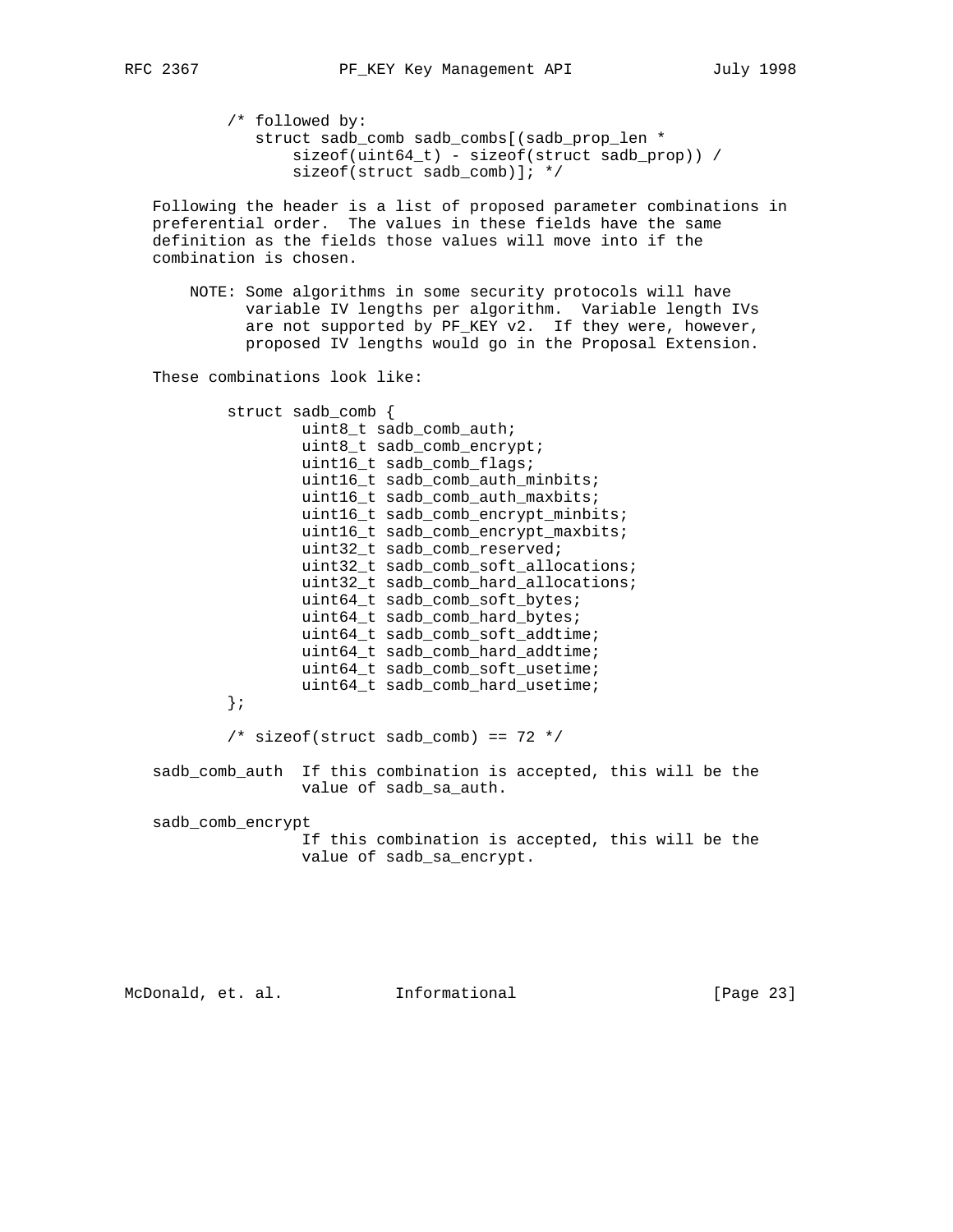```
 /* followed by:
    struct sadb_comb sadb_combs[(sadb_prop_len *
        sizeof(uint64_t) - sizeof(struct sadb_prop)) /
       sizeof(struct sadb comb)]; */
```
 Following the header is a list of proposed parameter combinations in preferential order. The values in these fields have the same definition as the fields those values will move into if the combination is chosen.

 NOTE: Some algorithms in some security protocols will have variable IV lengths per algorithm. Variable length IVs are not supported by PF\_KEY v2. If they were, however, proposed IV lengths would go in the Proposal Extension.

These combinations look like:

 struct sadb\_comb { uint8\_t sadb\_comb\_auth; uint8\_t sadb\_comb\_encrypt; uint16\_t sadb\_comb\_flags; uint16\_t sadb\_comb\_auth\_minbits; uint16\_t sadb\_comb\_auth\_maxbits; uint16\_t sadb\_comb\_encrypt\_minbits; uint16\_t sadb\_comb\_encrypt\_maxbits; uint32\_t sadb\_comb\_reserved; uint32\_t sadb\_comb\_soft\_allocations; uint32 t sadb comb hard allocations; uint64\_t sadb\_comb\_soft\_bytes; uint64\_t sadb\_comb\_hard\_bytes; uint64\_t sadb\_comb\_soft\_addtime; uint64\_t sadb\_comb\_hard\_addtime; uint64\_t sadb\_comb\_soft\_usetime; uint64\_t sadb\_comb\_hard\_usetime; };  $/*$  sizeof(struct sadb\_comb) == 72 \*/ sadb\_comb\_auth If this combination is accepted, this will be the value of sadb\_sa\_auth. sadb\_comb\_encrypt If this combination is accepted, this will be the value of sadb\_sa\_encrypt.

McDonald, et. al. Informational [Page 23]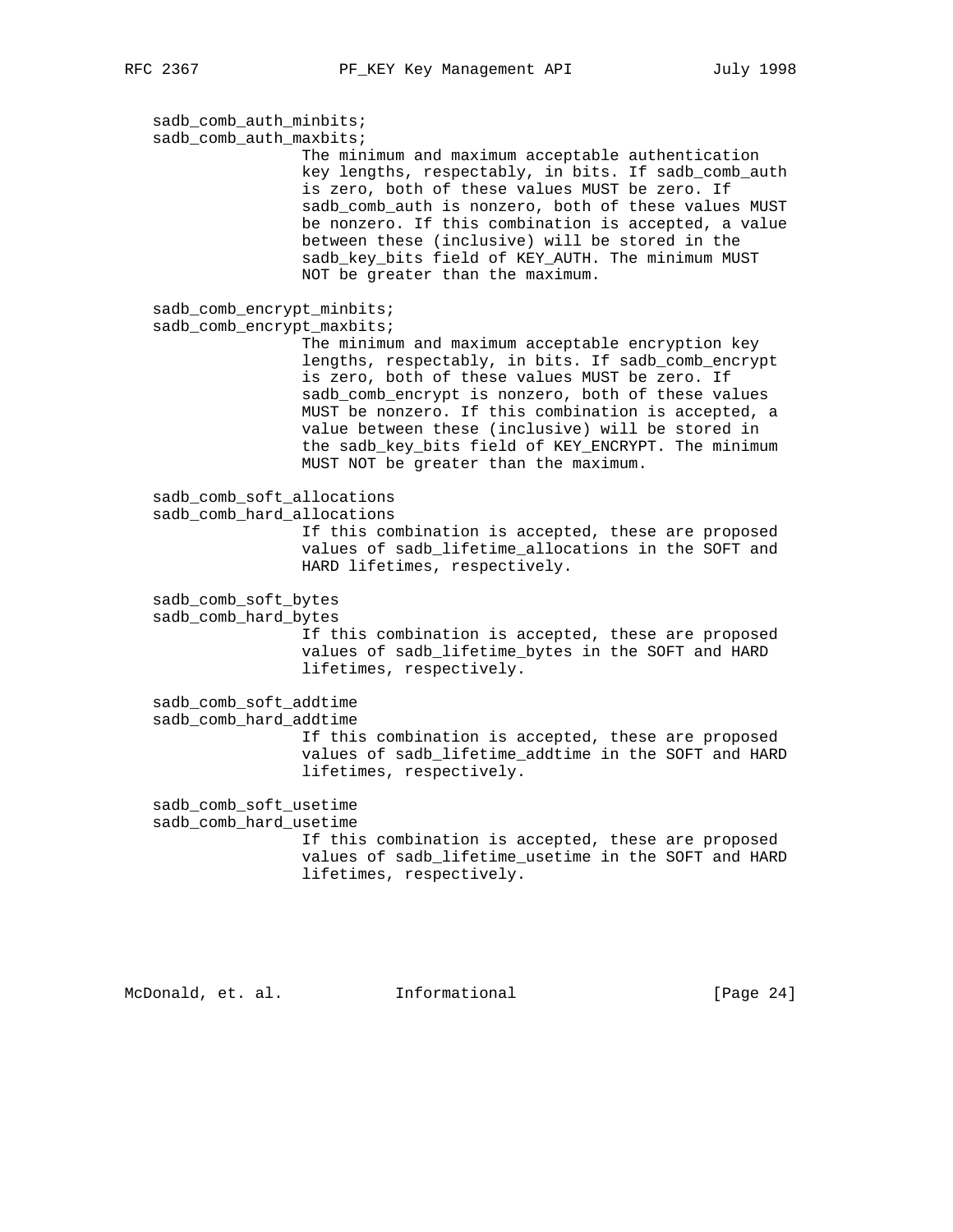sadb\_comb\_auth\_minbits; sadb\_comb\_auth\_maxbits; The minimum and maximum acceptable authentication key lengths, respectably, in bits. If sadb\_comb\_auth is zero, both of these values MUST be zero. If sadb\_comb\_auth is nonzero, both of these values MUST be nonzero. If this combination is accepted, a value between these (inclusive) will be stored in the sadb\_key\_bits field of KEY\_AUTH. The minimum MUST NOT be greater than the maximum. sadb\_comb\_encrypt\_minbits; sadb\_comb\_encrypt\_maxbits; The minimum and maximum acceptable encryption key lengths, respectably, in bits. If sadb\_comb\_encrypt is zero, both of these values MUST be zero. If sadb\_comb\_encrypt is nonzero, both of these values MUST be nonzero. If this combination is accepted, a value between these (inclusive) will be stored in the sadb\_key\_bits field of KEY\_ENCRYPT. The minimum MUST NOT be greater than the maximum. sadb\_comb\_soft\_allocations sadb\_comb\_hard\_allocations If this combination is accepted, these are proposed values of sadb\_lifetime\_allocations in the SOFT and HARD lifetimes, respectively. sadb\_comb\_soft\_bytes sadb\_comb\_hard\_bytes If this combination is accepted, these are proposed values of sadb\_lifetime\_bytes in the SOFT and HARD lifetimes, respectively. sadb\_comb\_soft\_addtime sadb\_comb\_hard\_addtime If this combination is accepted, these are proposed values of sadb\_lifetime\_addtime in the SOFT and HARD lifetimes, respectively. sadb\_comb\_soft\_usetime sadb\_comb\_hard\_usetime If this combination is accepted, these are proposed values of sadb\_lifetime\_usetime in the SOFT and HARD lifetimes, respectively.

McDonald, et. al. Informational [Page 24]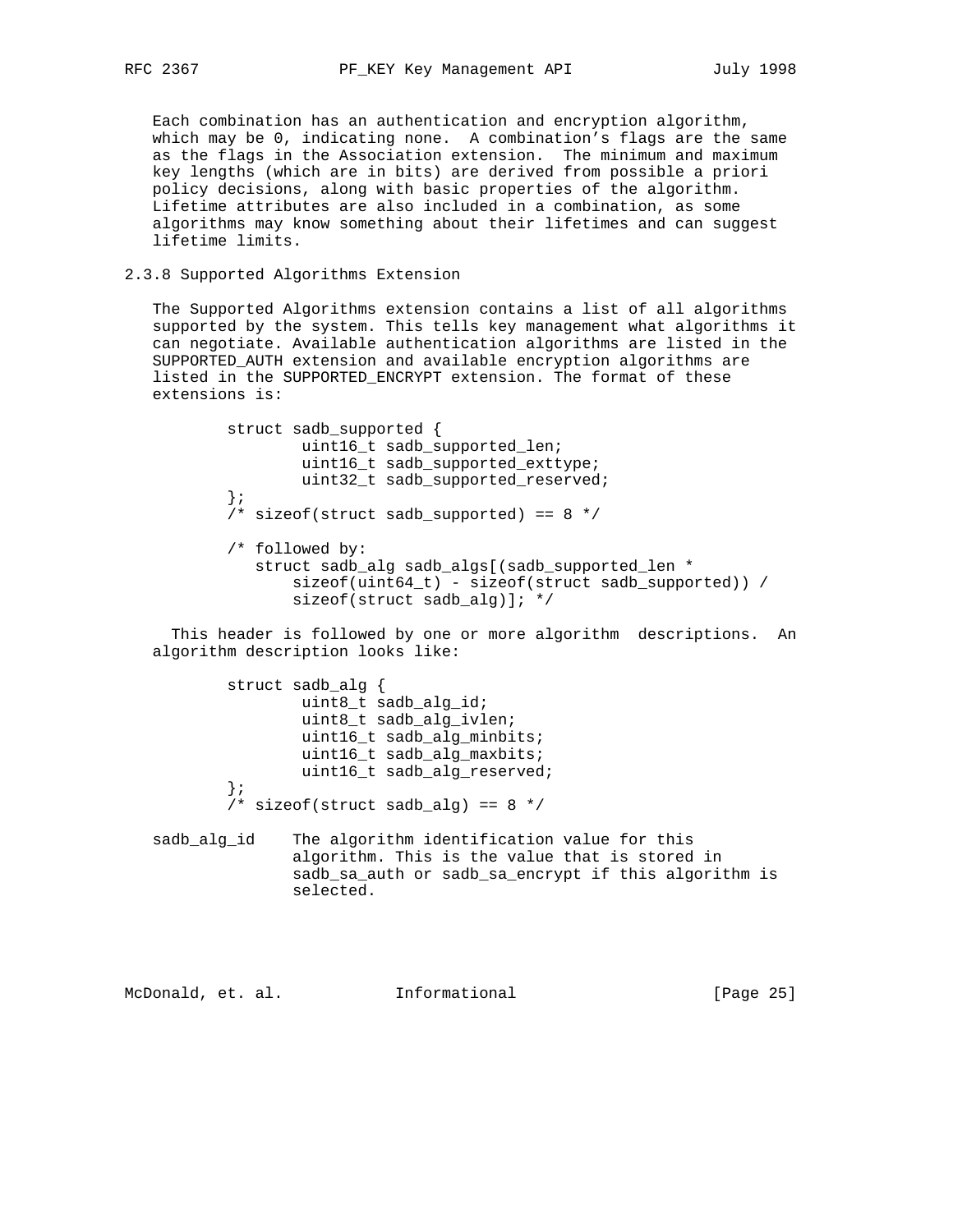Each combination has an authentication and encryption algorithm, which may be 0, indicating none. A combination's flags are the same as the flags in the Association extension. The minimum and maximum key lengths (which are in bits) are derived from possible a priori policy decisions, along with basic properties of the algorithm. Lifetime attributes are also included in a combination, as some algorithms may know something about their lifetimes and can suggest lifetime limits.

## 2.3.8 Supported Algorithms Extension

 The Supported Algorithms extension contains a list of all algorithms supported by the system. This tells key management what algorithms it can negotiate. Available authentication algorithms are listed in the SUPPORTED\_AUTH extension and available encryption algorithms are listed in the SUPPORTED\_ENCRYPT extension. The format of these extensions is:

> struct sadb\_supported { uint16\_t sadb\_supported\_len; uint16\_t sadb\_supported\_exttype; uint32\_t sadb\_supported\_reserved; };  $\frac{1}{x}$  sizeof(struct sadb\_supported) == 8 \*/ /\* followed by: struct sadb\_alg sadb\_algs[(sadb\_supported\_len \* sizeof(uint64\_t) - sizeof(struct sadb\_supported)) / sizeof(struct sadb\_alg)]; \*/

 This header is followed by one or more algorithm descriptions. An algorithm description looks like:

struct sadb alg { uint8\_t sadb\_alg\_id; uint8\_t sadb\_alg\_ivlen; uint16\_t sadb\_alg\_minbits; uint16\_t sadb\_alg\_maxbits; uint16\_t sadb\_alg\_reserved; };  $/*$  sizeof(struct sadb\_alg) == 8 \*/

 sadb\_alg\_id The algorithm identification value for this algorithm. This is the value that is stored in sadb\_sa\_auth or sadb\_sa\_encrypt if this algorithm is selected.

McDonald, et. al. Informational [Page 25]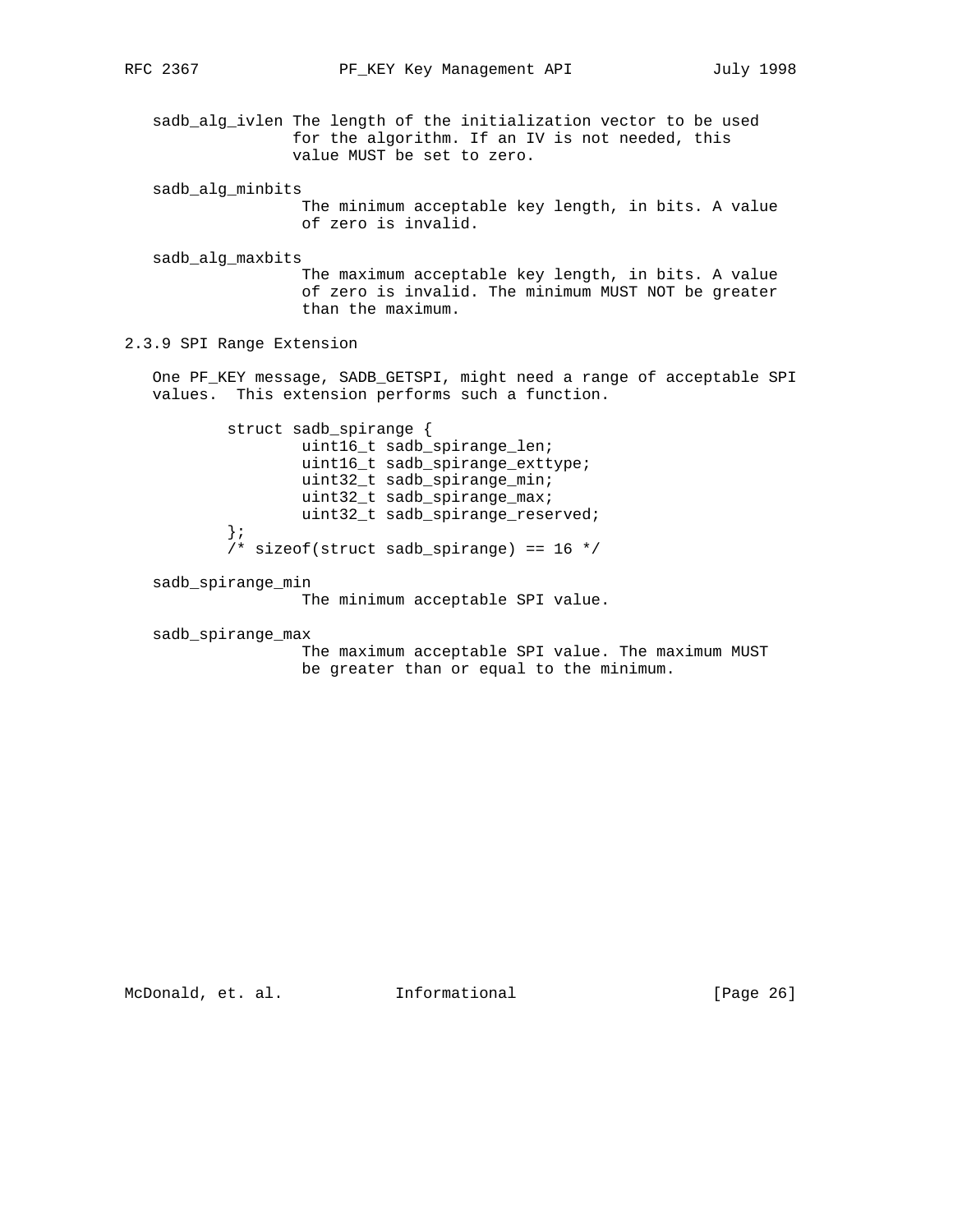sadb\_alg\_ivlen The length of the initialization vector to be used for the algorithm. If an IV is not needed, this value MUST be set to zero.

sadb\_alg\_minbits

 The minimum acceptable key length, in bits. A value of zero is invalid.

sadb\_alg\_maxbits

 The maximum acceptable key length, in bits. A value of zero is invalid. The minimum MUST NOT be greater than the maximum.

2.3.9 SPI Range Extension

 One PF\_KEY message, SADB\_GETSPI, might need a range of acceptable SPI values. This extension performs such a function.

 struct sadb\_spirange { uint16\_t sadb\_spirange\_len; uint16\_t sadb\_spirange\_exttype; uint32\_t sadb\_spirange\_min; uint32\_t sadb\_spirange\_max; uint32\_t sadb\_spirange\_reserved; };  $/*$  sizeof(struct sadb\_spirange) == 16  $*/$ 

sadb\_spirange\_min

The minimum acceptable SPI value.

sadb\_spirange\_max

 The maximum acceptable SPI value. The maximum MUST be greater than or equal to the minimum.

McDonald, et. al. 1nformational 1999 [Page 26]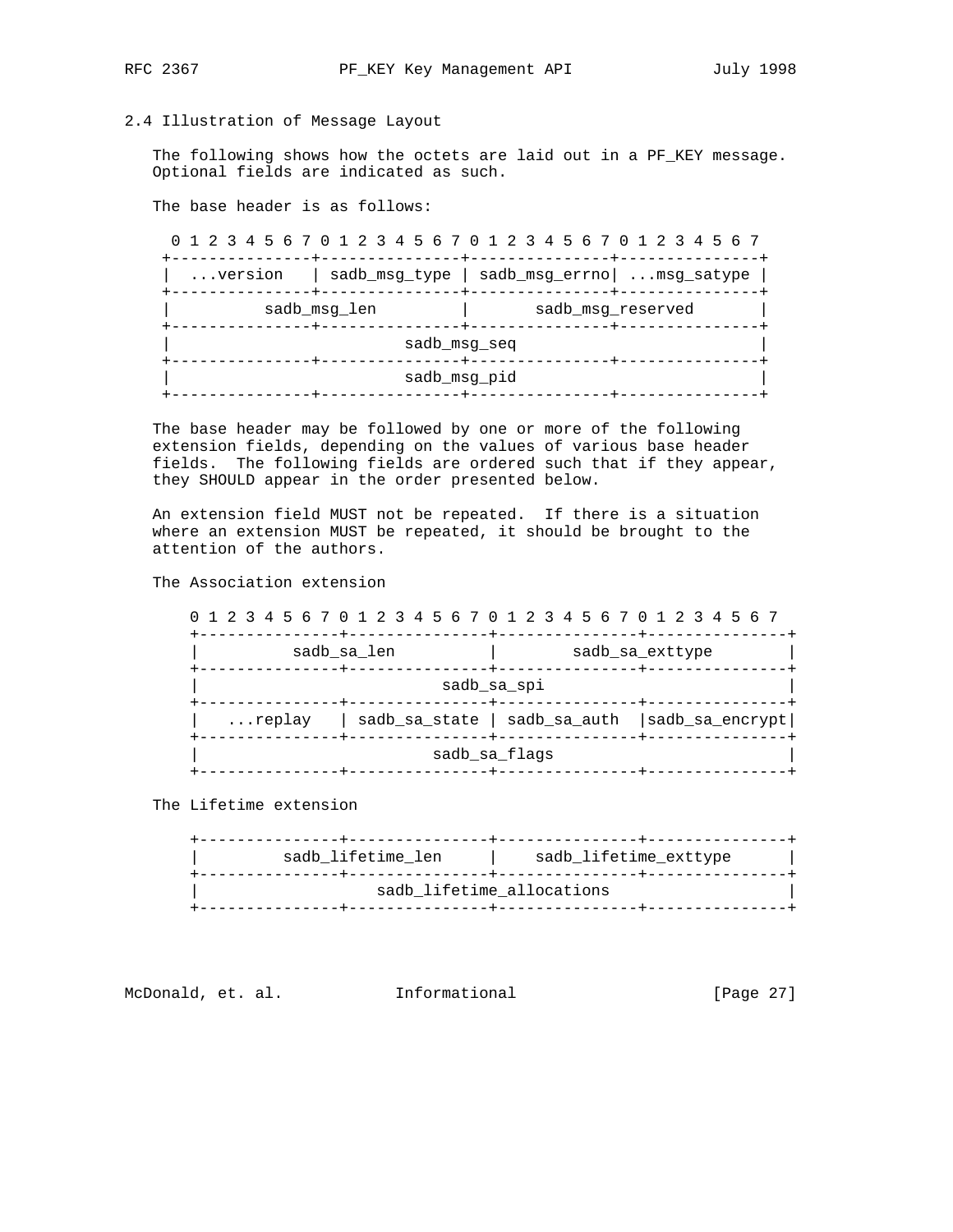## 2.4 Illustration of Message Layout

 The following shows how the octets are laid out in a PF\_KEY message. Optional fields are indicated as such.

The base header is as follows:

 0 1 2 3 4 5 6 7 0 1 2 3 4 5 6 7 0 1 2 3 4 5 6 7 0 1 2 3 4 5 6 7 +---------------+---------------+---------------+---------------+ | ...version | sadb\_msg\_type | sadb\_msg\_errno| ...msg\_satype | +---------------+---------------+---------------+---------------+ | sadb\_msg\_len | sadb\_msg\_reserved | +---------------+---------------+---------------+---------------+ sadb\_msg\_seq +---------------+---------------+---------------+---------------+ sadb\_msg\_pid +---------------+---------------+---------------+---------------+

 The base header may be followed by one or more of the following extension fields, depending on the values of various base header fields. The following fields are ordered such that if they appear, they SHOULD appear in the order presented below.

 An extension field MUST not be repeated. If there is a situation where an extension MUST be repeated, it should be brought to the attention of the authors.

The Association extension

| 0 1 2 3 4 5 6 7 0 1 2 3 4 5 6 7 0 1 2 3 4 5 6 7 0 1 2 3 4 5 6 7     |             |  |                                                         |  |  |  |
|---------------------------------------------------------------------|-------------|--|---------------------------------------------------------|--|--|--|
| sadb sa len<br>sadb sa exttype<br>-------------+--<br>--------+---- |             |  |                                                         |  |  |  |
|                                                                     | sadb sa spi |  |                                                         |  |  |  |
| -------------+-----                                                 |             |  | replay   sadb sa state   sadb sa auth   sadb sa encrypt |  |  |  |
| -----+------<br>sadb sa flags                                       |             |  |                                                         |  |  |  |

The Lifetime extension

| sadb lifetime_allocations | sadb lifetime len | sadb lifetime exttype |  |
|---------------------------|-------------------|-----------------------|--|
|                           |                   |                       |  |

McDonald, et. al. 1nformational 1999 [Page 27]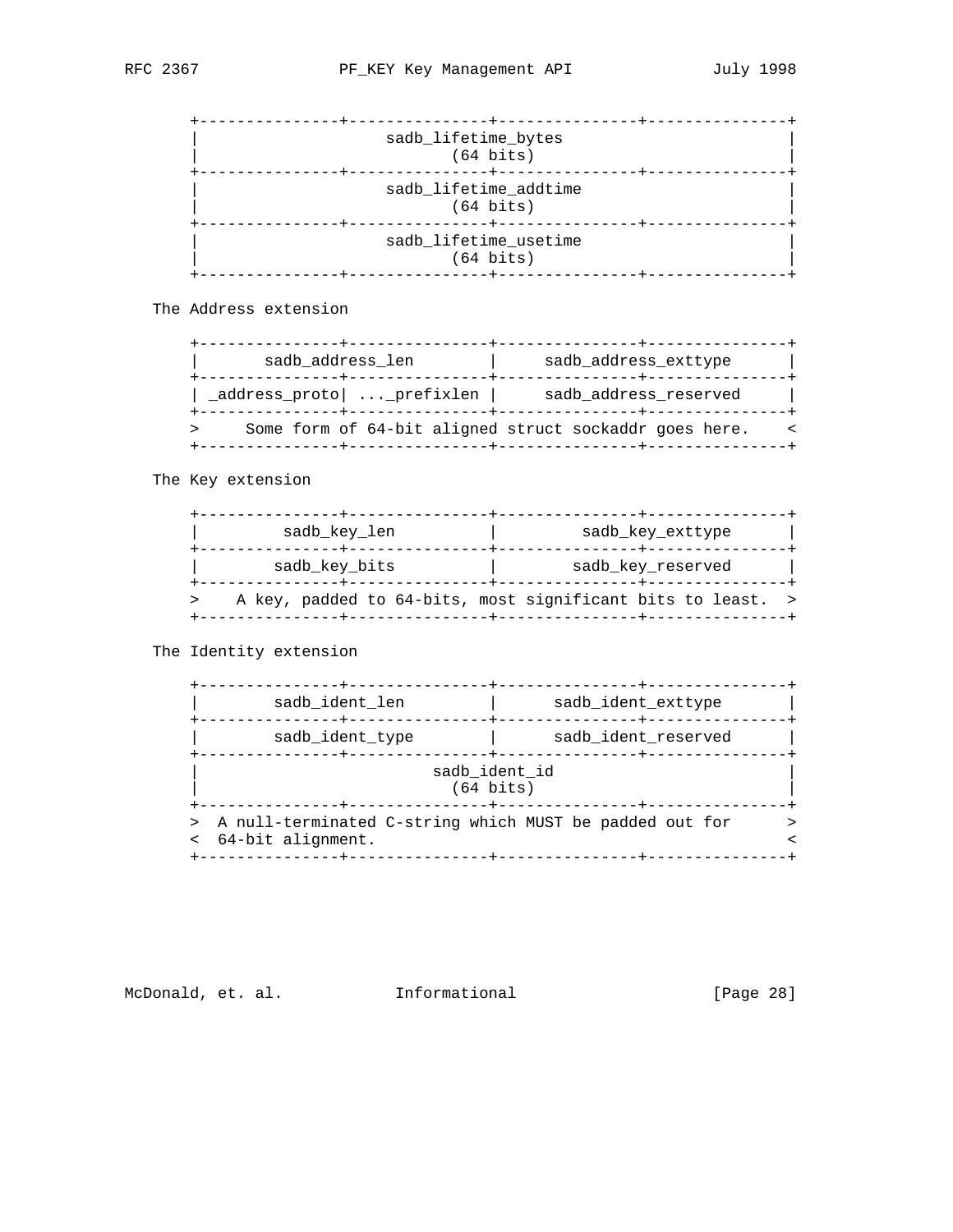| sadb_lifetime_bytes<br>$(64 \text{ bits})$   |  |
|----------------------------------------------|--|
| sadb_lifetime_addtime<br>$(64 \text{ bits})$ |  |
| sadb_lifetime_usetime<br>$(64 \text{ bits})$ |  |

The Address extension

| sadb address len            |  |  |  |  | sadb address exttype                                   |  |  |
|-----------------------------|--|--|--|--|--------------------------------------------------------|--|--|
| _address_proto   _prefixlen |  |  |  |  | sadb address reserved                                  |  |  |
|                             |  |  |  |  | Some form of 64-bit aligned struct sockaddr goes here. |  |  |

The Key extension

| sadb key len  | sadb key exttype                                            |
|---------------|-------------------------------------------------------------|
| sadb key bits | sadb key reserved                                           |
|               | A key, padded to 64-bits, most significant bits to least. > |

The Identity extension

| sadb ident len      | sadb ident exttype                                        |
|---------------------|-----------------------------------------------------------|
| sadb ident type     | sadb_ident_reserved                                       |
|                     | sadb ident id<br>$(64 \text{ bits})$                      |
| < 64-bit alignment. | > A null-terminated C-string which MUST be padded out for |

McDonald, et. al. 1nformational 1999 [Page 28]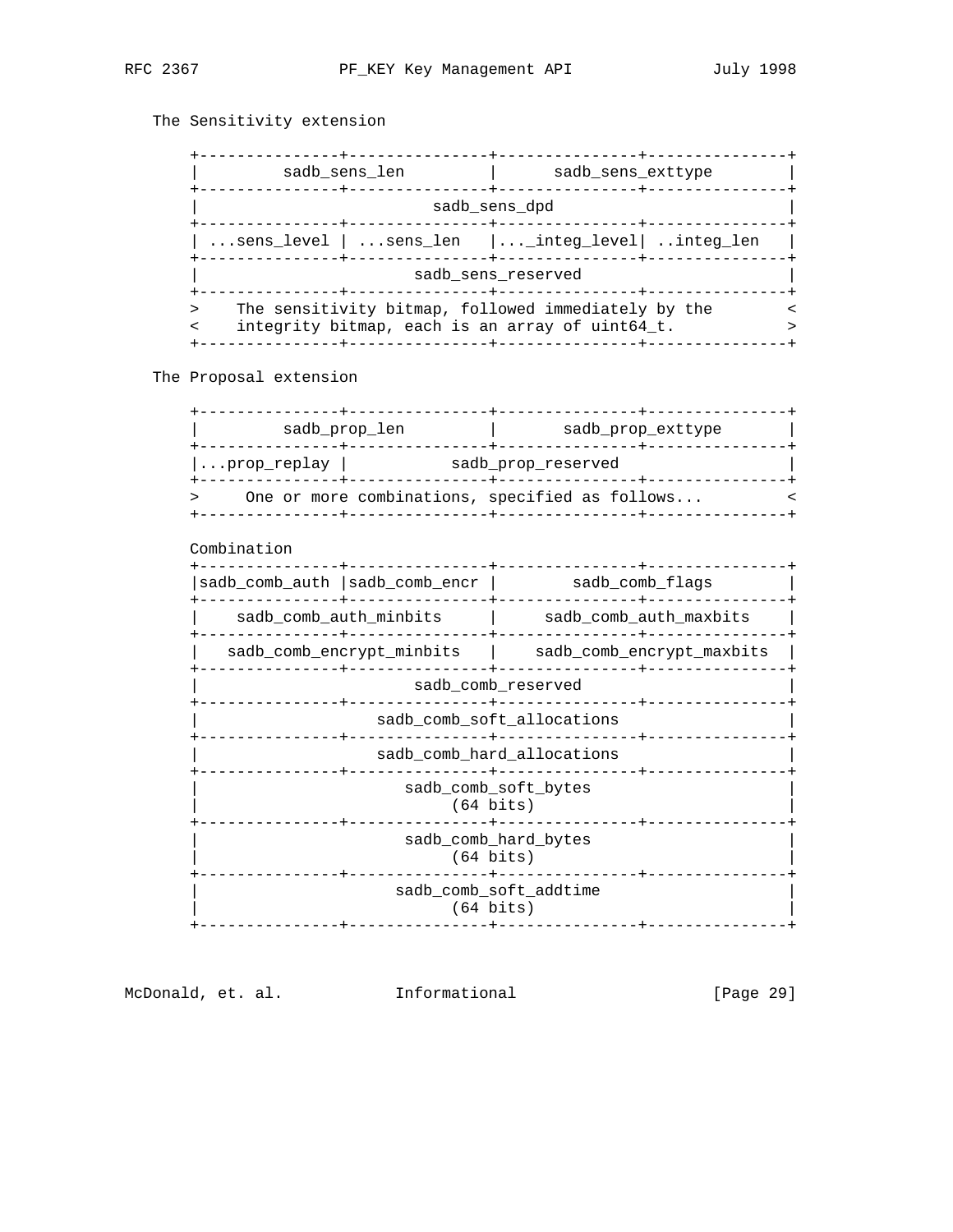# The Sensitivity extension

|                                                 |  | sadb sens len | sadb sens exttype                                                                                      |  |
|-------------------------------------------------|--|---------------|--------------------------------------------------------------------------------------------------------|--|
|                                                 |  |               | sadb sens dpd                                                                                          |  |
| sens_level   sens_len  _integ_level   integ_len |  |               |                                                                                                        |  |
|                                                 |  |               | sadb sens reserved                                                                                     |  |
|                                                 |  |               | The sensitivity bitmap, followed immediately by the<br>integrity bitmap, each is an array of uint64_t. |  |

The Proposal extension

|                                             | sadb_prop_len                                                     | sadb prop exttype                                     |  |  |
|---------------------------------------------|-------------------------------------------------------------------|-------------------------------------------------------|--|--|
|                                             | prop_replay   sadb_prop_reserved<br>_____________________________ |                                                       |  |  |
|                                             |                                                                   | One or more combinations, specified as follows        |  |  |
| Combination                                 |                                                                   |                                                       |  |  |
|                                             |                                                                   | sadb_comb_auth   sadb_comb_encr   sadb_comb_flags     |  |  |
|                                             |                                                                   |                                                       |  |  |
|                                             |                                                                   | sadb_comb_encrypt_minbits   sadb_comb_encrypt_maxbits |  |  |
|                                             |                                                                   | sadb_comb_reserved                                    |  |  |
|                                             |                                                                   | sadb_comb_soft_allocations                            |  |  |
|                                             |                                                                   | sadb_comb_hard_allocations<br>---------------         |  |  |
|                                             | $(64 \; bits)$                                                    | sadb_comb_soft_bytes                                  |  |  |
| sadb comb hard bytes<br>$(64 \text{ bits})$ |                                                                   |                                                       |  |  |
|                                             | $(64 \text{ bits})$                                               | sadb_comb_soft_addtime                                |  |  |
|                                             |                                                                   |                                                       |  |  |

McDonald, et. al. 1nformational 111 [Page 29]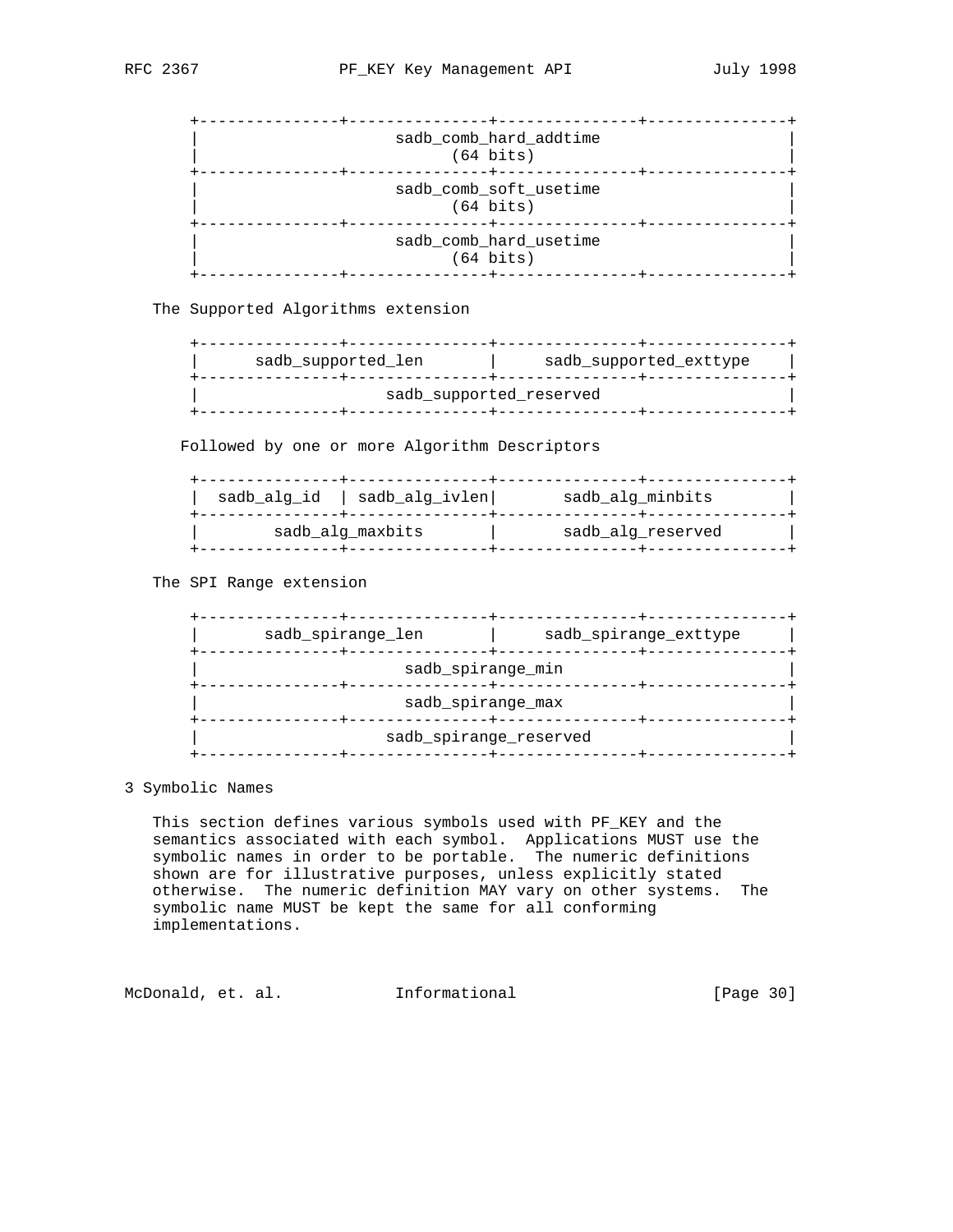| sadb_comb_hard_addtime<br>$(64 \text{ bits})$ |  |
|-----------------------------------------------|--|
| sadb_comb_soft_usetime<br>$(64 \text{ bits})$ |  |
| sadb_comb_hard_usetime<br>$(64 \text{ bits})$ |  |

The Supported Algorithms extension

| sadb supported len | sadb supported exttype  |
|--------------------|-------------------------|
|                    | sadb supported reserved |
|                    |                         |

Followed by one or more Algorithm Descriptors

| sadb alg ivlen <br>sadb alg id | sadb alg minbits  |
|--------------------------------|-------------------|
| sadb alg maxbits               | sadb alg reserved |

The SPI Range extension

| sadb_spirange_len      | sadb_spirange_exttype |  |  |  |
|------------------------|-----------------------|--|--|--|
| sadb_spirange_min      |                       |  |  |  |
| sadb_spirange_max      |                       |  |  |  |
| sadb_spirange_reserved |                       |  |  |  |

3 Symbolic Names

 This section defines various symbols used with PF\_KEY and the semantics associated with each symbol. Applications MUST use the symbolic names in order to be portable. The numeric definitions shown are for illustrative purposes, unless explicitly stated otherwise. The numeric definition MAY vary on other systems. The symbolic name MUST be kept the same for all conforming implementations.

McDonald, et. al. 1nformational 1999 [Page 30]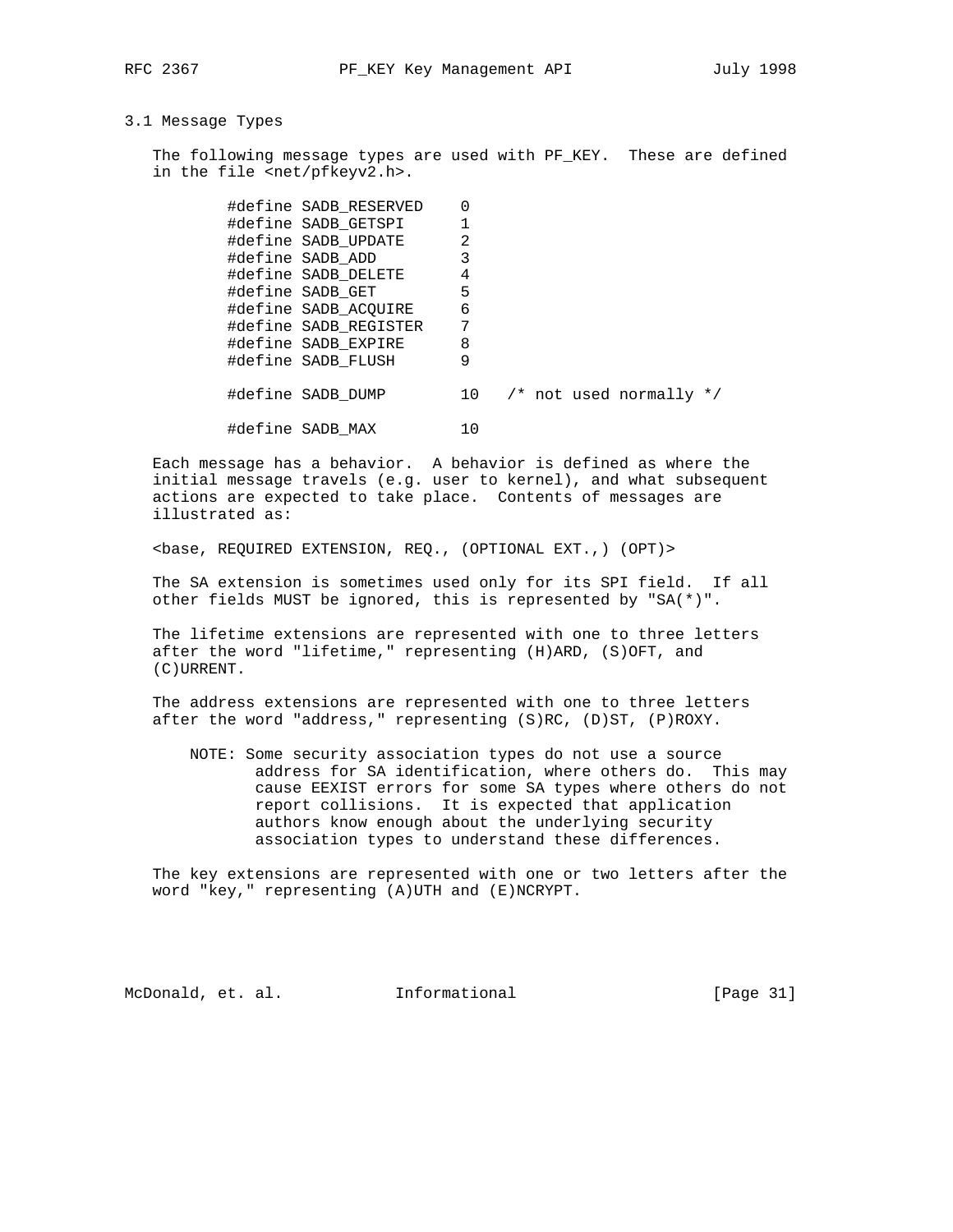## 3.1 Message Types

The following message types are used with PF\_KEY. These are defined in the file <net/pfkeyv2.h>.

|  | #define SADB_RESERVED | ი              |  |                                 |  |
|--|-----------------------|----------------|--|---------------------------------|--|
|  | #define SADB GETSPI   |                |  |                                 |  |
|  | #define SADB UPDATE   | $\overline{2}$ |  |                                 |  |
|  | #define SADB ADD      | 3              |  |                                 |  |
|  | #define SADB DELETE   | 4              |  |                                 |  |
|  | #define SADB GET      | 5              |  |                                 |  |
|  | #define SADB ACOUIRE  | 6              |  |                                 |  |
|  | #define SADB_REGISTER | 7              |  |                                 |  |
|  | #define SADB EXPIRE   | 8              |  |                                 |  |
|  | #define SADB FLUSH    | 9              |  |                                 |  |
|  |                       |                |  |                                 |  |
|  | #define SADB DUMP     | 10             |  | $\prime$ * not used normally */ |  |
|  |                       |                |  |                                 |  |
|  | #define SADB MAX      | 10             |  |                                 |  |

 Each message has a behavior. A behavior is defined as where the initial message travels (e.g. user to kernel), and what subsequent actions are expected to take place. Contents of messages are illustrated as:

<base, REQUIRED EXTENSION, REQ., (OPTIONAL EXT.,) (OPT)>

 The SA extension is sometimes used only for its SPI field. If all other fields MUST be ignored, this is represented by "SA(\*)".

 The lifetime extensions are represented with one to three letters after the word "lifetime," representing (H)ARD, (S)OFT, and (C)URRENT.

 The address extensions are represented with one to three letters after the word "address," representing (S)RC, (D)ST, (P)ROXY.

 NOTE: Some security association types do not use a source address for SA identification, where others do. This may cause EEXIST errors for some SA types where others do not report collisions. It is expected that application authors know enough about the underlying security association types to understand these differences.

 The key extensions are represented with one or two letters after the word "key," representing (A)UTH and (E)NCRYPT.

McDonald, et. al. 1nformational 1999 [Page 31]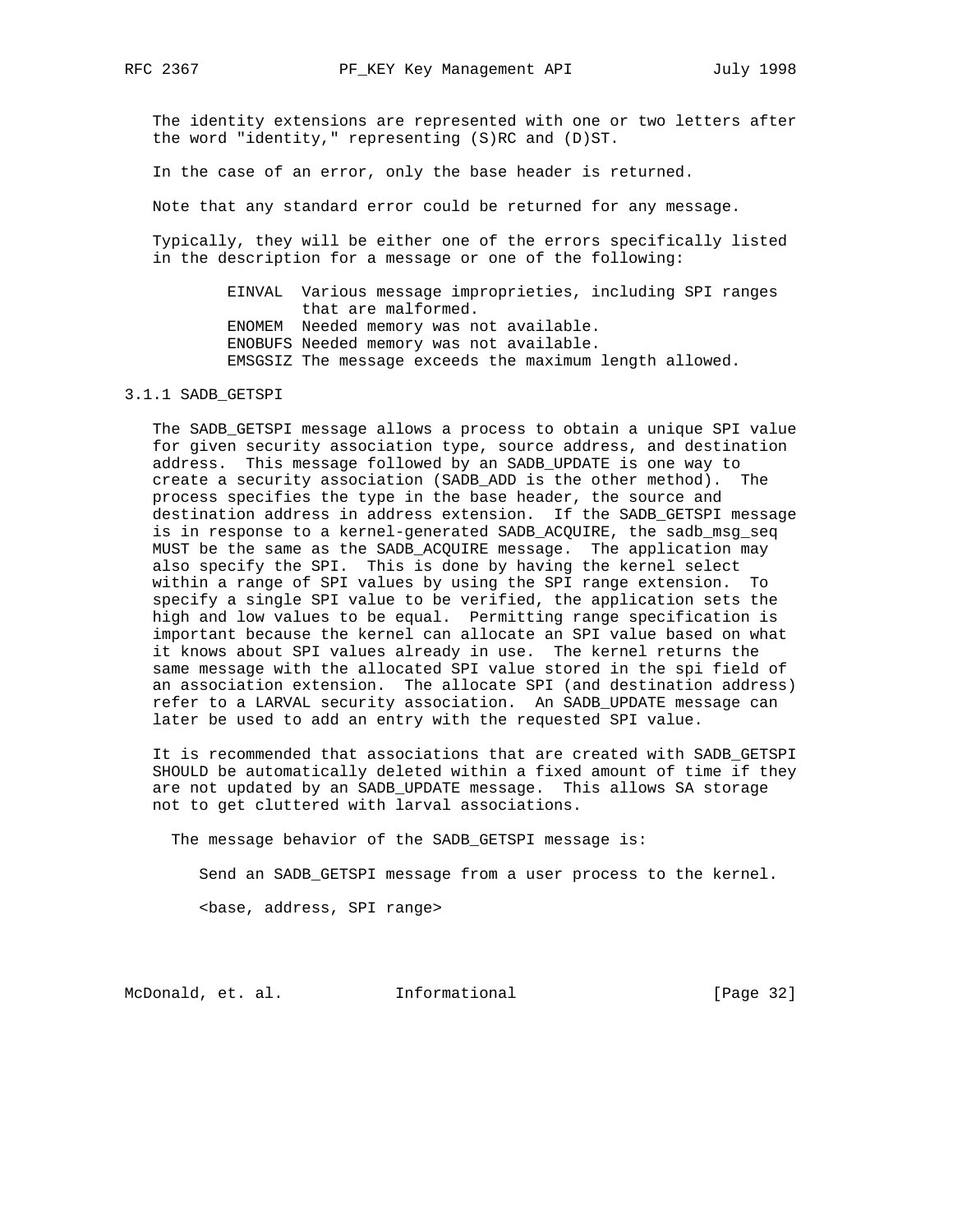The identity extensions are represented with one or two letters after the word "identity," representing (S)RC and (D)ST.

In the case of an error, only the base header is returned.

Note that any standard error could be returned for any message.

 Typically, they will be either one of the errors specifically listed in the description for a message or one of the following:

> EINVAL Various message improprieties, including SPI ranges that are malformed. ENOMEM Needed memory was not available. ENOBUFS Needed memory was not available. EMSGSIZ The message exceeds the maximum length allowed.

## 3.1.1 SADB\_GETSPI

 The SADB\_GETSPI message allows a process to obtain a unique SPI value for given security association type, source address, and destination address. This message followed by an SADB\_UPDATE is one way to create a security association (SADB\_ADD is the other method). The process specifies the type in the base header, the source and destination address in address extension. If the SADB\_GETSPI message is in response to a kernel-generated SADB\_ACQUIRE, the sadb\_msg\_seq MUST be the same as the SADB\_ACQUIRE message. The application may also specify the SPI. This is done by having the kernel select within a range of SPI values by using the SPI range extension. To specify a single SPI value to be verified, the application sets the high and low values to be equal. Permitting range specification is important because the kernel can allocate an SPI value based on what it knows about SPI values already in use. The kernel returns the same message with the allocated SPI value stored in the spi field of an association extension. The allocate SPI (and destination address) refer to a LARVAL security association. An SADB\_UPDATE message can later be used to add an entry with the requested SPI value.

 It is recommended that associations that are created with SADB\_GETSPI SHOULD be automatically deleted within a fixed amount of time if they are not updated by an SADB\_UPDATE message. This allows SA storage not to get cluttered with larval associations.

The message behavior of the SADB\_GETSPI message is:

Send an SADB\_GETSPI message from a user process to the kernel.

<base, address, SPI range>

McDonald, et. al. Informational [Page 32]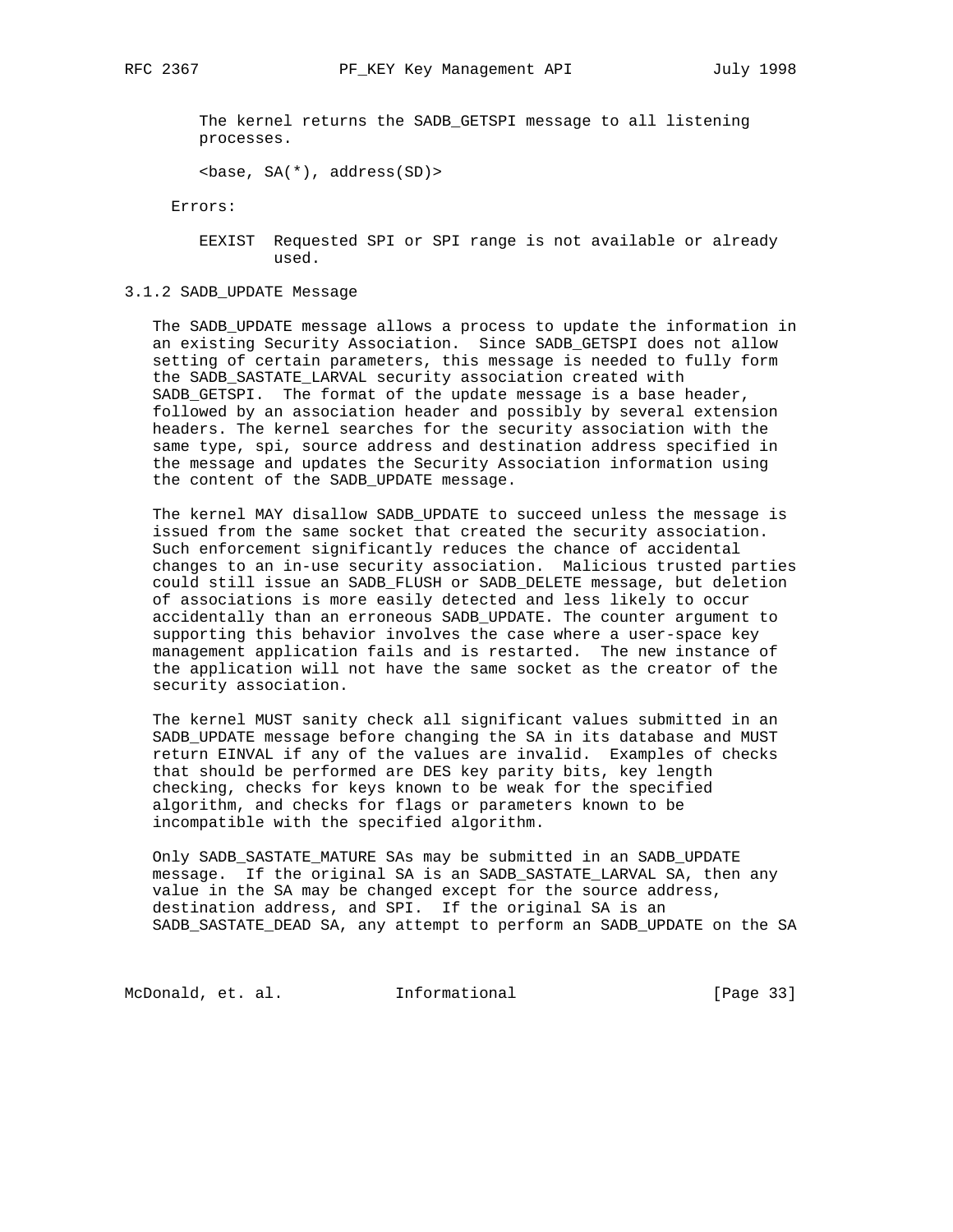The kernel returns the SADB\_GETSPI message to all listening processes.

 $\text{base}, \text{SA}(\text{*})$ , address(SD) >

Errors:

 EEXIST Requested SPI or SPI range is not available or already used.

3.1.2 SADB\_UPDATE Message

 The SADB\_UPDATE message allows a process to update the information in an existing Security Association. Since SADB\_GETSPI does not allow setting of certain parameters, this message is needed to fully form the SADB\_SASTATE\_LARVAL security association created with SADB\_GETSPI. The format of the update message is a base header, followed by an association header and possibly by several extension headers. The kernel searches for the security association with the same type, spi, source address and destination address specified in the message and updates the Security Association information using the content of the SADB\_UPDATE message.

 The kernel MAY disallow SADB\_UPDATE to succeed unless the message is issued from the same socket that created the security association. Such enforcement significantly reduces the chance of accidental changes to an in-use security association. Malicious trusted parties could still issue an SADB\_FLUSH or SADB\_DELETE message, but deletion of associations is more easily detected and less likely to occur accidentally than an erroneous SADB\_UPDATE. The counter argument to supporting this behavior involves the case where a user-space key management application fails and is restarted. The new instance of the application will not have the same socket as the creator of the security association.

 The kernel MUST sanity check all significant values submitted in an SADB UPDATE message before changing the SA in its database and MUST return EINVAL if any of the values are invalid. Examples of checks that should be performed are DES key parity bits, key length checking, checks for keys known to be weak for the specified algorithm, and checks for flags or parameters known to be incompatible with the specified algorithm.

 Only SADB\_SASTATE\_MATURE SAs may be submitted in an SADB\_UPDATE message. If the original SA is an SADB\_SASTATE\_LARVAL SA, then any value in the SA may be changed except for the source address, destination address, and SPI. If the original SA is an SADB\_SASTATE\_DEAD SA, any attempt to perform an SADB\_UPDATE on the SA

McDonald, et. al. 1nformational 1999 [Page 33]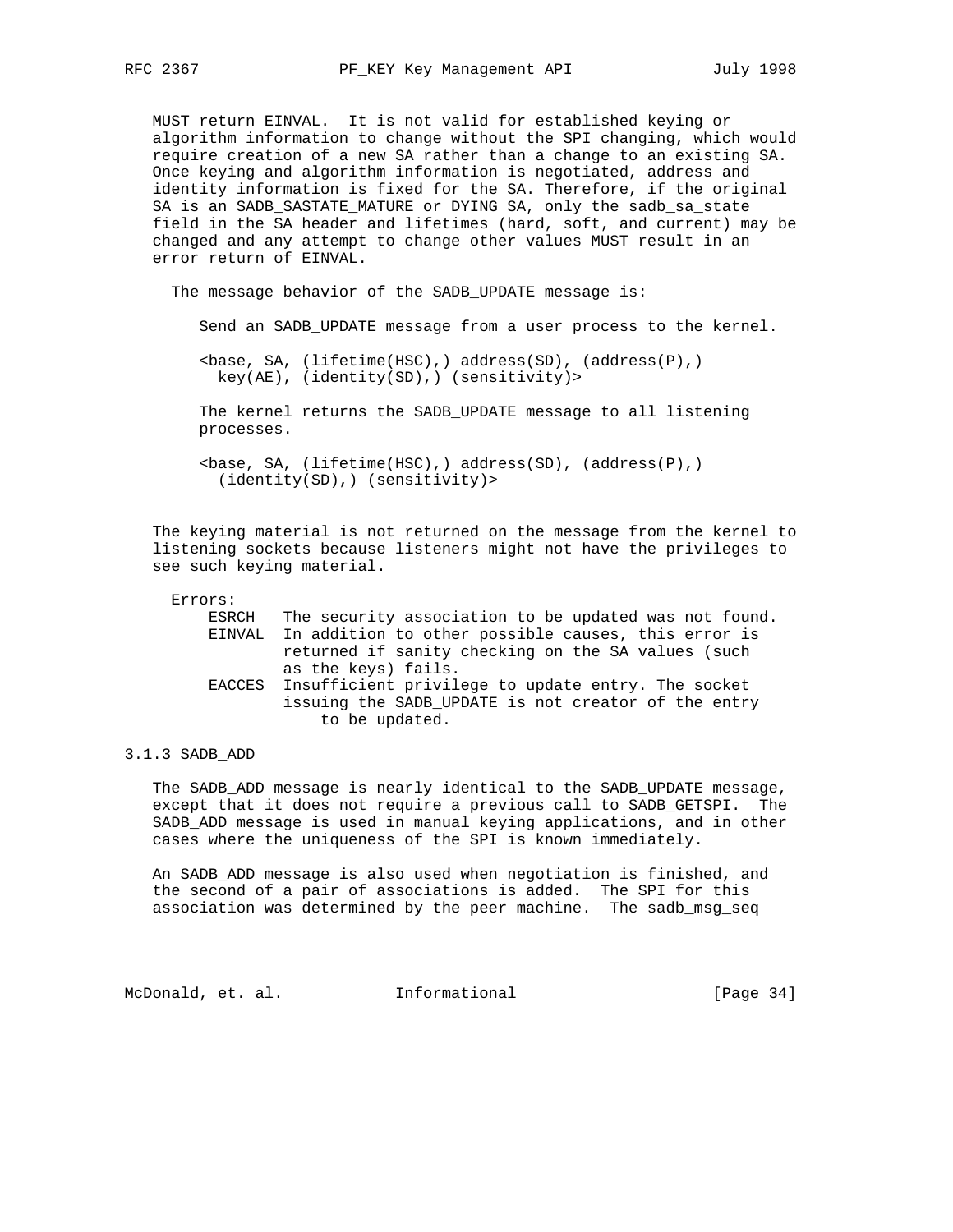MUST return EINVAL. It is not valid for established keying or algorithm information to change without the SPI changing, which would require creation of a new SA rather than a change to an existing SA. Once keying and algorithm information is negotiated, address and identity information is fixed for the SA. Therefore, if the original SA is an SADB\_SASTATE\_MATURE or DYING SA, only the sadb\_sa\_state field in the SA header and lifetimes (hard, soft, and current) may be changed and any attempt to change other values MUST result in an error return of EINVAL.

The message behavior of the SADB\_UPDATE message is:

Send an SADB\_UPDATE message from a user process to the kernel.

 $\text{phase}, \text{SA}, \text{ (lifetime(HSC)},) \text{ address(SD)}, \text{ (address(P)},)$ key(AE), (identity(SD),) (sensitivity)>

 The kernel returns the SADB\_UPDATE message to all listening processes.

 $\text{phase}, \text{SA}, \text{ (lifetime(HSC)},) \text{ address(SD)}, \text{ (address(P)},)$ (identity(SD),) (sensitivity)>

 The keying material is not returned on the message from the kernel to listening sockets because listeners might not have the privileges to see such keying material.

| Errors: |       |                                                            |
|---------|-------|------------------------------------------------------------|
|         | ESRCH | The security association to be updated was not found.      |
|         |       | EINVAL In addition to other possible causes, this error is |
|         |       | returned if sanity checking on the SA values (such         |
|         |       | as the keys) fails.                                        |
|         |       | EACCES Insufficient privilege to update entry. The socket  |
|         |       | issuing the SADB UPDATE is not creator of the entry        |
|         |       | to be updated.                                             |

#### 3.1.3 SADB\_ADD

The SADB ADD message is nearly identical to the SADB UPDATE message, except that it does not require a previous call to SADB\_GETSPI. The SADB\_ADD message is used in manual keying applications, and in other cases where the uniqueness of the SPI is known immediately.

 An SADB\_ADD message is also used when negotiation is finished, and the second of a pair of associations is added. The SPI for this association was determined by the peer machine. The sadb\_msg\_seq

McDonald, et. al. Informational [Page 34]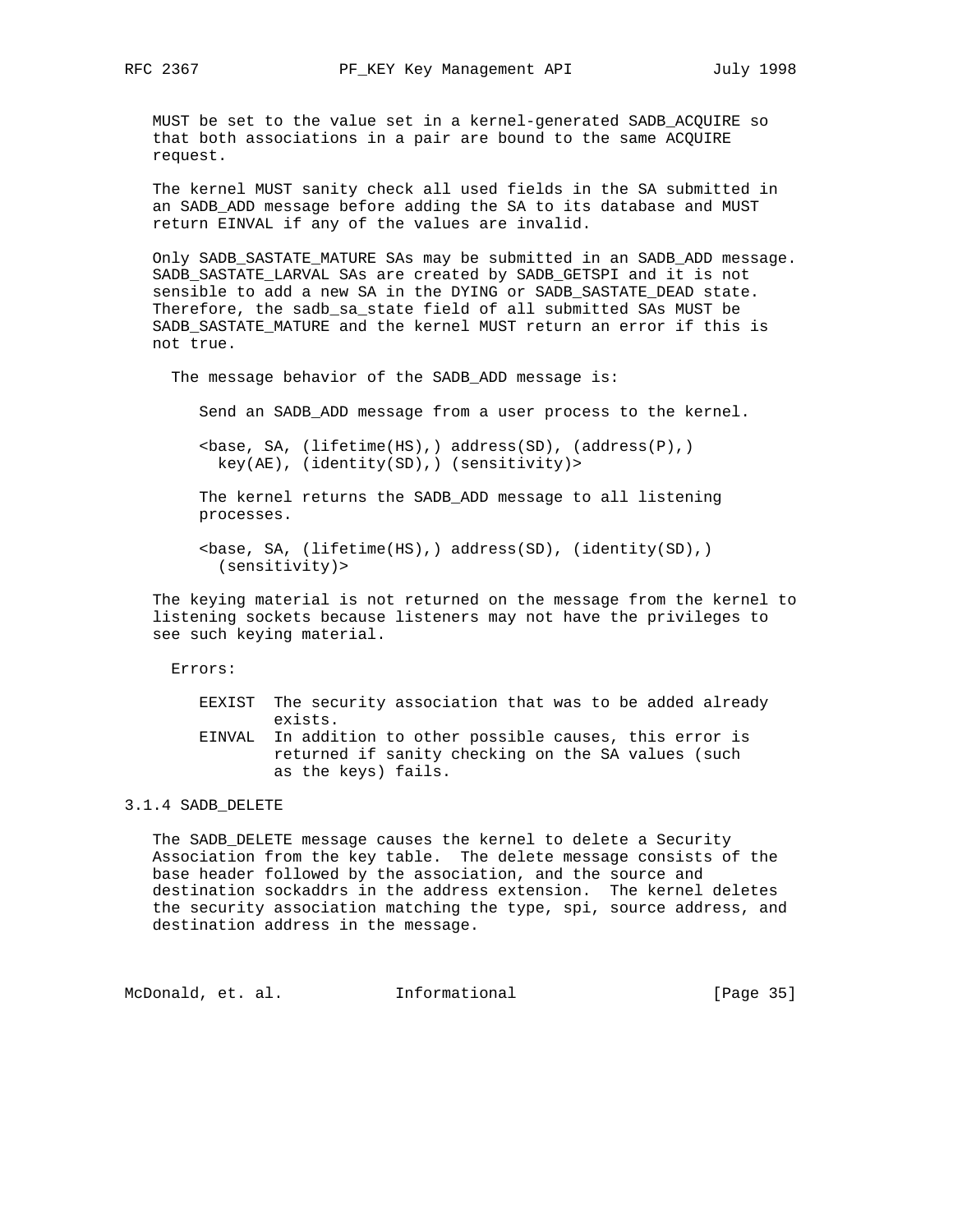MUST be set to the value set in a kernel-generated SADB\_ACQUIRE so that both associations in a pair are bound to the same ACQUIRE request.

 The kernel MUST sanity check all used fields in the SA submitted in an SADB\_ADD message before adding the SA to its database and MUST return EINVAL if any of the values are invalid.

 Only SADB\_SASTATE\_MATURE SAs may be submitted in an SADB\_ADD message. SADB\_SASTATE\_LARVAL SAs are created by SADB\_GETSPI and it is not sensible to add a new SA in the DYING or SADB\_SASTATE\_DEAD state. Therefore, the sadb\_sa\_state field of all submitted SAs MUST be SADB\_SASTATE\_MATURE and the kernel MUST return an error if this is not true.

The message behavior of the SADB\_ADD message is:

Send an SADB\_ADD message from a user process to the kernel.

 $\langle$ base, SA, (lifetime(HS),) address(SD), (address(P),) key(AE), (identity(SD),) (sensitivity)>

 The kernel returns the SADB\_ADD message to all listening processes.

 <base, SA, (lifetime(HS),) address(SD), (identity(SD),) (sensitivity)>

 The keying material is not returned on the message from the kernel to listening sockets because listeners may not have the privileges to see such keying material.

Errors:

- EEXIST The security association that was to be added already exists.
- EINVAL In addition to other possible causes, this error is returned if sanity checking on the SA values (such as the keys) fails.

## 3.1.4 SADB\_DELETE

 The SADB\_DELETE message causes the kernel to delete a Security Association from the key table. The delete message consists of the base header followed by the association, and the source and destination sockaddrs in the address extension. The kernel deletes the security association matching the type, spi, source address, and destination address in the message.

McDonald, et. al. 1nformational 1999 [Page 35]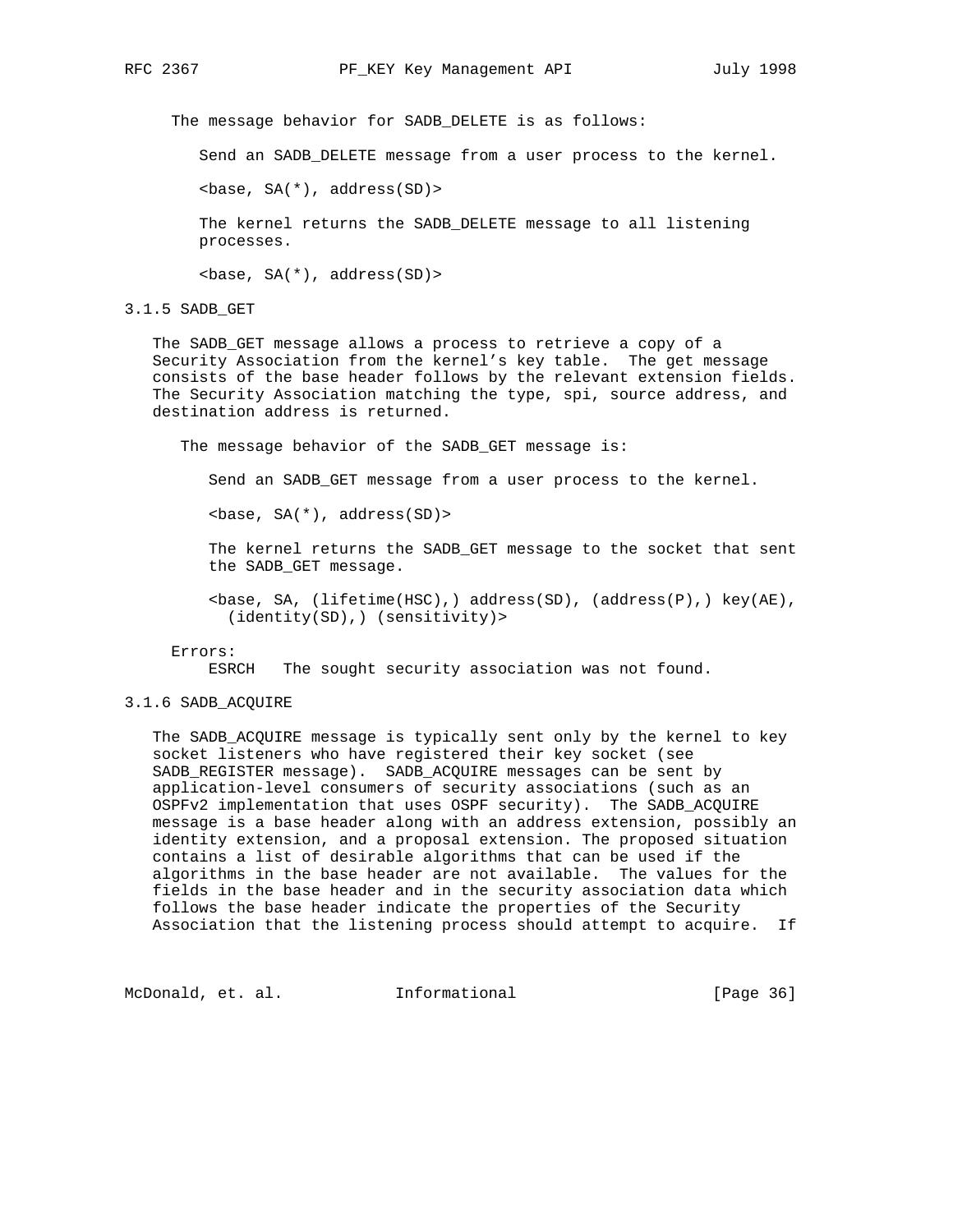The message behavior for SADB\_DELETE is as follows:

Send an SADB\_DELETE message from a user process to the kernel.

 $\text{base}, \text{SA}(\text{*})$ , address(SD) >

 The kernel returns the SADB\_DELETE message to all listening processes.

<base, SA(\*), address(SD)>

3.1.5 SADB\_GET

 The SADB\_GET message allows a process to retrieve a copy of a Security Association from the kernel's key table. The get message consists of the base header follows by the relevant extension fields. The Security Association matching the type, spi, source address, and destination address is returned.

The message behavior of the SADB\_GET message is:

Send an SADB\_GET message from a user process to the kernel.

<base, SA(\*), address(SD)>

 The kernel returns the SADB\_GET message to the socket that sent the SADB\_GET message.

 <base, SA, (lifetime(HSC),) address(SD), (address(P),) key(AE), (identity(SD),) (sensitivity)>

#### Errors:

ESRCH The sought security association was not found.

## 3.1.6 SADB\_ACQUIRE

 The SADB\_ACQUIRE message is typically sent only by the kernel to key socket listeners who have registered their key socket (see SADB\_REGISTER message). SADB\_ACQUIRE messages can be sent by application-level consumers of security associations (such as an OSPFv2 implementation that uses OSPF security). The SADB\_ACQUIRE message is a base header along with an address extension, possibly an identity extension, and a proposal extension. The proposed situation contains a list of desirable algorithms that can be used if the algorithms in the base header are not available. The values for the fields in the base header and in the security association data which follows the base header indicate the properties of the Security Association that the listening process should attempt to acquire. If

McDonald, et. al. 1nformational [Page 36]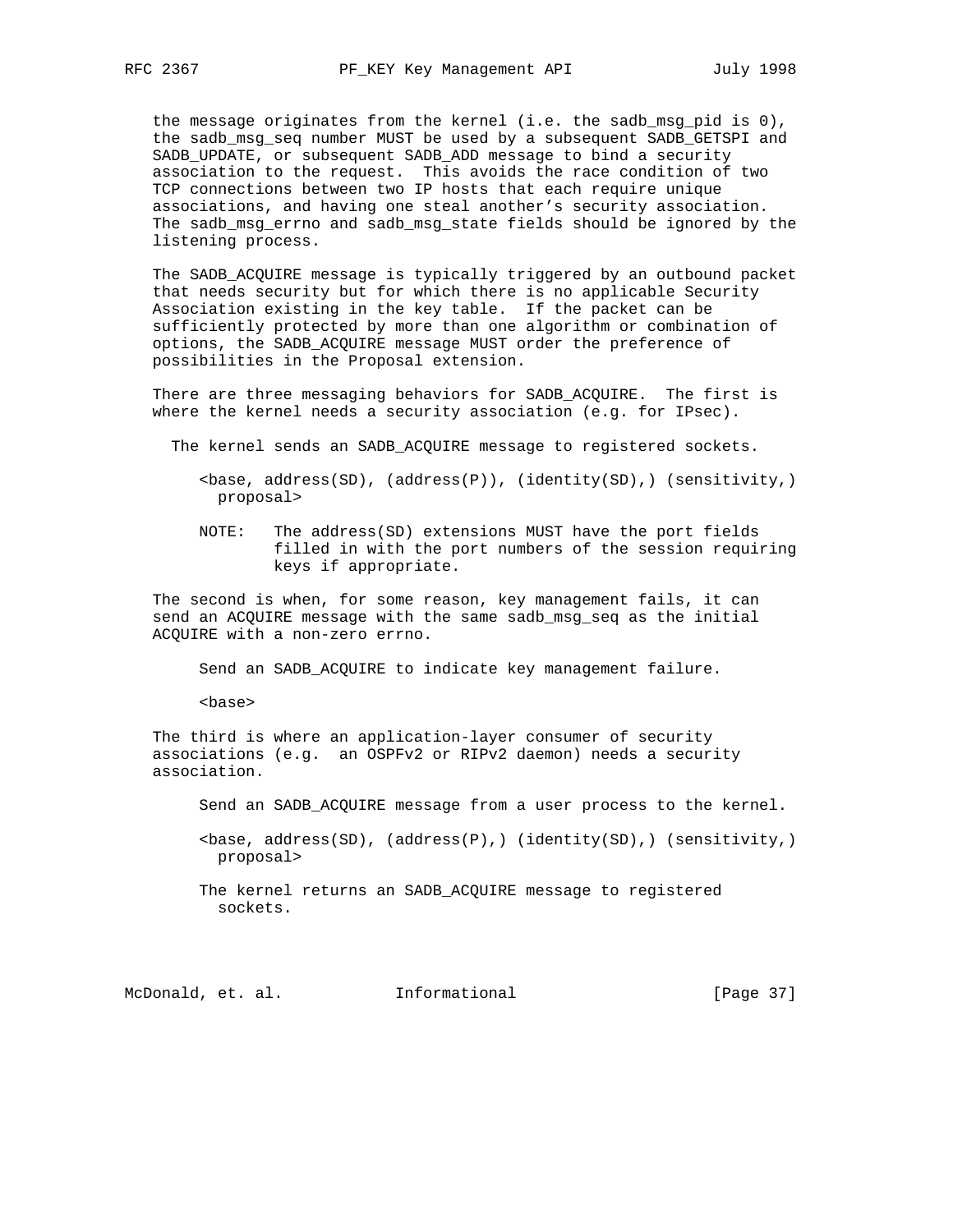the message originates from the kernel (i.e. the sadb\_msg\_pid is 0), the sadb\_msg\_seq number MUST be used by a subsequent SADB\_GETSPI and SADB\_UPDATE, or subsequent SADB\_ADD message to bind a security association to the request. This avoids the race condition of two TCP connections between two IP hosts that each require unique associations, and having one steal another's security association. The sadb\_msg\_errno and sadb\_msg\_state fields should be ignored by the listening process.

 The SADB\_ACQUIRE message is typically triggered by an outbound packet that needs security but for which there is no applicable Security Association existing in the key table. If the packet can be sufficiently protected by more than one algorithm or combination of options, the SADB\_ACQUIRE message MUST order the preference of possibilities in the Proposal extension.

 There are three messaging behaviors for SADB\_ACQUIRE. The first is where the kernel needs a security association (e.g. for IPsec).

The kernel sends an SADB\_ACQUIRE message to registered sockets.

 <base, address(SD), (address(P)), (identity(SD),) (sensitivity,) proposal>

 NOTE: The address(SD) extensions MUST have the port fields filled in with the port numbers of the session requiring keys if appropriate.

 The second is when, for some reason, key management fails, it can send an ACQUIRE message with the same sadb\_msg\_seq as the initial ACQUIRE with a non-zero errno.

Send an SADB\_ACQUIRE to indicate key management failure.

<base>

 The third is where an application-layer consumer of security associations (e.g. an OSPFv2 or RIPv2 daemon) needs a security association.

Send an SADB\_ACQUIRE message from a user process to the kernel.

 <base, address(SD), (address(P),) (identity(SD),) (sensitivity,) proposal>

 The kernel returns an SADB\_ACQUIRE message to registered sockets.

McDonald, et. al. Informational [Page 37]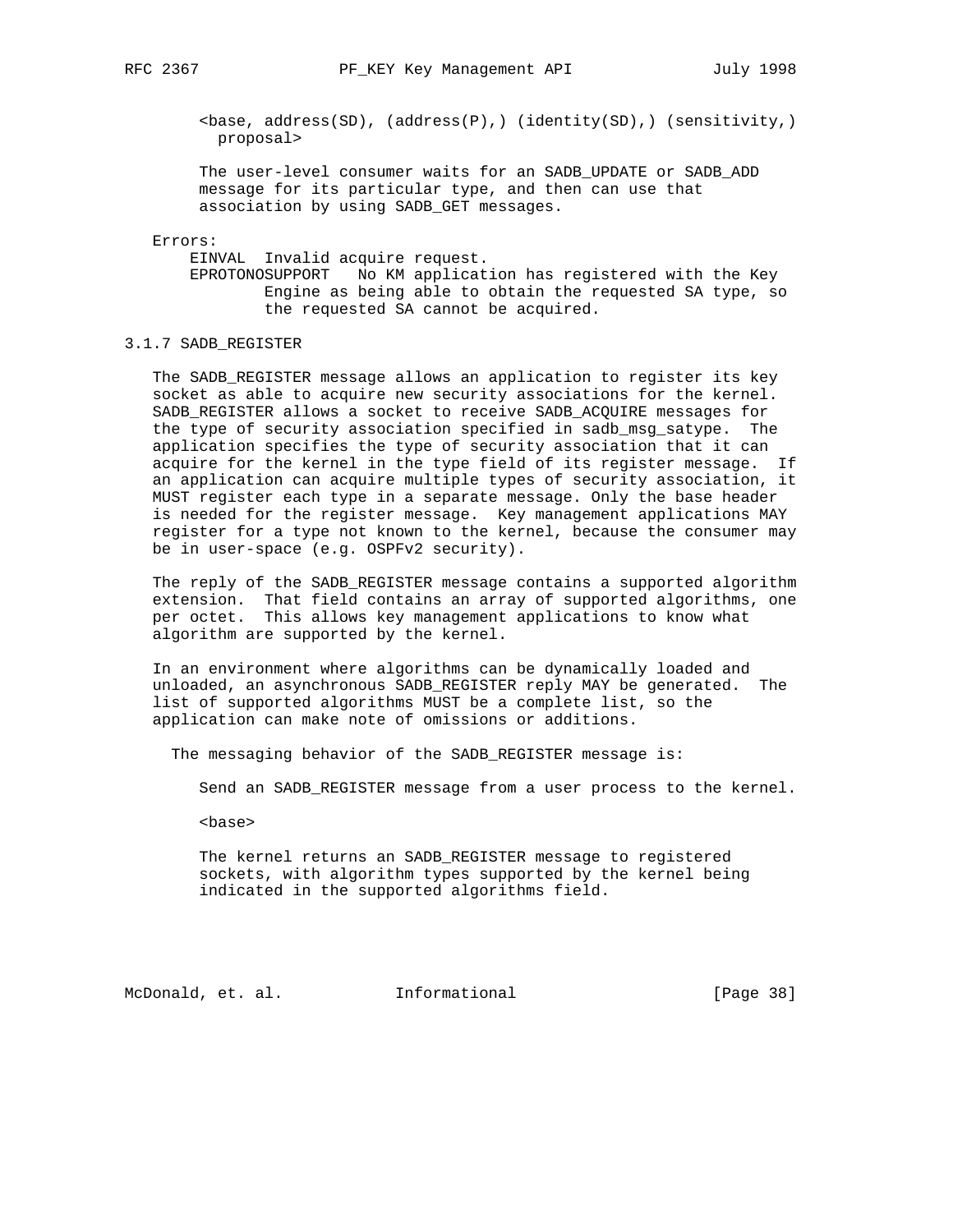<base, address(SD), (address(P),) (identity(SD),) (sensitivity,) proposal>

 The user-level consumer waits for an SADB\_UPDATE or SADB\_ADD message for its particular type, and then can use that association by using SADB\_GET messages.

#### Errors:

 EINVAL Invalid acquire request. EPROTONOSUPPORT No KM application has registered with the Key Engine as being able to obtain the requested SA type, so the requested SA cannot be acquired.

## 3.1.7 SADB\_REGISTER

 The SADB\_REGISTER message allows an application to register its key socket as able to acquire new security associations for the kernel. SADB\_REGISTER allows a socket to receive SADB\_ACQUIRE messages for the type of security association specified in sadb\_msg\_satype. The application specifies the type of security association that it can acquire for the kernel in the type field of its register message. If an application can acquire multiple types of security association, it MUST register each type in a separate message. Only the base header is needed for the register message. Key management applications MAY register for a type not known to the kernel, because the consumer may be in user-space (e.g. OSPFv2 security).

 The reply of the SADB\_REGISTER message contains a supported algorithm extension. That field contains an array of supported algorithms, one per octet. This allows key management applications to know what algorithm are supported by the kernel.

 In an environment where algorithms can be dynamically loaded and unloaded, an asynchronous SADB\_REGISTER reply MAY be generated. The list of supported algorithms MUST be a complete list, so the application can make note of omissions or additions.

The messaging behavior of the SADB\_REGISTER message is:

Send an SADB\_REGISTER message from a user process to the kernel.

<base>

 The kernel returns an SADB\_REGISTER message to registered sockets, with algorithm types supported by the kernel being indicated in the supported algorithms field.

McDonald, et. al. Informational [Page 38]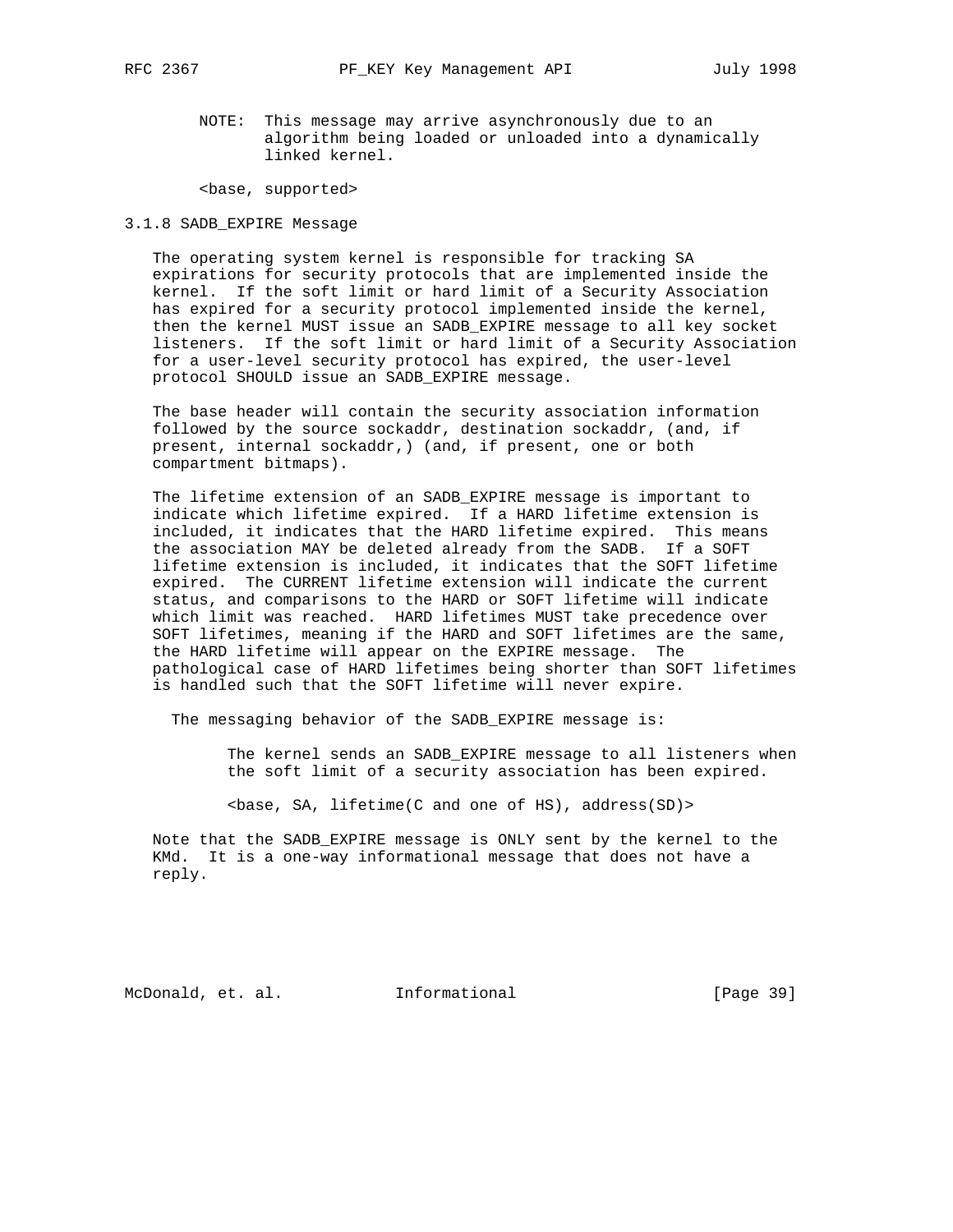NOTE: This message may arrive asynchronously due to an algorithm being loaded or unloaded into a dynamically linked kernel.

<base, supported>

3.1.8 SADB\_EXPIRE Message

 The operating system kernel is responsible for tracking SA expirations for security protocols that are implemented inside the kernel. If the soft limit or hard limit of a Security Association has expired for a security protocol implemented inside the kernel, then the kernel MUST issue an SADB\_EXPIRE message to all key socket listeners. If the soft limit or hard limit of a Security Association for a user-level security protocol has expired, the user-level protocol SHOULD issue an SADB\_EXPIRE message.

 The base header will contain the security association information followed by the source sockaddr, destination sockaddr, (and, if present, internal sockaddr,) (and, if present, one or both compartment bitmaps).

 The lifetime extension of an SADB\_EXPIRE message is important to indicate which lifetime expired. If a HARD lifetime extension is included, it indicates that the HARD lifetime expired. This means the association MAY be deleted already from the SADB. If a SOFT lifetime extension is included, it indicates that the SOFT lifetime expired. The CURRENT lifetime extension will indicate the current status, and comparisons to the HARD or SOFT lifetime will indicate which limit was reached. HARD lifetimes MUST take precedence over SOFT lifetimes, meaning if the HARD and SOFT lifetimes are the same, the HARD lifetime will appear on the EXPIRE message. The pathological case of HARD lifetimes being shorter than SOFT lifetimes is handled such that the SOFT lifetime will never expire.

The messaging behavior of the SADB\_EXPIRE message is:

 The kernel sends an SADB\_EXPIRE message to all listeners when the soft limit of a security association has been expired.

<base, SA, lifetime(C and one of HS), address(SD)>

 Note that the SADB\_EXPIRE message is ONLY sent by the kernel to the KMd. It is a one-way informational message that does not have a reply.

McDonald, et. al. Informational [Page 39]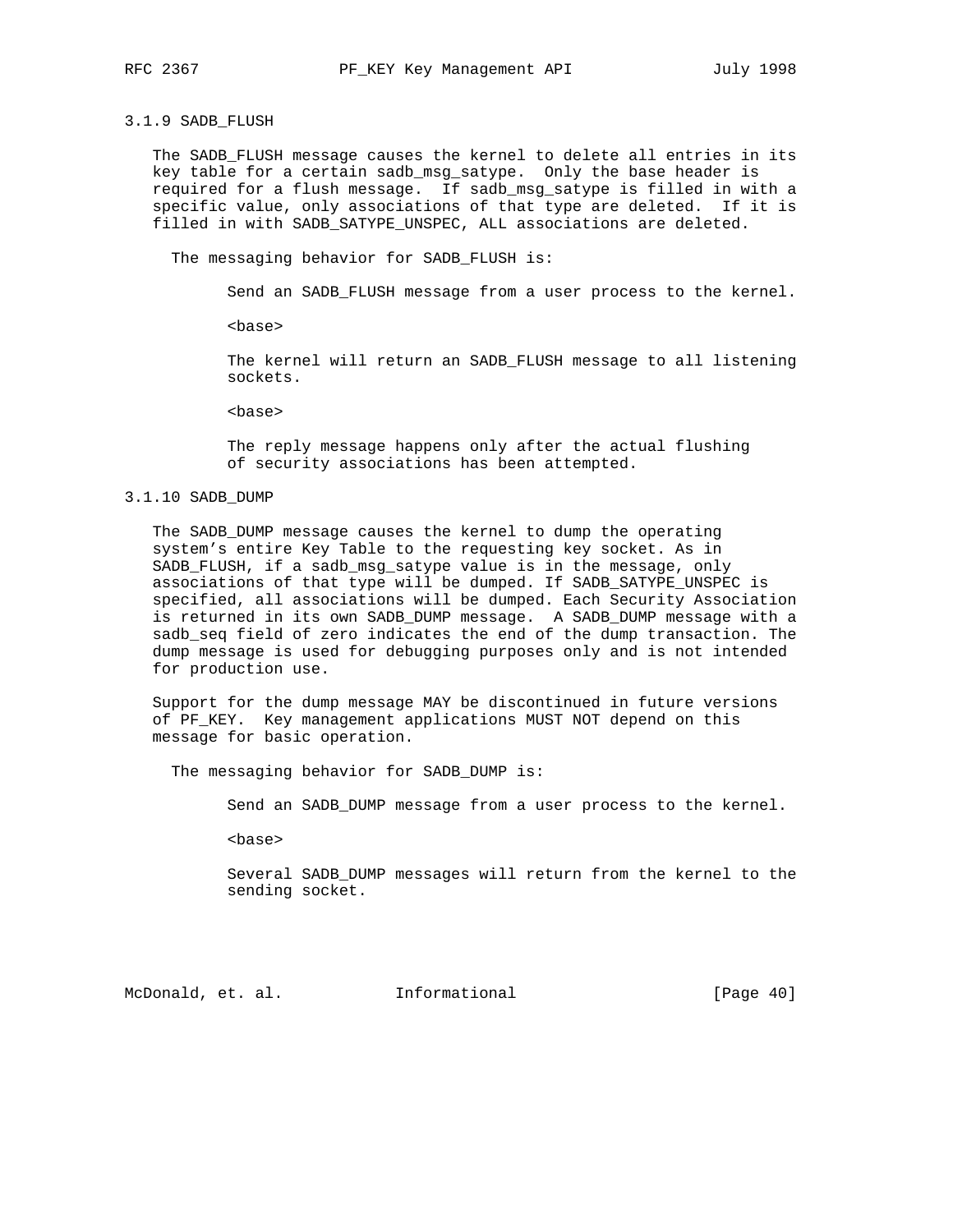#### 3.1.9 SADB\_FLUSH

 The SADB\_FLUSH message causes the kernel to delete all entries in its key table for a certain sadb\_msg\_satype. Only the base header is required for a flush message. If sadb\_msg\_satype is filled in with a specific value, only associations of that type are deleted. If it is filled in with SADB\_SATYPE\_UNSPEC, ALL associations are deleted.

The messaging behavior for SADB\_FLUSH is:

Send an SADB\_FLUSH message from a user process to the kernel.

<base>

 The kernel will return an SADB\_FLUSH message to all listening sockets.

<base>

 The reply message happens only after the actual flushing of security associations has been attempted.

## 3.1.10 SADB\_DUMP

 The SADB\_DUMP message causes the kernel to dump the operating system's entire Key Table to the requesting key socket. As in SADB\_FLUSH, if a sadb\_msg\_satype value is in the message, only associations of that type will be dumped. If SADB\_SATYPE\_UNSPEC is specified, all associations will be dumped. Each Security Association is returned in its own SADB\_DUMP message. A SADB\_DUMP message with a sadb\_seq field of zero indicates the end of the dump transaction. The dump message is used for debugging purposes only and is not intended for production use.

 Support for the dump message MAY be discontinued in future versions of PF\_KEY. Key management applications MUST NOT depend on this message for basic operation.

The messaging behavior for SADB\_DUMP is:

Send an SADB\_DUMP message from a user process to the kernel.

<base>

 Several SADB\_DUMP messages will return from the kernel to the sending socket.

McDonald, et. al. Informational [Page 40]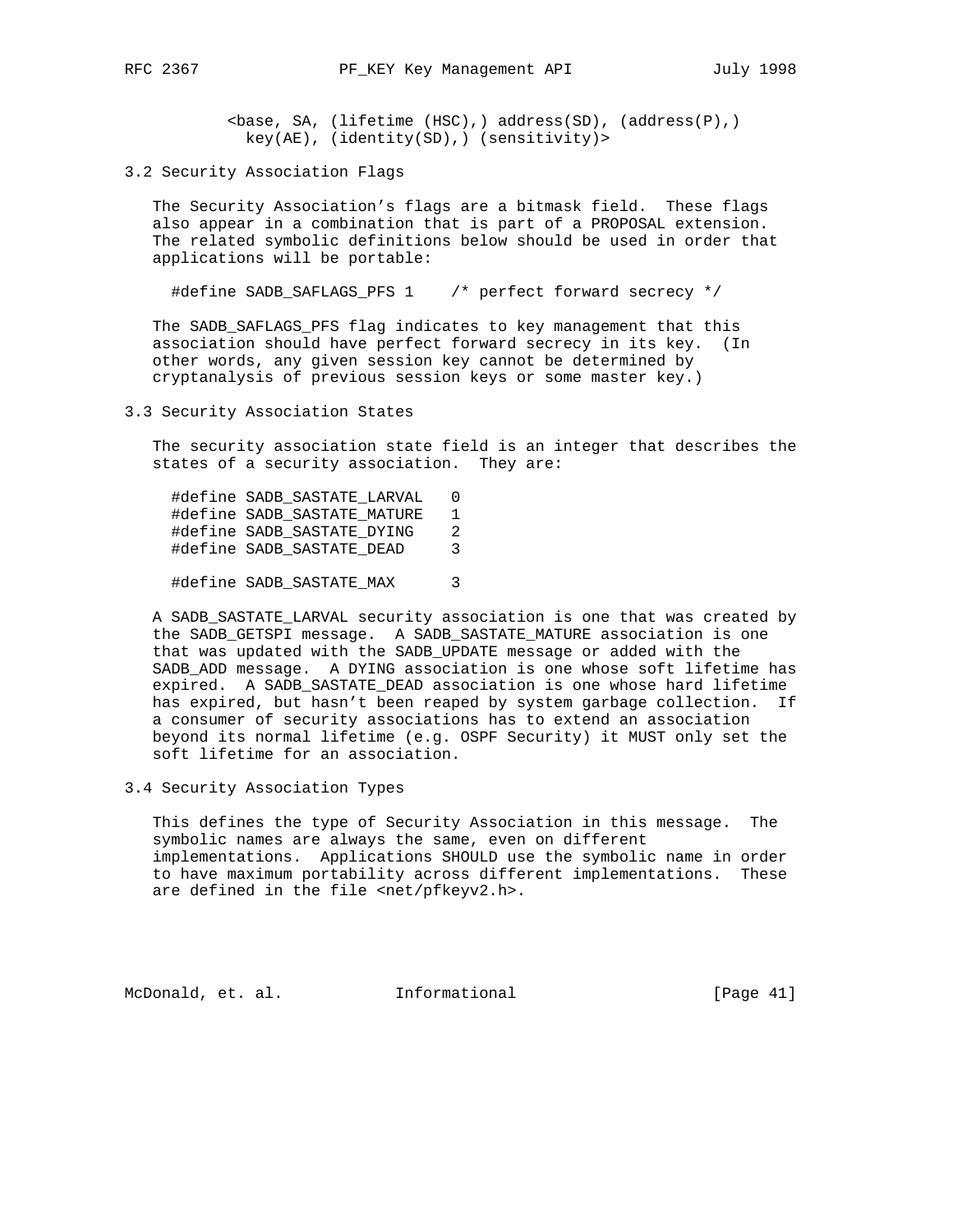<base, SA, (lifetime (HSC),) address(SD), (address(P),) key(AE), (identity(SD),) (sensitivity)>

3.2 Security Association Flags

 The Security Association's flags are a bitmask field. These flags also appear in a combination that is part of a PROPOSAL extension. The related symbolic definitions below should be used in order that applications will be portable:

#define SADB\_SAFLAGS\_PFS 1 /\* perfect forward secrecy \*/

 The SADB\_SAFLAGS\_PFS flag indicates to key management that this association should have perfect forward secrecy in its key. (In other words, any given session key cannot be determined by cryptanalysis of previous session keys or some master key.)

3.3 Security Association States

 The security association state field is an integer that describes the states of a security association. They are:

| #define SADB SASTATE LARVAL | 0              |
|-----------------------------|----------------|
| #define SADB SASTATE MATURE | 1              |
| #define SADB SASTATE DYING  | $\mathfrak{D}$ |
| #define SADB SASTATE DEAD   | 3              |
|                             |                |

#define SADB\_SASTATE\_MAX 3

 A SADB\_SASTATE\_LARVAL security association is one that was created by the SADB\_GETSPI message. A SADB\_SASTATE\_MATURE association is one that was updated with the SADB\_UPDATE message or added with the SADB\_ADD message. A DYING association is one whose soft lifetime has expired. A SADB\_SASTATE\_DEAD association is one whose hard lifetime has expired, but hasn't been reaped by system garbage collection. If a consumer of security associations has to extend an association beyond its normal lifetime (e.g. OSPF Security) it MUST only set the soft lifetime for an association.

3.4 Security Association Types

 This defines the type of Security Association in this message. The symbolic names are always the same, even on different implementations. Applications SHOULD use the symbolic name in order to have maximum portability across different implementations. These are defined in the file <net/pfkeyv2.h>.

McDonald, et. al. Informational [Page 41]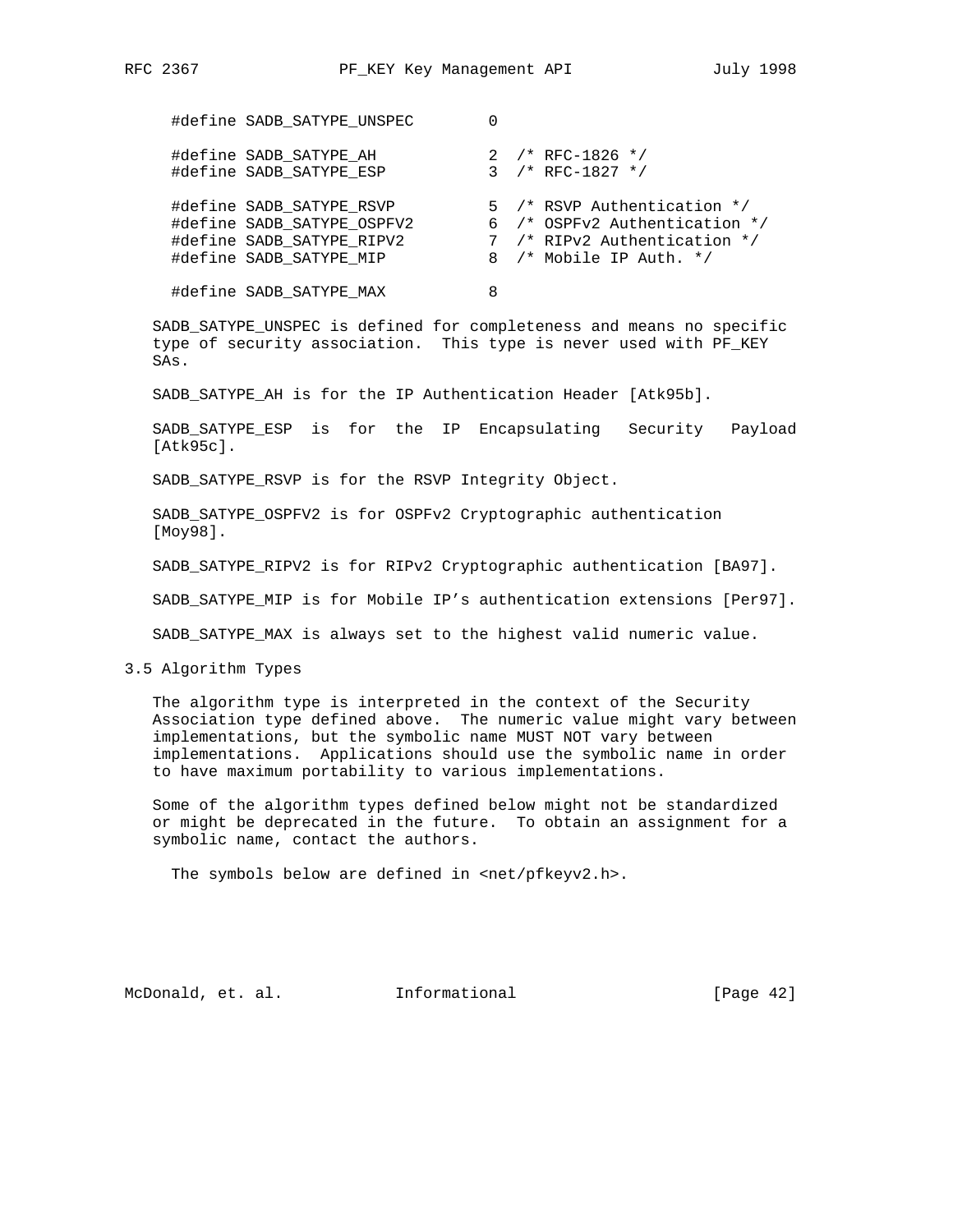| #define SADB_SATYPE_UNSPEC                                                                                     |   |                                                                                                                         |
|----------------------------------------------------------------------------------------------------------------|---|-------------------------------------------------------------------------------------------------------------------------|
| #define SADB SATYPE AH<br>#define SADB_SATYPE ESP                                                              |   | 2 /* RFC-1826 */<br>$3 / * RFC-1827 * /$                                                                                |
| #define SADB SATYPE RSVP<br>#define SADB SATYPE OSPFV2<br>#define SADB SATYPE RIPV2<br>#define SADB SATYPE MIP |   | 5 /* RSVP Authentication */<br>6 /* OSPFv2 Authentication */<br>7 /* RIPv2 Authentication */<br>8 /* Mobile IP Auth. */ |
| #define SADB SATYPE MAX                                                                                        | 8 |                                                                                                                         |

 SADB\_SATYPE\_UNSPEC is defined for completeness and means no specific type of security association. This type is never used with PF\_KEY SAs.

SADB\_SATYPE\_AH is for the IP Authentication Header [Atk95b].

 SADB\_SATYPE\_ESP is for the IP Encapsulating Security Payload [Atk95c].

SADB\_SATYPE\_RSVP is for the RSVP Integrity Object.

 SADB\_SATYPE\_OSPFV2 is for OSPFv2 Cryptographic authentication [Moy98].

SADB\_SATYPE\_RIPV2 is for RIPv2 Cryptographic authentication [BA97].

SADB\_SATYPE\_MIP is for Mobile IP's authentication extensions [Per97].

SADB\_SATYPE\_MAX is always set to the highest valid numeric value.

3.5 Algorithm Types

 The algorithm type is interpreted in the context of the Security Association type defined above. The numeric value might vary between implementations, but the symbolic name MUST NOT vary between implementations. Applications should use the symbolic name in order to have maximum portability to various implementations.

 Some of the algorithm types defined below might not be standardized or might be deprecated in the future. To obtain an assignment for a symbolic name, contact the authors.

The symbols below are defined in <net/pfkeyv2.h>.

McDonald, et. al. Informational [Page 42]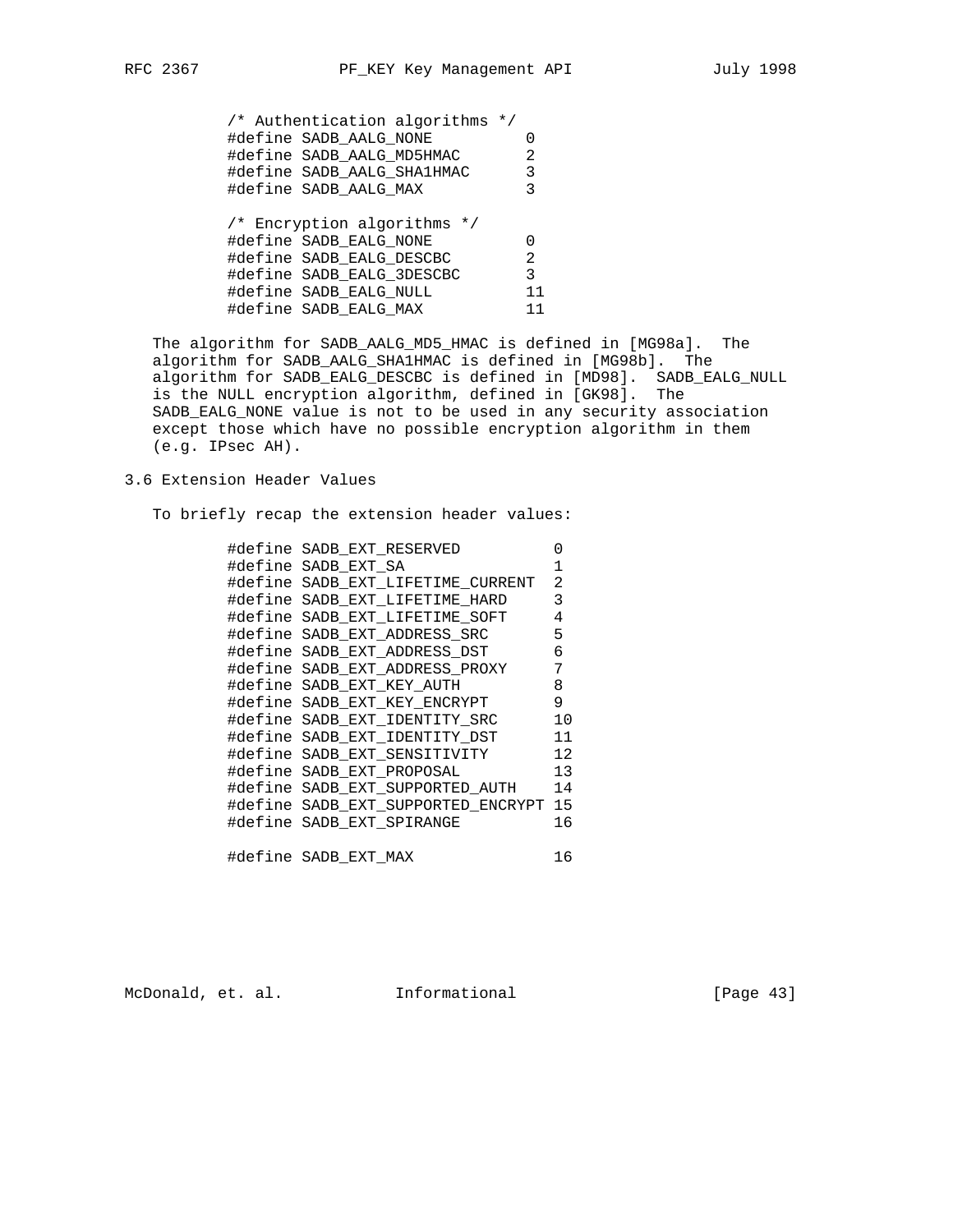/\* Authentication algorithms \*/ #define SADB\_AALG\_NONE 0 #define SADB\_AALG\_MD5HMAC 2 #define SADB\_AALG\_SHA1HMAC 3 #define SADB\_AALG\_MAX 3 /\* Encryption algorithms \*/ #define SADB\_EALG\_NONE 0 #define SADB\_EALG\_DESCBC 2 #define SADB\_EALG\_3DESCBC 3 #define SADB\_EALG\_NULL 11 #define SADB\_EALG\_MAX 11

 The algorithm for SADB\_AALG\_MD5\_HMAC is defined in [MG98a]. The algorithm for SADB\_AALG\_SHA1HMAC is defined in [MG98b]. The algorithm for SADB\_EALG\_DESCBC is defined in [MD98]. SADB\_EALG\_NULL is the NULL encryption algorithm, defined in [GK98]. The SADB\_EALG\_NONE value is not to be used in any security association except those which have no possible encryption algorithm in them (e.g. IPsec AH).

3.6 Extension Header Values

To briefly recap the extension header values:

| #define SADB EXT RESERVED             | 0              |
|---------------------------------------|----------------|
| #define SADB EXT SA                   | $\mathbf{1}$   |
| #define SADB EXT LIFETIME CURRENT     | 2              |
| #define SADB_EXT_LIFETIME_HARD        | 3              |
| #define SADB EXT LIFETIME SOFT        | $\overline{4}$ |
| #define SADB EXT ADDRESS SRC          | 5              |
| #define SADB_EXT_ADDRESS_DST          | 6              |
| #define SADB EXT ADDRESS PROXY        | 7              |
| #define SADB EXT KEY AUTH             | 8              |
| #define SADB EXT KEY ENCRYPT          | 9              |
| #define SADB EXT IDENTITY SRC         | 10             |
| #define SADB EXT IDENTITY DST         | 11             |
| #define SADB_EXT_SENSITIVITY          | 12             |
| #define SADB EXT PROPOSAL             | 13             |
| #define SADB_EXT_SUPPORTED_AUTH       | 14             |
| #define SADB_EXT_SUPPORTED_ENCRYPT 15 |                |
| #define SADB EXT SPIRANGE             | 16             |
| #define SADB EXT MAX                  | 16             |

McDonald, et. al. 1nformational 1999 [Page 43]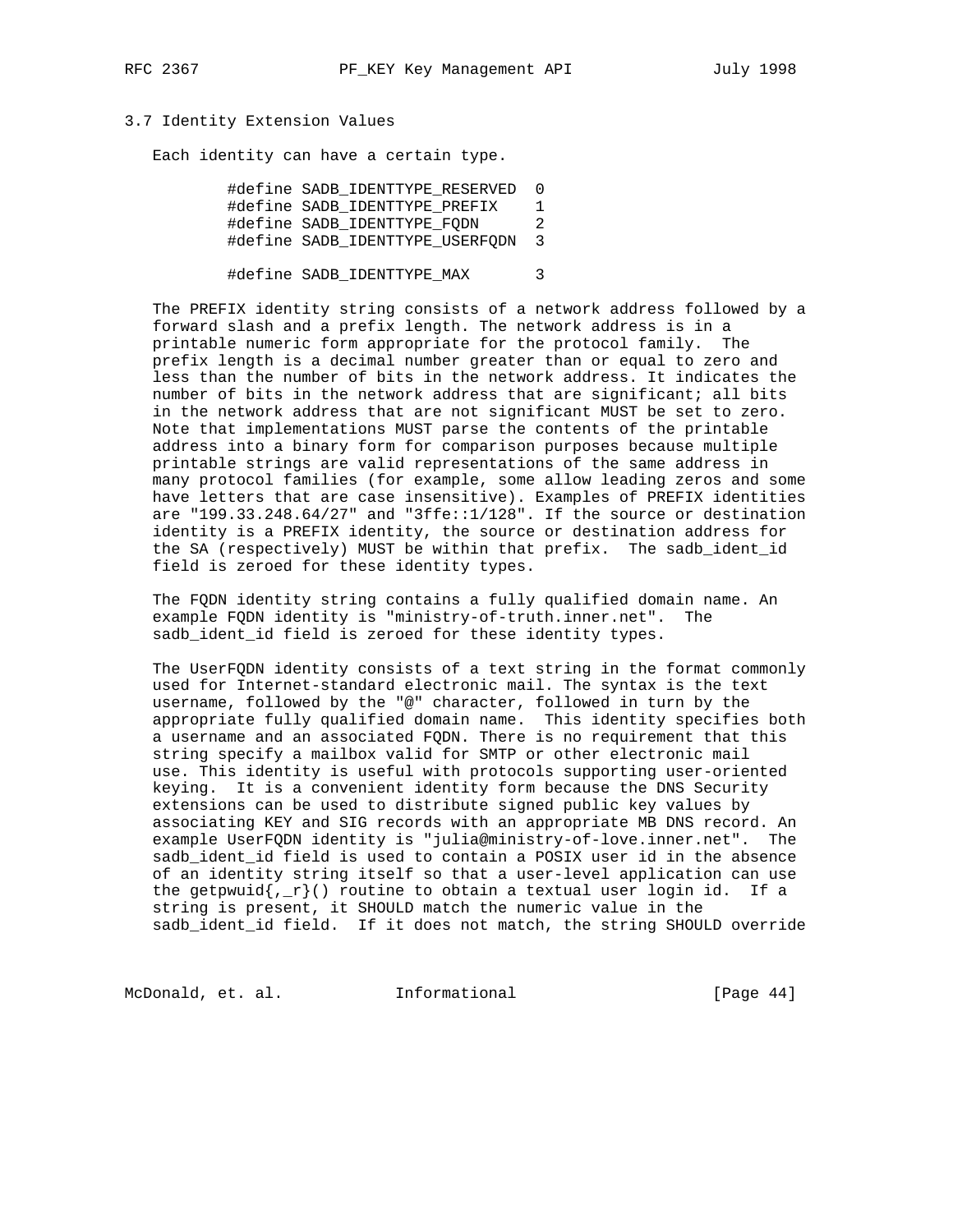## 3.7 Identity Extension Values

Each identity can have a certain type.

 #define SADB\_IDENTTYPE\_RESERVED 0 #define SADB\_IDENTTYPE\_PREFIX 1 #define SADB\_IDENTTYPE\_FQDN 2 #define SADB\_IDENTTYPE\_USERFQDN 3

#define SADB\_IDENTTYPE\_MAX 3

 The PREFIX identity string consists of a network address followed by a forward slash and a prefix length. The network address is in a printable numeric form appropriate for the protocol family. The prefix length is a decimal number greater than or equal to zero and less than the number of bits in the network address. It indicates the number of bits in the network address that are significant; all bits in the network address that are not significant MUST be set to zero. Note that implementations MUST parse the contents of the printable address into a binary form for comparison purposes because multiple printable strings are valid representations of the same address in many protocol families (for example, some allow leading zeros and some have letters that are case insensitive). Examples of PREFIX identities are "199.33.248.64/27" and "3ffe::1/128". If the source or destination identity is a PREFIX identity, the source or destination address for the SA (respectively) MUST be within that prefix. The sadb\_ident\_id field is zeroed for these identity types.

 The FQDN identity string contains a fully qualified domain name. An example FQDN identity is "ministry-of-truth.inner.net". The sadb\_ident\_id field is zeroed for these identity types.

 The UserFQDN identity consists of a text string in the format commonly used for Internet-standard electronic mail. The syntax is the text username, followed by the "@" character, followed in turn by the appropriate fully qualified domain name. This identity specifies both a username and an associated FQDN. There is no requirement that this string specify a mailbox valid for SMTP or other electronic mail use. This identity is useful with protocols supporting user-oriented keying. It is a convenient identity form because the DNS Security extensions can be used to distribute signed public key values by associating KEY and SIG records with an appropriate MB DNS record. An example UserFQDN identity is "julia@ministry-of-love.inner.net". The sadb\_ident\_id field is used to contain a POSIX user id in the absence of an identity string itself so that a user-level application can use the getpwuid ${r_r}($ ) routine to obtain a textual user login id. If a string is present, it SHOULD match the numeric value in the sadb\_ident\_id field. If it does not match, the string SHOULD override

McDonald, et. al. 1nformational 1999 [Page 44]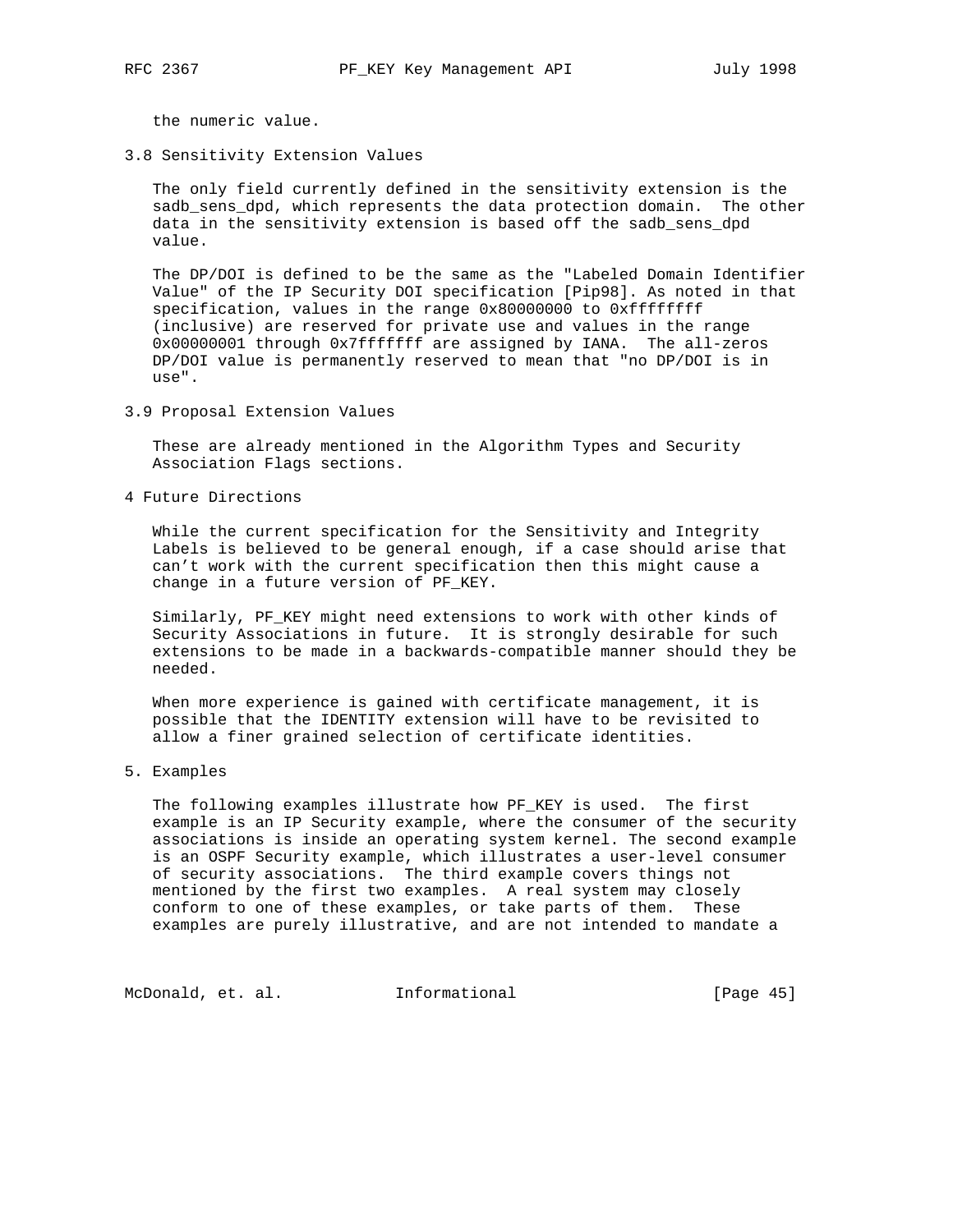the numeric value.

3.8 Sensitivity Extension Values

 The only field currently defined in the sensitivity extension is the sadb\_sens\_dpd, which represents the data protection domain. The other data in the sensitivity extension is based off the sadb\_sens\_dpd value.

 The DP/DOI is defined to be the same as the "Labeled Domain Identifier Value" of the IP Security DOI specification [Pip98]. As noted in that specification, values in the range 0x80000000 to 0xffffffff (inclusive) are reserved for private use and values in the range 0x00000001 through 0x7fffffff are assigned by IANA. The all-zeros DP/DOI value is permanently reserved to mean that "no DP/DOI is in use".

3.9 Proposal Extension Values

 These are already mentioned in the Algorithm Types and Security Association Flags sections.

4 Future Directions

 While the current specification for the Sensitivity and Integrity Labels is believed to be general enough, if a case should arise that can't work with the current specification then this might cause a change in a future version of PF\_KEY.

 Similarly, PF\_KEY might need extensions to work with other kinds of Security Associations in future. It is strongly desirable for such extensions to be made in a backwards-compatible manner should they be needed.

 When more experience is gained with certificate management, it is possible that the IDENTITY extension will have to be revisited to allow a finer grained selection of certificate identities.

5. Examples

 The following examples illustrate how PF\_KEY is used. The first example is an IP Security example, where the consumer of the security associations is inside an operating system kernel. The second example is an OSPF Security example, which illustrates a user-level consumer of security associations. The third example covers things not mentioned by the first two examples. A real system may closely conform to one of these examples, or take parts of them. These examples are purely illustrative, and are not intended to mandate a

McDonald, et. al. 1nformational 1999 [Page 45]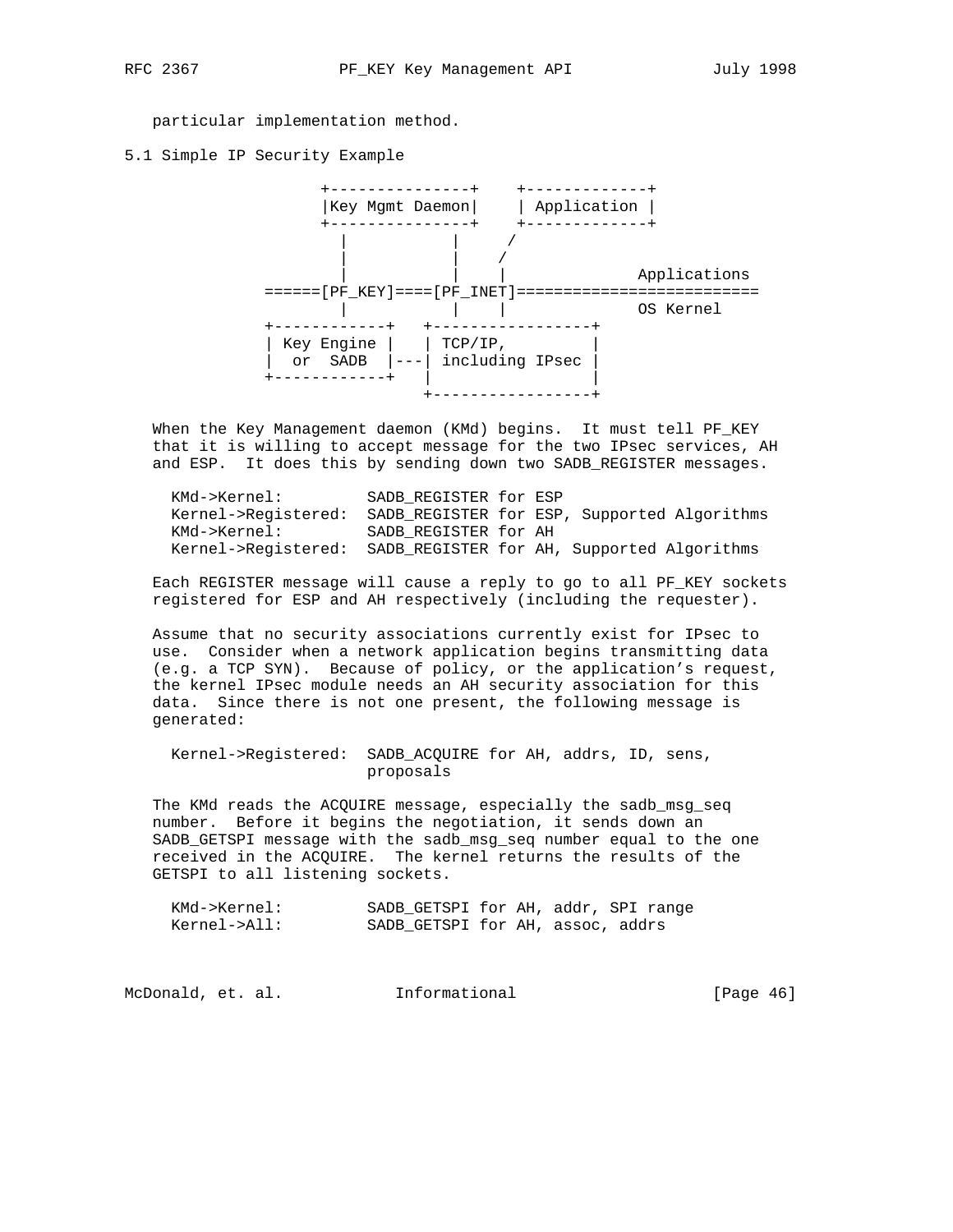particular implementation method.

5.1 Simple IP Security Example



 When the Key Management daemon (KMd) begins. It must tell PF\_KEY that it is willing to accept message for the two IPsec services, AH and ESP. It does this by sending down two SADB\_REGISTER messages.

| KMd->Kernel:                                                   | SADB REGISTER for ESP |  |                                                                 |
|----------------------------------------------------------------|-----------------------|--|-----------------------------------------------------------------|
|                                                                |                       |  | Kernel->Reqistered: SADB REGISTER for ESP, Supported Algorithms |
| KMd->Kernel:                                                   | SADB REGISTER for AH  |  |                                                                 |
| Kernel->Reqistered: SADB_REGISTER for AH, Supported Algorithms |                       |  |                                                                 |

 Each REGISTER message will cause a reply to go to all PF\_KEY sockets registered for ESP and AH respectively (including the requester).

 Assume that no security associations currently exist for IPsec to use. Consider when a network application begins transmitting data (e.g. a TCP SYN). Because of policy, or the application's request, the kernel IPsec module needs an AH security association for this data. Since there is not one present, the following message is generated:

 Kernel->Registered: SADB\_ACQUIRE for AH, addrs, ID, sens, proposals

 The KMd reads the ACQUIRE message, especially the sadb\_msg\_seq number. Before it begins the negotiation, it sends down an SADB\_GETSPI message with the sadb\_msg\_seq number equal to the one received in the ACQUIRE. The kernel returns the results of the GETSPI to all listening sockets.

| KMd->Kernel: | SADB GETSPI for AH, addr, SPI range |  |  |
|--------------|-------------------------------------|--|--|
| Kernel->All: | SADB GETSPI for AH, assoc, addrs    |  |  |

| Informational<br>McDonald, et. al. | [Page $46$ ] |  |
|------------------------------------|--------------|--|
|------------------------------------|--------------|--|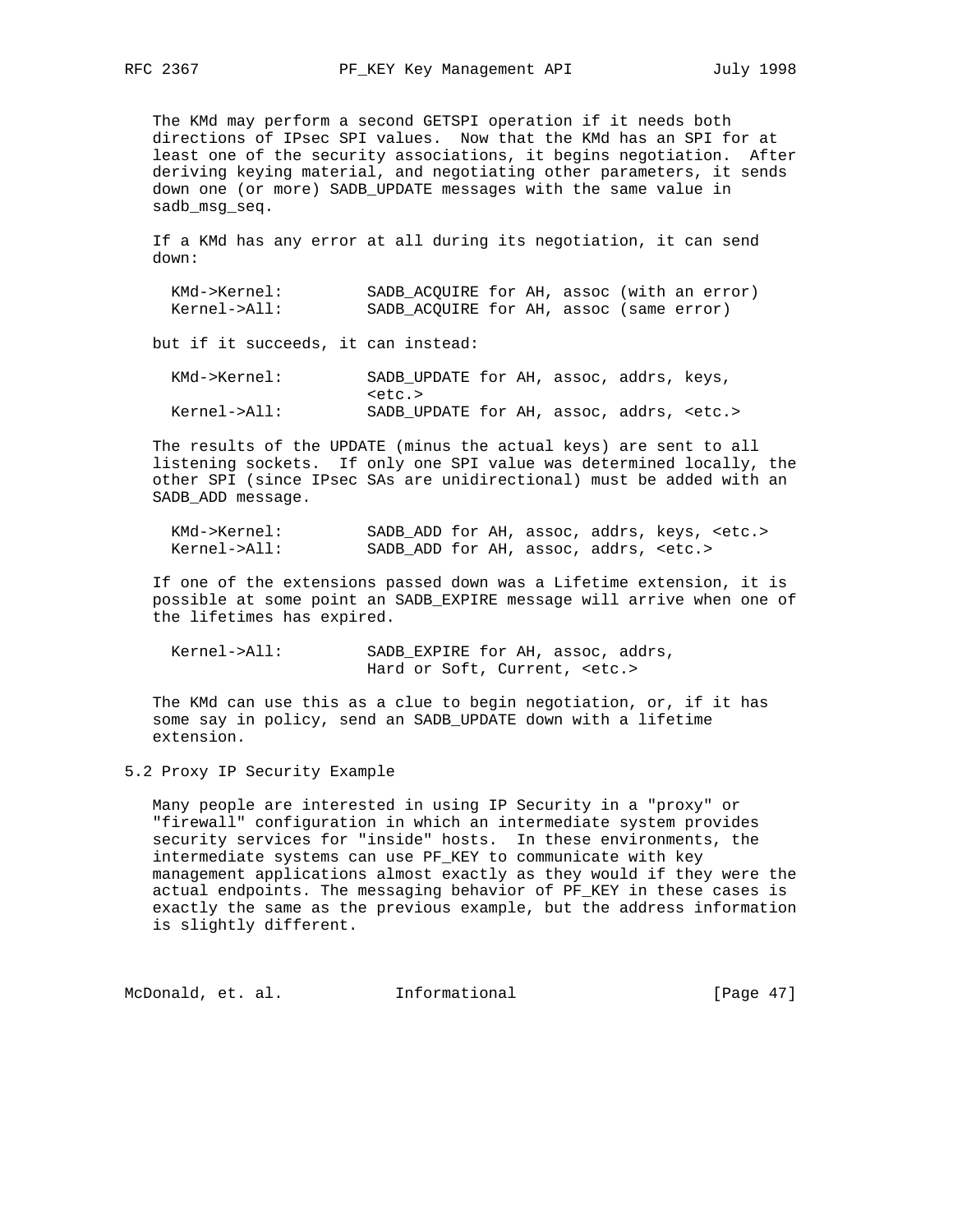The KMd may perform a second GETSPI operation if it needs both directions of IPsec SPI values. Now that the KMd has an SPI for at least one of the security associations, it begins negotiation. After deriving keying material, and negotiating other parameters, it sends down one (or more) SADB\_UPDATE messages with the same value in sadb\_msg\_seq.

 If a KMd has any error at all during its negotiation, it can send down:

| KMd->Kernel: | SADB ACOUIRE for AH, assoc (with an error) |  |  |  |
|--------------|--------------------------------------------|--|--|--|
| Kernel->All: | SADB ACOUIRE for AH, assoc (same error)    |  |  |  |

but if it succeeds, it can instead:

| KMd->Kernel: |        | SADB UPDATE for AH, assoc, addrs, keys,         |  |  |  |
|--------------|--------|-------------------------------------------------|--|--|--|
|              | keta > |                                                 |  |  |  |
| Kernel->All: |        | SADB UPDATE for AH, assoc, addrs, <etc.></etc.> |  |  |  |

 The results of the UPDATE (minus the actual keys) are sent to all listening sockets. If only one SPI value was determined locally, the other SPI (since IPsec SAs are unidirectional) must be added with an SADB\_ADD message.

| KMd->Kernel: |                                              |  | SADB ADD for AH, assoc, addrs, keys, <etc.></etc.> |
|--------------|----------------------------------------------|--|----------------------------------------------------|
| Kernel->All: | SADB ADD for AH, assoc, addrs, <etc.></etc.> |  |                                                    |

 If one of the extensions passed down was a Lifetime extension, it is possible at some point an SADB\_EXPIRE message will arrive when one of the lifetimes has expired.

 Kernel->All: SADB\_EXPIRE for AH, assoc, addrs, Hard or Soft, Current, <etc.>

 The KMd can use this as a clue to begin negotiation, or, if it has some say in policy, send an SADB\_UPDATE down with a lifetime extension.

5.2 Proxy IP Security Example

 Many people are interested in using IP Security in a "proxy" or "firewall" configuration in which an intermediate system provides security services for "inside" hosts. In these environments, the intermediate systems can use PF\_KEY to communicate with key management applications almost exactly as they would if they were the actual endpoints. The messaging behavior of PF\_KEY in these cases is exactly the same as the previous example, but the address information is slightly different.

McDonald, et. al. 1nformational 1999 [Page 47]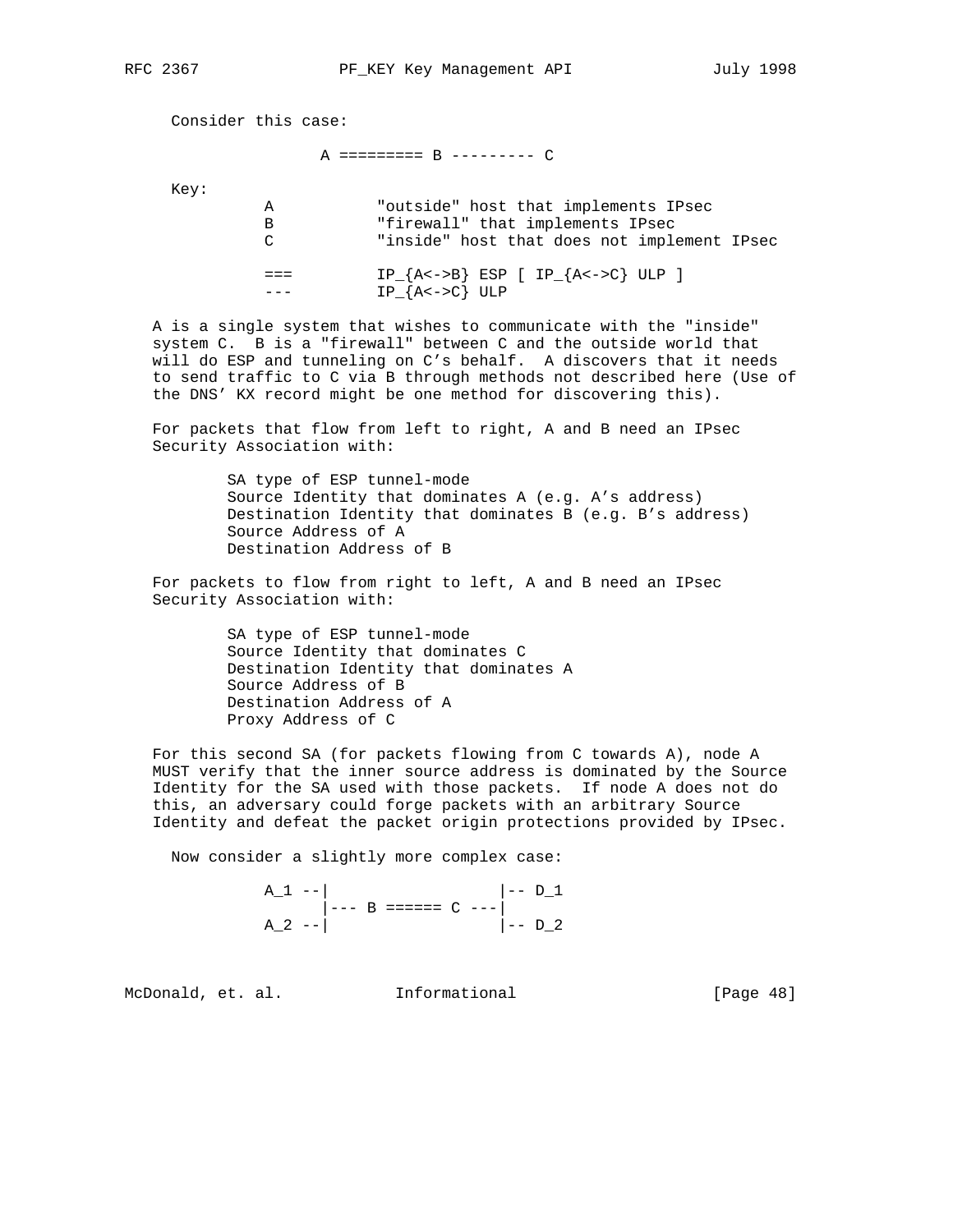Consider this case:

## A ========= B --------- C

Key:

| А      | "outside" host that implements IPsec                      |
|--------|-----------------------------------------------------------|
| в      | "firewall" that implements IPsec                          |
| $\cap$ | "inside" host that does not implement IPsec               |
|        | $IP_{A<->B}$ ESP [ $IP_{A<->C}$ ULP ]<br>$IP_{A<->C}$ ULP |

 A is a single system that wishes to communicate with the "inside" system C. B is a "firewall" between C and the outside world that will do ESP and tunneling on C's behalf. A discovers that it needs to send traffic to C via B through methods not described here (Use of the DNS' KX record might be one method for discovering this).

 For packets that flow from left to right, A and B need an IPsec Security Association with:

> SA type of ESP tunnel-mode Source Identity that dominates A (e.g. A's address) Destination Identity that dominates B (e.g. B's address) Source Address of A Destination Address of B

 For packets to flow from right to left, A and B need an IPsec Security Association with:

> SA type of ESP tunnel-mode Source Identity that dominates C Destination Identity that dominates A Source Address of B Destination Address of A Proxy Address of C

 For this second SA (for packets flowing from C towards A), node A MUST verify that the inner source address is dominated by the Source Identity for the SA used with those packets. If node A does not do this, an adversary could forge packets with an arbitrary Source Identity and defeat the packet origin protections provided by IPsec.

Now consider a slightly more complex case:

 $A_1$  --|  $| D_1$  $\vert -- B$  ======  $C$  --- $A_2$  --|  $\vert - -$  D\_2

McDonald, et. al. Informational [Page 48]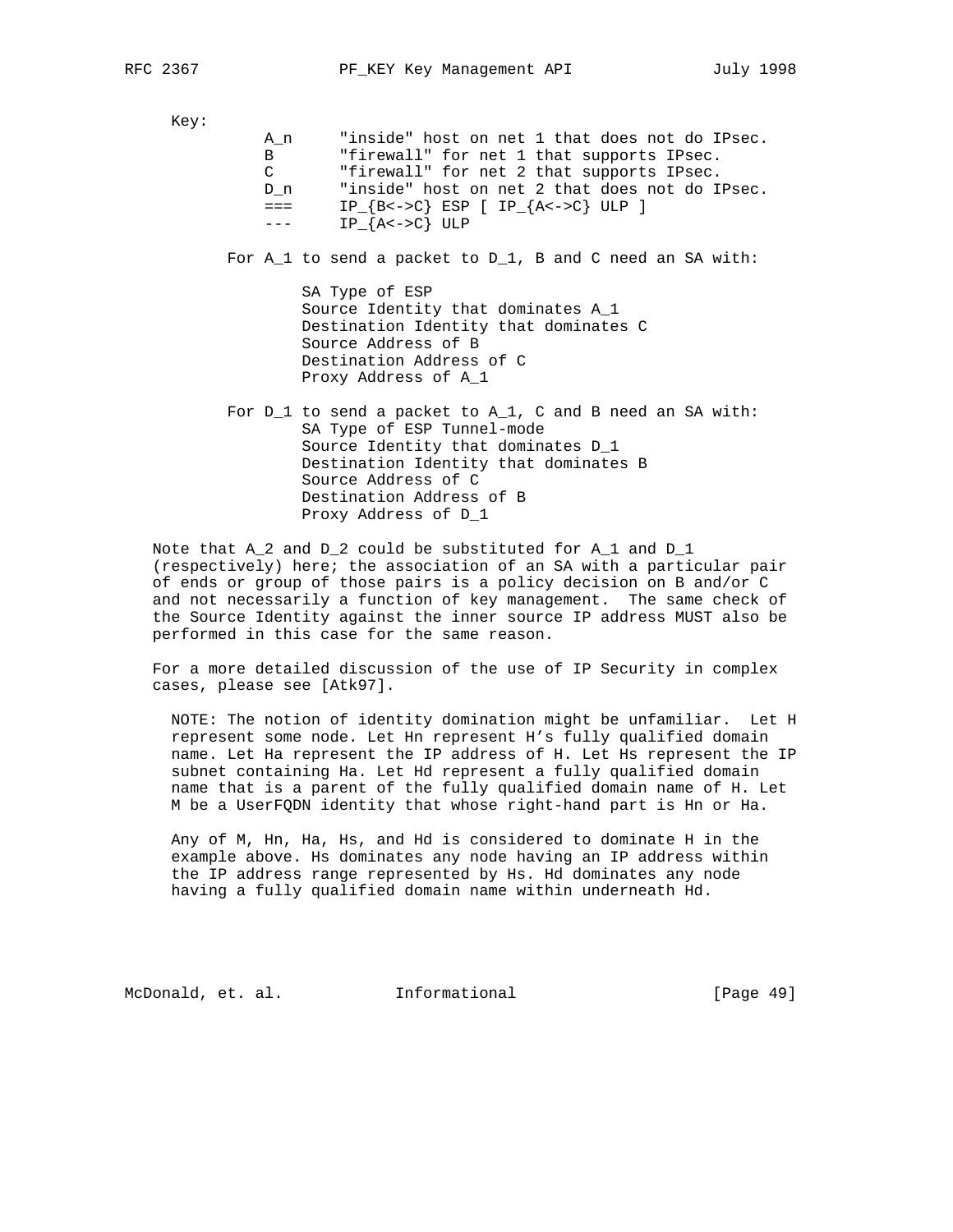Key:

| An            | "inside" host on net 1 that does not do IPsec.   |
|---------------|--------------------------------------------------|
| B             | "firewall" for net 1 that supports IPsec.        |
| $\mathcal{C}$ | "firewall" for net 2 that supports IPsec.        |
| D n           | "inside" host on net 2 that does not do IPsec.   |
| $=$ $=$ $=$   | $IP_{B<->C}$ ESP [ IP <sub>_</sub> {A<->C} ULP ] |
| $- - -$       | $IP_{A<->C}$ ULP                                 |

For A\_1 to send a packet to D\_1, B and C need an SA with:

 SA Type of ESP Source Identity that dominates A\_1 Destination Identity that dominates C Source Address of B Destination Address of C Proxy Address of A\_1

 For D\_1 to send a packet to A\_1, C and B need an SA with: SA Type of ESP Tunnel-mode Source Identity that dominates D\_1 Destination Identity that dominates B Source Address of C Destination Address of B Proxy Address of D\_1

 Note that A\_2 and D\_2 could be substituted for A\_1 and D\_1 (respectively) here; the association of an SA with a particular pair of ends or group of those pairs is a policy decision on B and/or C and not necessarily a function of key management. The same check of the Source Identity against the inner source IP address MUST also be performed in this case for the same reason.

 For a more detailed discussion of the use of IP Security in complex cases, please see [Atk97].

 NOTE: The notion of identity domination might be unfamiliar. Let H represent some node. Let Hn represent H's fully qualified domain name. Let Ha represent the IP address of H. Let Hs represent the IP subnet containing Ha. Let Hd represent a fully qualified domain name that is a parent of the fully qualified domain name of H. Let M be a UserFQDN identity that whose right-hand part is Hn or Ha.

 Any of M, Hn, Ha, Hs, and Hd is considered to dominate H in the example above. Hs dominates any node having an IP address within the IP address range represented by Hs. Hd dominates any node having a fully qualified domain name within underneath Hd.

McDonald, et. al. Informational [Page 49]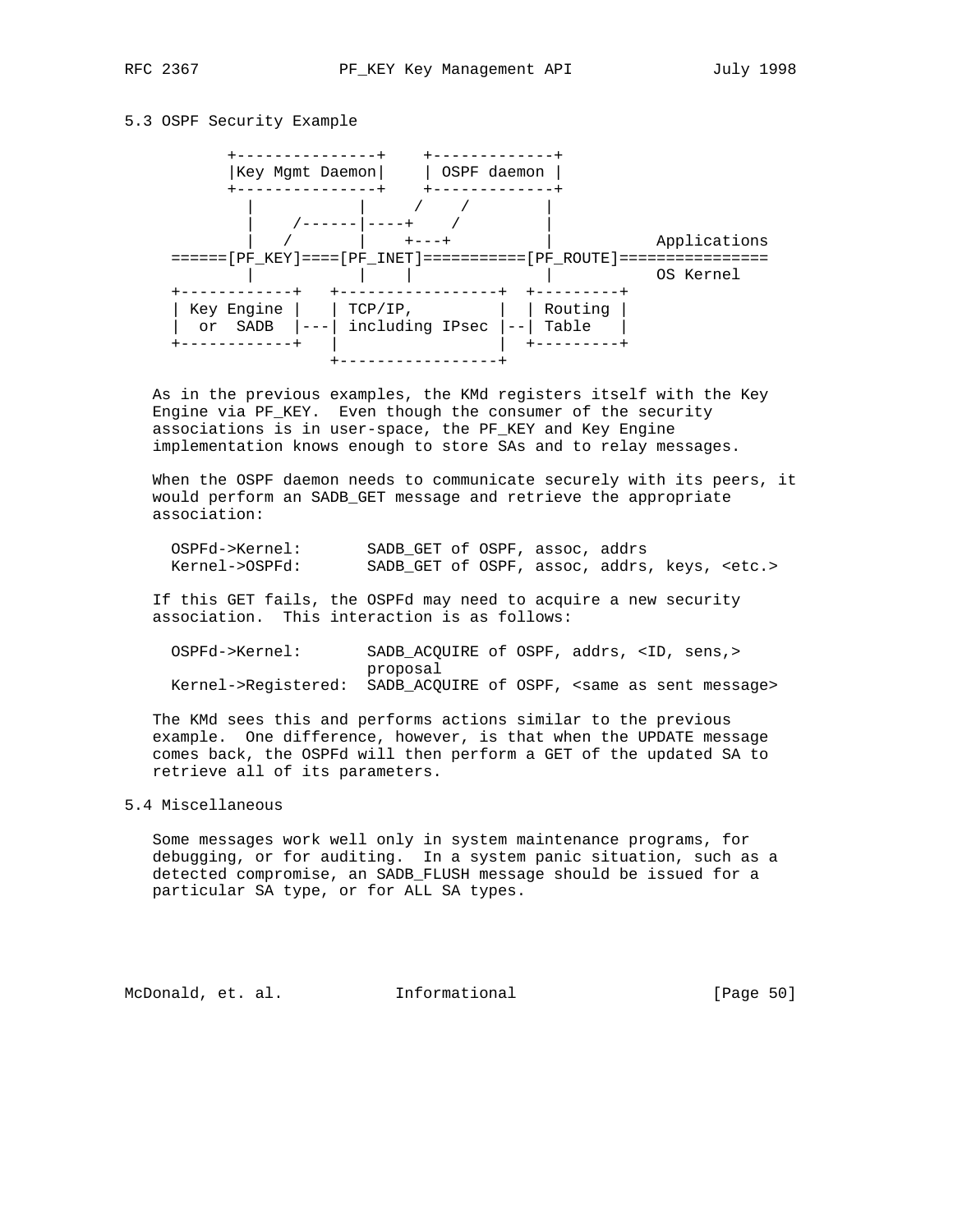## 5.3 OSPF Security Example



 As in the previous examples, the KMd registers itself with the Key Engine via PF\_KEY. Even though the consumer of the security associations is in user-space, the PF\_KEY and Key Engine implementation knows enough to store SAs and to relay messages.

 When the OSPF daemon needs to communicate securely with its peers, it would perform an SADB\_GET message and retrieve the appropriate association:

| OSPFd->Kernel: | SADB GET of OSPF, assoc, addrs                      |  |  |  |
|----------------|-----------------------------------------------------|--|--|--|
| Kernel->OSPFd: | SADB GET of OSPF, assoc, addrs, keys, <etc.></etc.> |  |  |  |

 If this GET fails, the OSPFd may need to acquire a new security association. This interaction is as follows:

| OSPFd->Kernel: | SADB ACOUIRE of OSPF, addrs, <id, sens,=""></id,>                                |
|----------------|----------------------------------------------------------------------------------|
|                | proposal                                                                         |
|                | Kernel->Reqistered: SADB ACOUIRE of OSPF, <same as="" message="" sent=""></same> |

 The KMd sees this and performs actions similar to the previous example. One difference, however, is that when the UPDATE message comes back, the OSPFd will then perform a GET of the updated SA to retrieve all of its parameters.

## 5.4 Miscellaneous

 Some messages work well only in system maintenance programs, for debugging, or for auditing. In a system panic situation, such as a detected compromise, an SADB\_FLUSH message should be issued for a particular SA type, or for ALL SA types.

McDonald, et. al. 1nformational 1999 [Page 50]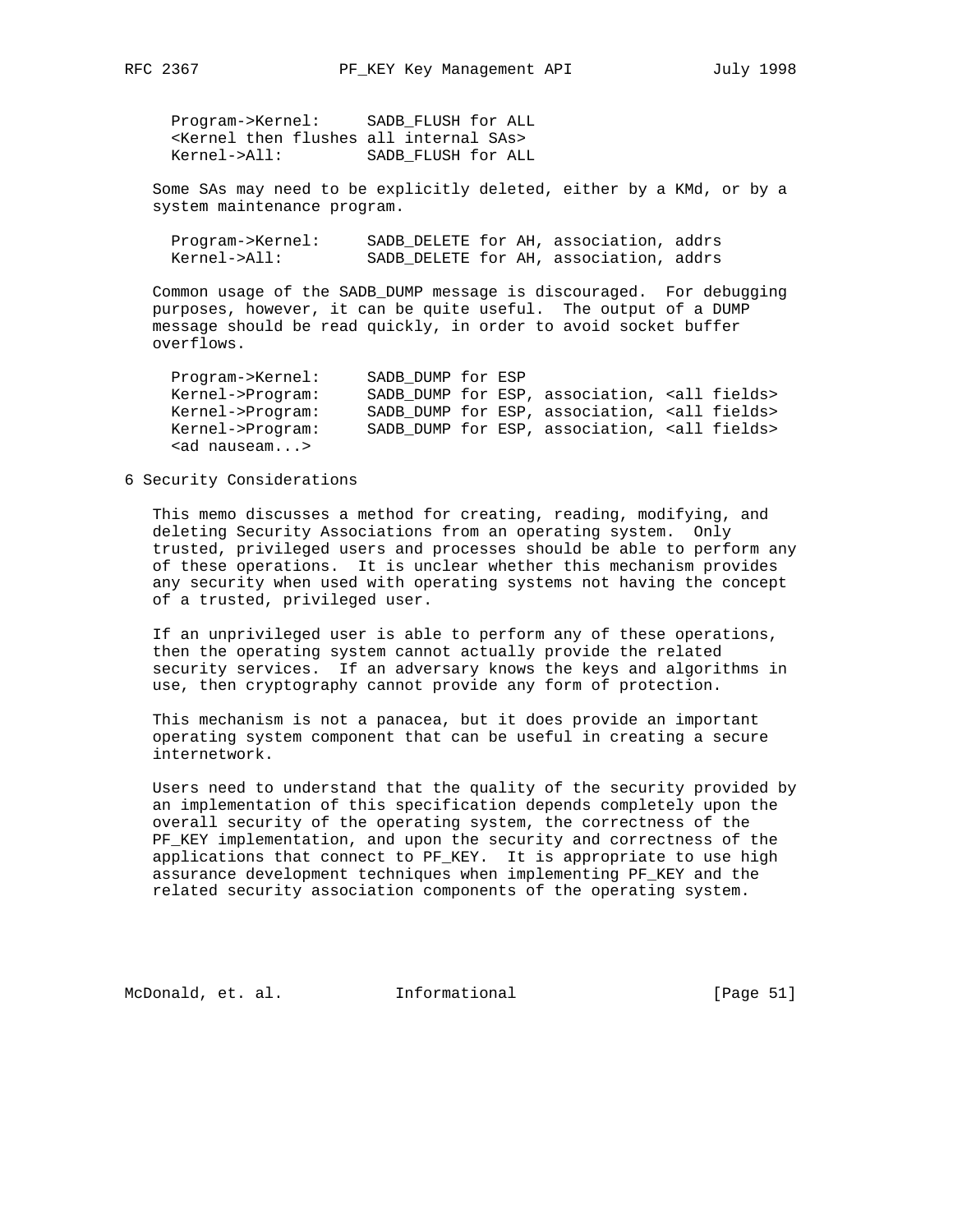Program->Kernel: SADB\_FLUSH for ALL <Kernel then flushes all internal SAs> Kernel->All: SADB\_FLUSH for ALL

 Some SAs may need to be explicitly deleted, either by a KMd, or by a system maintenance program.

| Program->Kernel: |  | SADB DELETE for AH, association, addrs |  |
|------------------|--|----------------------------------------|--|
| Kernel->All:     |  | SADB DELETE for AH, association, addrs |  |

 Common usage of the SADB\_DUMP message is discouraged. For debugging purposes, however, it can be quite useful. The output of a DUMP message should be read quickly, in order to avoid socket buffer overflows.

| Program->Kernel:     | SADB DUMP for ESP |  |                                                       |  |
|----------------------|-------------------|--|-------------------------------------------------------|--|
| Kernel->Program:     |                   |  | SADB DUMP for ESP, association, <all fields=""></all> |  |
| Kernel->Program:     |                   |  | SADB DUMP for ESP, association, <all fields=""></all> |  |
| Kernel->Program:     |                   |  | SADB DUMP for ESP, association, <all fields=""></all> |  |
| <ad nauseam=""></ad> |                   |  |                                                       |  |

6 Security Considerations

 This memo discusses a method for creating, reading, modifying, and deleting Security Associations from an operating system. Only trusted, privileged users and processes should be able to perform any of these operations. It is unclear whether this mechanism provides any security when used with operating systems not having the concept of a trusted, privileged user.

 If an unprivileged user is able to perform any of these operations, then the operating system cannot actually provide the related security services. If an adversary knows the keys and algorithms in use, then cryptography cannot provide any form of protection.

 This mechanism is not a panacea, but it does provide an important operating system component that can be useful in creating a secure internetwork.

 Users need to understand that the quality of the security provided by an implementation of this specification depends completely upon the overall security of the operating system, the correctness of the PF\_KEY implementation, and upon the security and correctness of the applications that connect to PF\_KEY. It is appropriate to use high assurance development techniques when implementing PF\_KEY and the related security association components of the operating system.

McDonald, et. al. Informational [Page 51]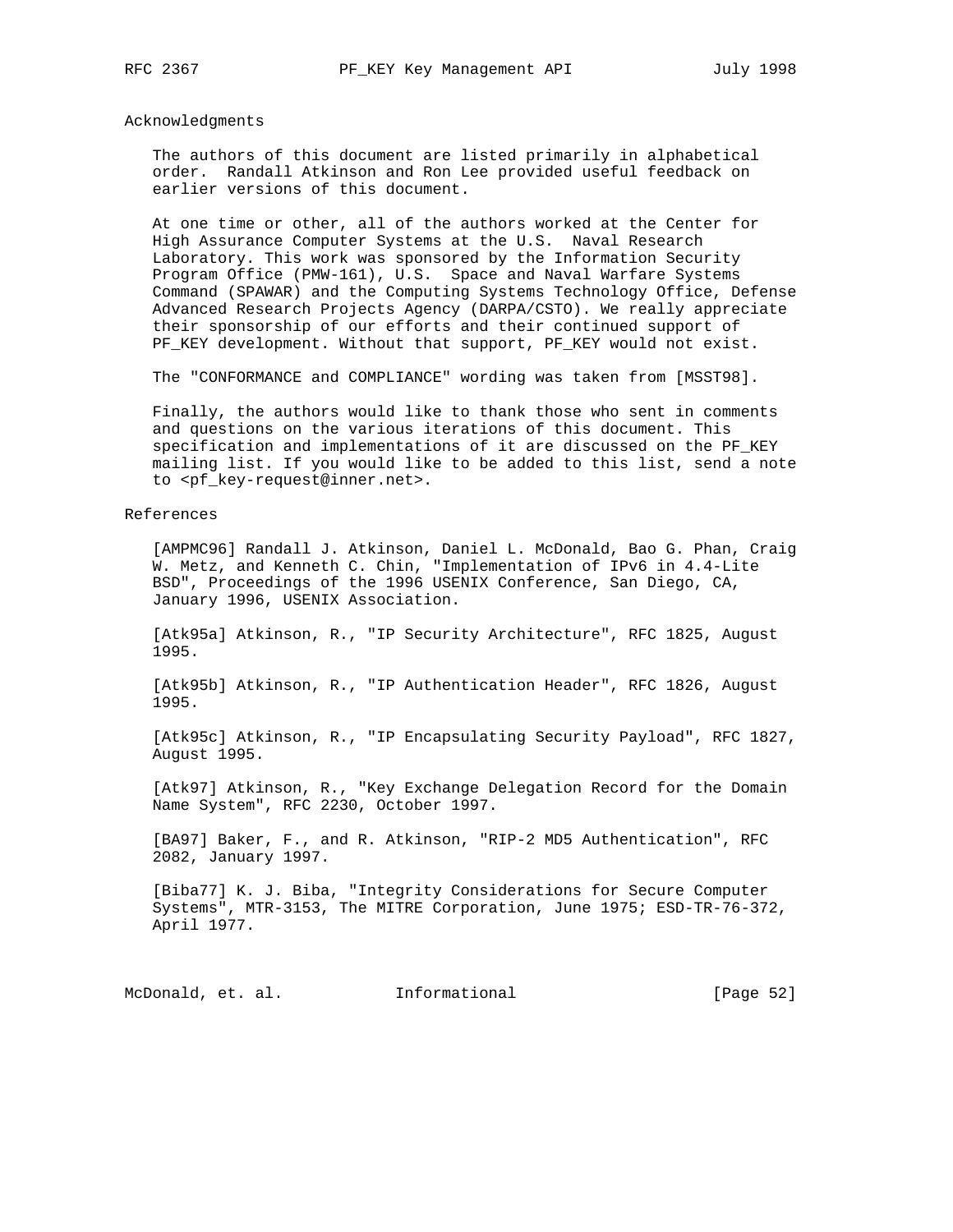Acknowledgments

 The authors of this document are listed primarily in alphabetical order. Randall Atkinson and Ron Lee provided useful feedback on earlier versions of this document.

 At one time or other, all of the authors worked at the Center for High Assurance Computer Systems at the U.S. Naval Research Laboratory. This work was sponsored by the Information Security Program Office (PMW-161), U.S. Space and Naval Warfare Systems Command (SPAWAR) and the Computing Systems Technology Office, Defense Advanced Research Projects Agency (DARPA/CSTO). We really appreciate their sponsorship of our efforts and their continued support of PF\_KEY development. Without that support, PF\_KEY would not exist.

The "CONFORMANCE and COMPLIANCE" wording was taken from [MSST98].

 Finally, the authors would like to thank those who sent in comments and questions on the various iterations of this document. This specification and implementations of it are discussed on the PF\_KEY mailing list. If you would like to be added to this list, send a note to <pf\_key-request@inner.net>.

#### References

 [AMPMC96] Randall J. Atkinson, Daniel L. McDonald, Bao G. Phan, Craig W. Metz, and Kenneth C. Chin, "Implementation of IPv6 in 4.4-Lite BSD", Proceedings of the 1996 USENIX Conference, San Diego, CA, January 1996, USENIX Association.

 [Atk95a] Atkinson, R., "IP Security Architecture", RFC 1825, August 1995.

 [Atk95b] Atkinson, R., "IP Authentication Header", RFC 1826, August 1995.

 [Atk95c] Atkinson, R., "IP Encapsulating Security Payload", RFC 1827, August 1995.

 [Atk97] Atkinson, R., "Key Exchange Delegation Record for the Domain Name System", RFC 2230, October 1997.

 [BA97] Baker, F., and R. Atkinson, "RIP-2 MD5 Authentication", RFC 2082, January 1997.

 [Biba77] K. J. Biba, "Integrity Considerations for Secure Computer Systems", MTR-3153, The MITRE Corporation, June 1975; ESD-TR-76-372, April 1977.

McDonald, et. al. 1nformational 1999 [Page 52]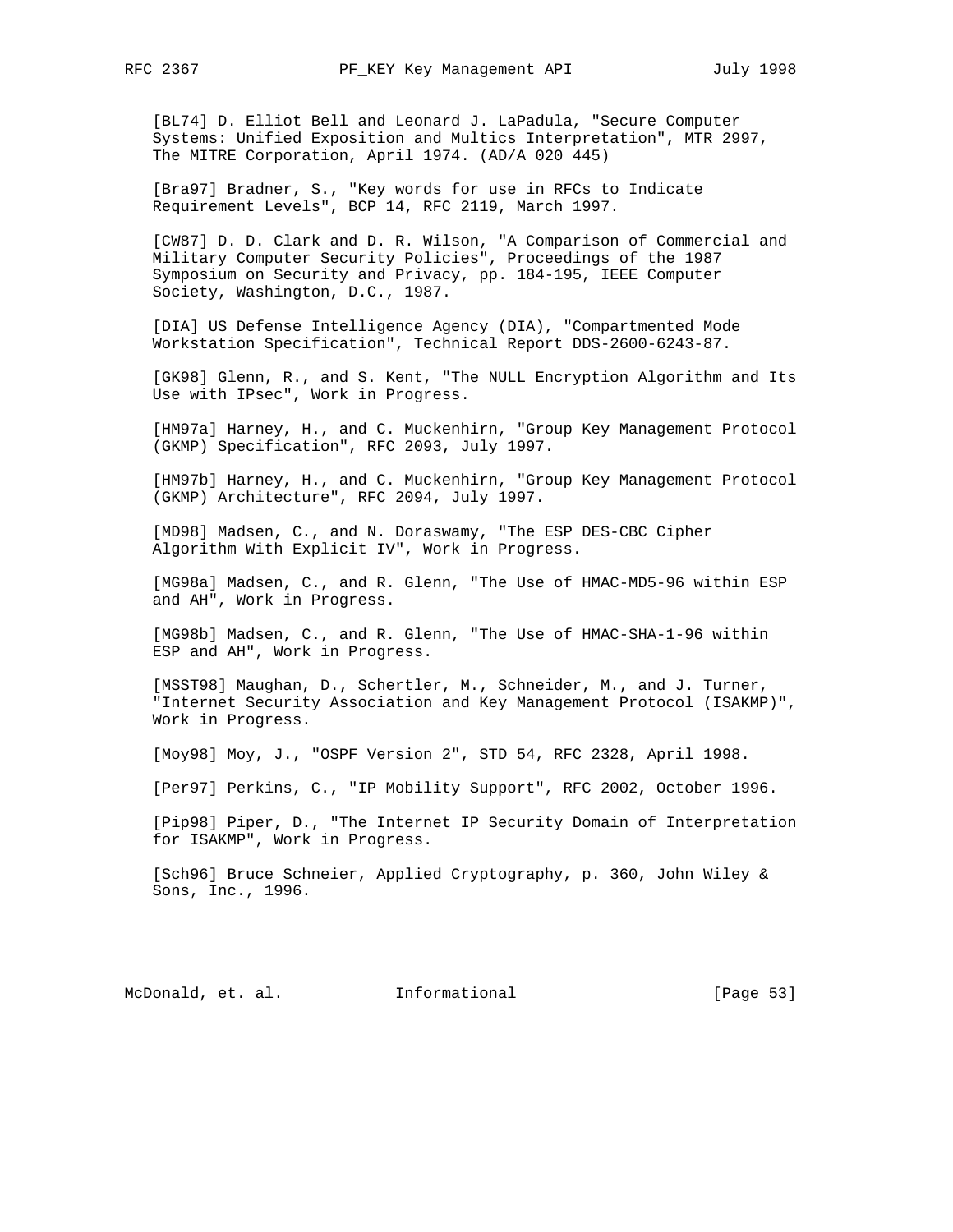[BL74] D. Elliot Bell and Leonard J. LaPadula, "Secure Computer Systems: Unified Exposition and Multics Interpretation", MTR 2997, The MITRE Corporation, April 1974. (AD/A 020 445)

 [Bra97] Bradner, S., "Key words for use in RFCs to Indicate Requirement Levels", BCP 14, RFC 2119, March 1997.

 [CW87] D. D. Clark and D. R. Wilson, "A Comparison of Commercial and Military Computer Security Policies", Proceedings of the 1987 Symposium on Security and Privacy, pp. 184-195, IEEE Computer Society, Washington, D.C., 1987.

 [DIA] US Defense Intelligence Agency (DIA), "Compartmented Mode Workstation Specification", Technical Report DDS-2600-6243-87.

 [GK98] Glenn, R., and S. Kent, "The NULL Encryption Algorithm and Its Use with IPsec", Work in Progress.

 [HM97a] Harney, H., and C. Muckenhirn, "Group Key Management Protocol (GKMP) Specification", RFC 2093, July 1997.

 [HM97b] Harney, H., and C. Muckenhirn, "Group Key Management Protocol (GKMP) Architecture", RFC 2094, July 1997.

 [MD98] Madsen, C., and N. Doraswamy, "The ESP DES-CBC Cipher Algorithm With Explicit IV", Work in Progress.

 [MG98a] Madsen, C., and R. Glenn, "The Use of HMAC-MD5-96 within ESP and AH", Work in Progress.

 [MG98b] Madsen, C., and R. Glenn, "The Use of HMAC-SHA-1-96 within ESP and AH", Work in Progress.

 [MSST98] Maughan, D., Schertler, M., Schneider, M., and J. Turner, "Internet Security Association and Key Management Protocol (ISAKMP)", Work in Progress.

[Moy98] Moy, J., "OSPF Version 2", STD 54, RFC 2328, April 1998.

[Per97] Perkins, C., "IP Mobility Support", RFC 2002, October 1996.

 [Pip98] Piper, D., "The Internet IP Security Domain of Interpretation for ISAKMP", Work in Progress.

 [Sch96] Bruce Schneier, Applied Cryptography, p. 360, John Wiley & Sons, Inc., 1996.

McDonald, et. al. Informational [Page 53]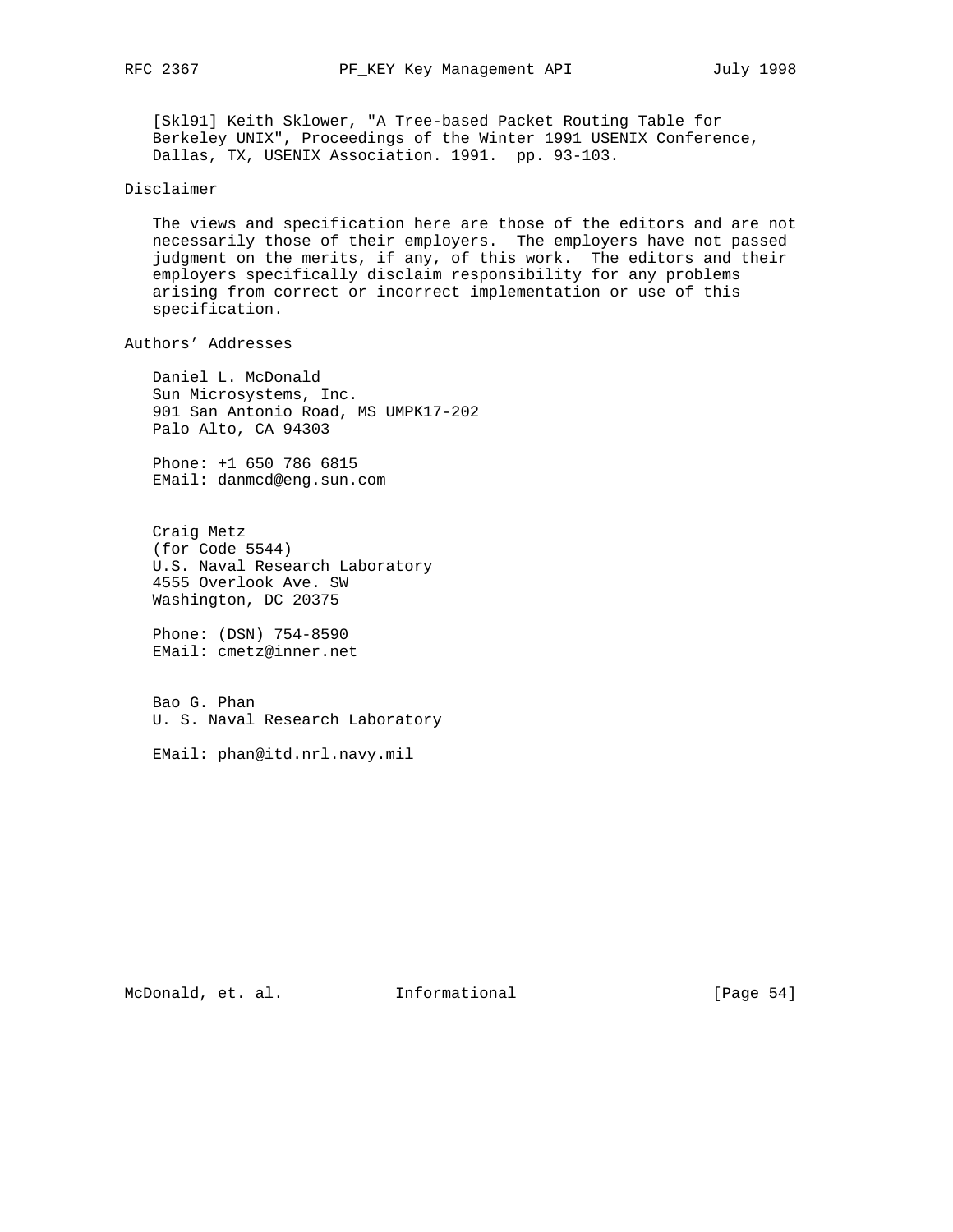[Skl91] Keith Sklower, "A Tree-based Packet Routing Table for Berkeley UNIX", Proceedings of the Winter 1991 USENIX Conference, Dallas, TX, USENIX Association. 1991. pp. 93-103.

### Disclaimer

 The views and specification here are those of the editors and are not necessarily those of their employers. The employers have not passed judgment on the merits, if any, of this work. The editors and their employers specifically disclaim responsibility for any problems arising from correct or incorrect implementation or use of this specification.

Authors' Addresses

 Daniel L. McDonald Sun Microsystems, Inc. 901 San Antonio Road, MS UMPK17-202 Palo Alto, CA 94303

 Phone: +1 650 786 6815 EMail: danmcd@eng.sun.com

 Craig Metz (for Code 5544) U.S. Naval Research Laboratory 4555 Overlook Ave. SW Washington, DC 20375

 Phone: (DSN) 754-8590 EMail: cmetz@inner.net

 Bao G. Phan U. S. Naval Research Laboratory

EMail: phan@itd.nrl.navy.mil

McDonald, et. al. Informational [Page 54]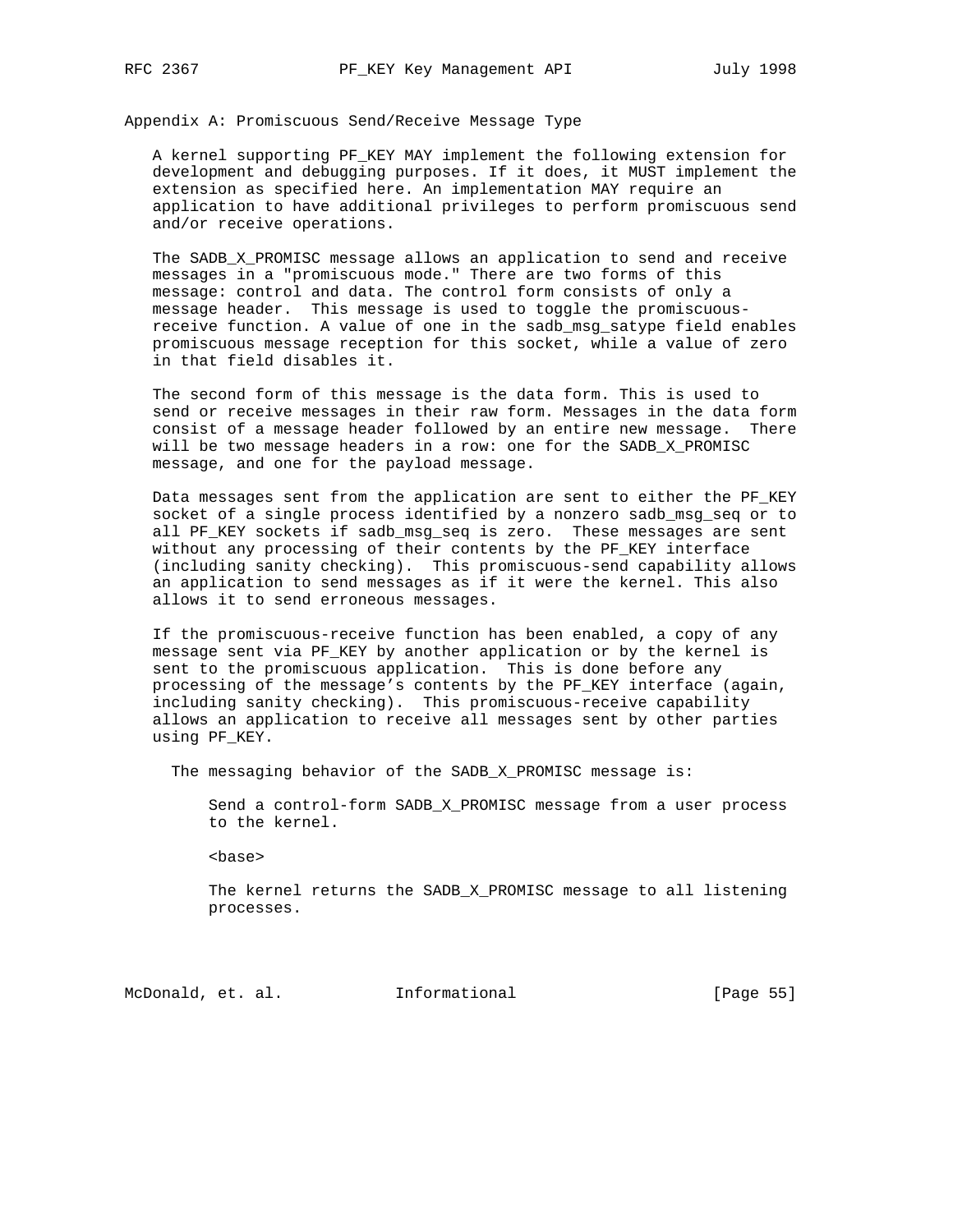Appendix A: Promiscuous Send/Receive Message Type

 A kernel supporting PF\_KEY MAY implement the following extension for development and debugging purposes. If it does, it MUST implement the extension as specified here. An implementation MAY require an application to have additional privileges to perform promiscuous send and/or receive operations.

The SADB\_X\_PROMISC message allows an application to send and receive messages in a "promiscuous mode." There are two forms of this message: control and data. The control form consists of only a message header. This message is used to toggle the promiscuous receive function. A value of one in the sadb\_msg\_satype field enables promiscuous message reception for this socket, while a value of zero in that field disables it.

 The second form of this message is the data form. This is used to send or receive messages in their raw form. Messages in the data form consist of a message header followed by an entire new message. There will be two message headers in a row: one for the SADB\_X\_PROMISC message, and one for the payload message.

 Data messages sent from the application are sent to either the PF\_KEY socket of a single process identified by a nonzero sadb\_msg\_seq or to all PF\_KEY sockets if sadb\_msg\_seq is zero. These messages are sent without any processing of their contents by the PF\_KEY interface (including sanity checking). This promiscuous-send capability allows an application to send messages as if it were the kernel. This also allows it to send erroneous messages.

 If the promiscuous-receive function has been enabled, a copy of any message sent via PF\_KEY by another application or by the kernel is sent to the promiscuous application. This is done before any processing of the message's contents by the PF\_KEY interface (again, including sanity checking). This promiscuous-receive capability allows an application to receive all messages sent by other parties using PF\_KEY.

The messaging behavior of the SADB\_X\_PROMISC message is:

 Send a control-form SADB\_X\_PROMISC message from a user process to the kernel.

<base>

 The kernel returns the SADB\_X\_PROMISC message to all listening processes.

McDonald, et. al. Informational [Page 55]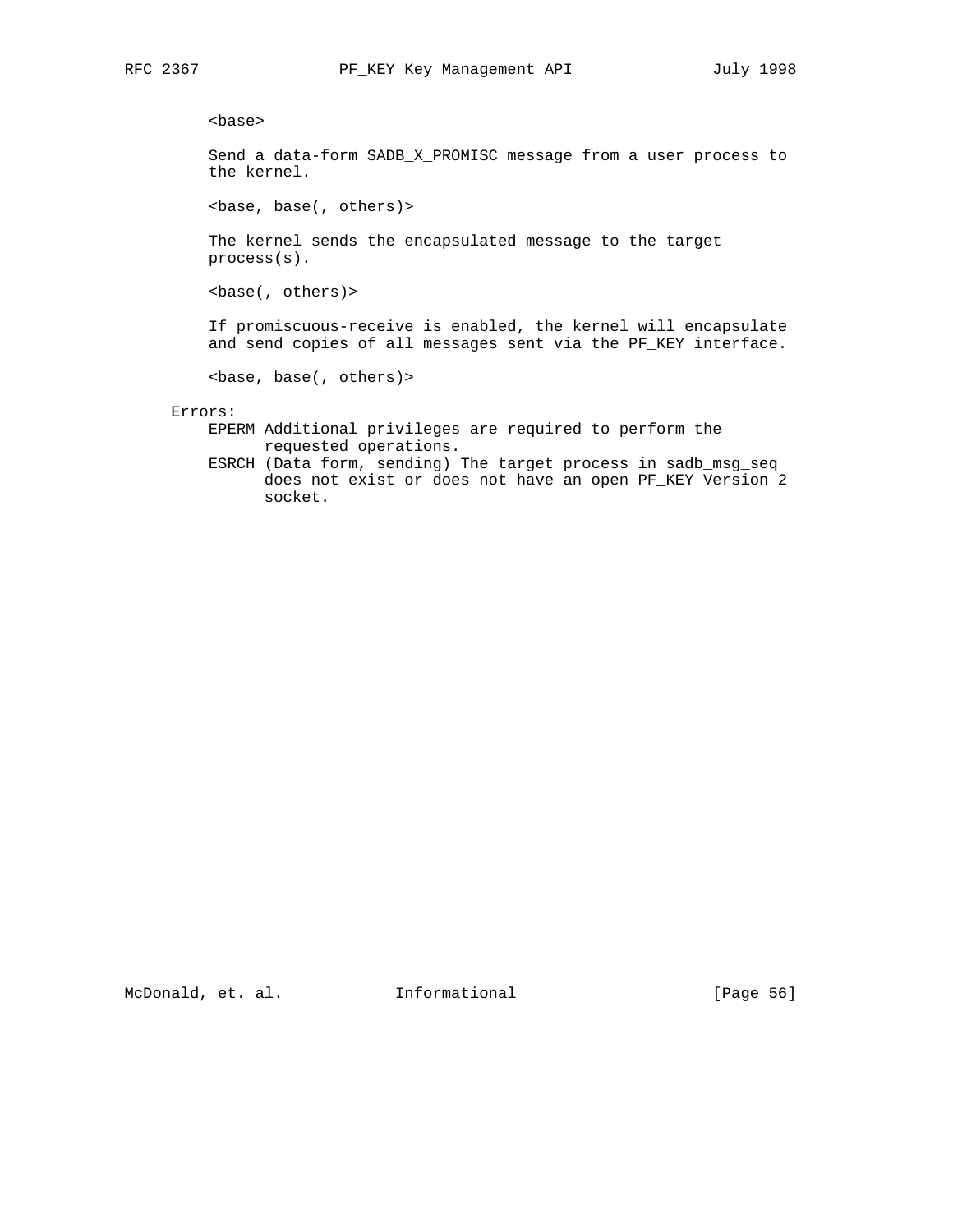<base>

 Send a data-form SADB\_X\_PROMISC message from a user process to the kernel.

<base, base(, others)>

 The kernel sends the encapsulated message to the target process(s).

<base(, others)>

 If promiscuous-receive is enabled, the kernel will encapsulate and send copies of all messages sent via the PF\_KEY interface.

<base, base(, others)>

Errors:

 EPERM Additional privileges are required to perform the requested operations.

 ESRCH (Data form, sending) The target process in sadb\_msg\_seq does not exist or does not have an open PF\_KEY Version 2 socket.

McDonald, et. al. Informational [Page 56]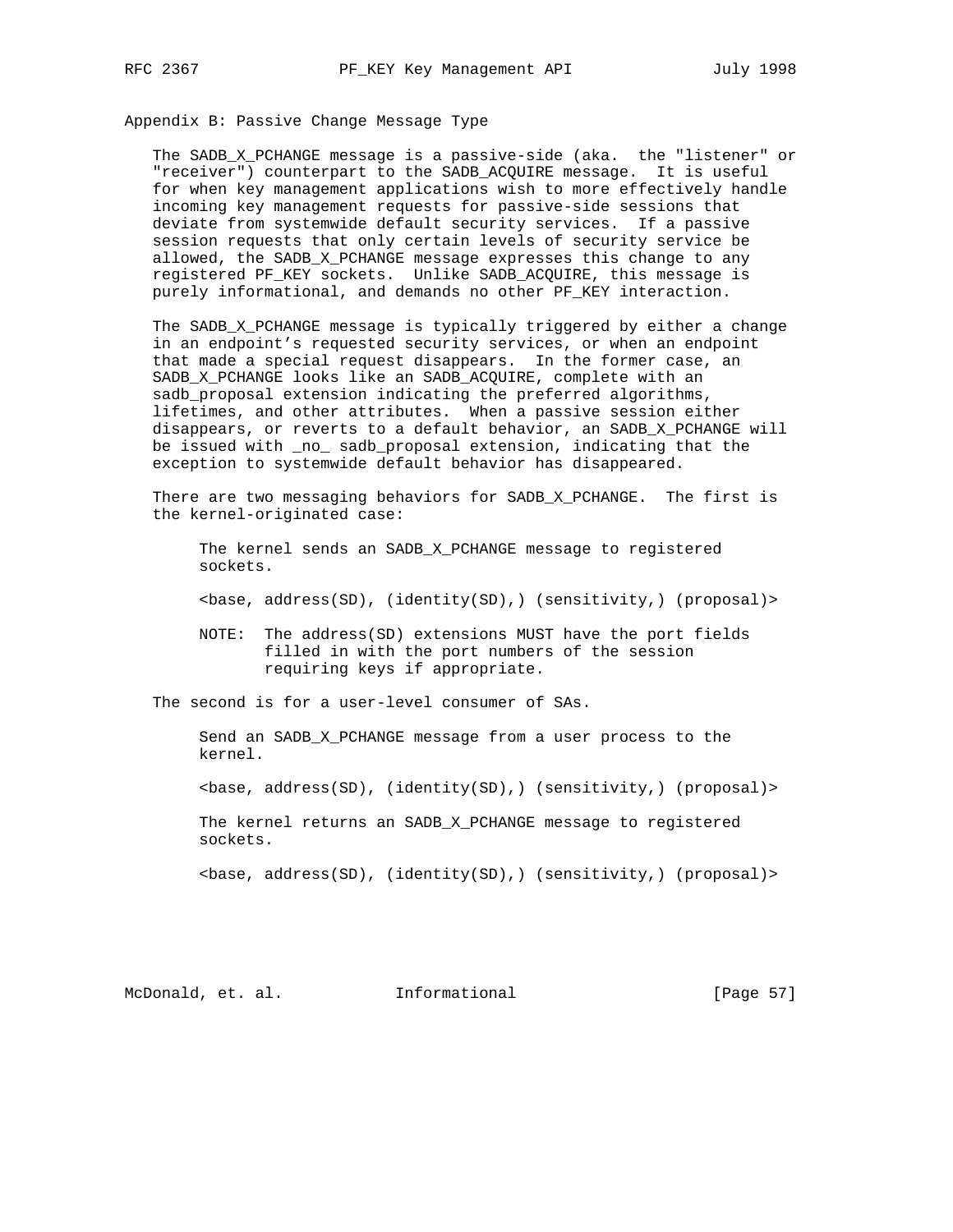Appendix B: Passive Change Message Type

 The SADB\_X\_PCHANGE message is a passive-side (aka. the "listener" or "receiver") counterpart to the SADB\_ACQUIRE message. It is useful for when key management applications wish to more effectively handle incoming key management requests for passive-side sessions that deviate from systemwide default security services. If a passive session requests that only certain levels of security service be allowed, the SADB\_X\_PCHANGE message expresses this change to any registered PF\_KEY sockets. Unlike SADB\_ACQUIRE, this message is purely informational, and demands no other PF\_KEY interaction.

 The SADB\_X\_PCHANGE message is typically triggered by either a change in an endpoint's requested security services, or when an endpoint that made a special request disappears. In the former case, an SADB X PCHANGE looks like an SADB ACQUIRE, complete with an sadb\_proposal extension indicating the preferred algorithms, lifetimes, and other attributes. When a passive session either disappears, or reverts to a default behavior, an SADB\_X\_PCHANGE will be issued with \_no\_ sadb\_proposal extension, indicating that the exception to systemwide default behavior has disappeared.

 There are two messaging behaviors for SADB\_X\_PCHANGE. The first is the kernel-originated case:

 The kernel sends an SADB\_X\_PCHANGE message to registered sockets.

<base, address(SD), (identity(SD),) (sensitivity,) (proposal)>

 NOTE: The address(SD) extensions MUST have the port fields filled in with the port numbers of the session requiring keys if appropriate.

The second is for a user-level consumer of SAs.

 Send an SADB\_X\_PCHANGE message from a user process to the kernel.

<base, address(SD), (identity(SD),) (sensitivity,) (proposal)>

 The kernel returns an SADB\_X\_PCHANGE message to registered sockets.

<base, address(SD), (identity(SD),) (sensitivity,) (proposal)>

McDonald, et. al. **Informational** [Page 57]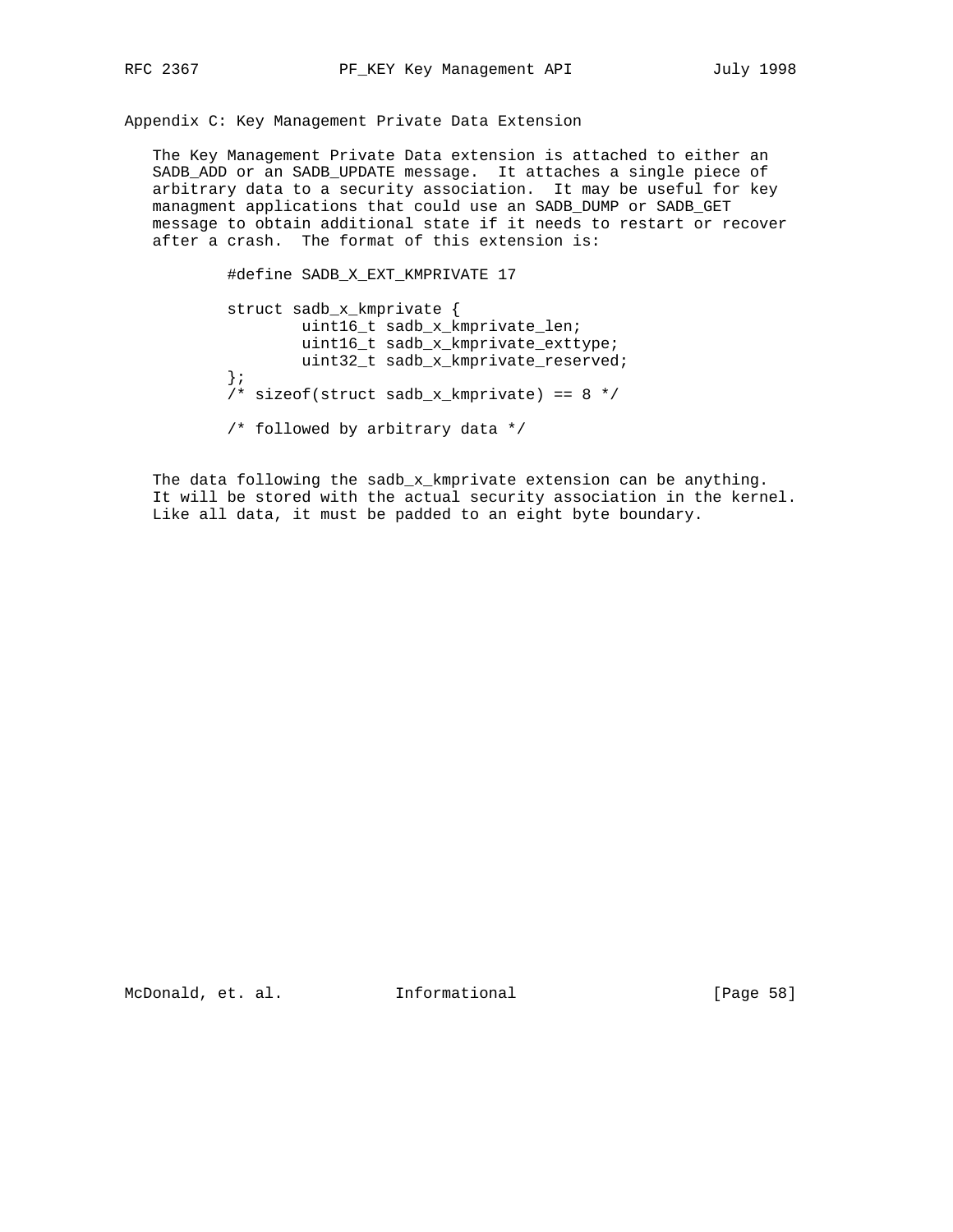Appendix C: Key Management Private Data Extension

 The Key Management Private Data extension is attached to either an SADB\_ADD or an SADB\_UPDATE message. It attaches a single piece of arbitrary data to a security association. It may be useful for key managment applications that could use an SADB\_DUMP or SADB\_GET message to obtain additional state if it needs to restart or recover after a crash. The format of this extension is:

> #define SADB\_X\_EXT\_KMPRIVATE 17 struct sadb\_x\_kmprivate { uint16\_t sadb\_x\_kmprivate\_len; uint16\_t sadb\_x\_kmprivate\_exttype; uint32\_t sadb\_x\_kmprivate\_reserved; }; /\* sizeof(struct sadb\_x\_kmprivate) == 8 \*/ /\* followed by arbitrary data \*/

The data following the sadb\_x\_kmprivate extension can be anything. It will be stored with the actual security association in the kernel. Like all data, it must be padded to an eight byte boundary.

McDonald, et. al. 1nformational 1999 [Page 58]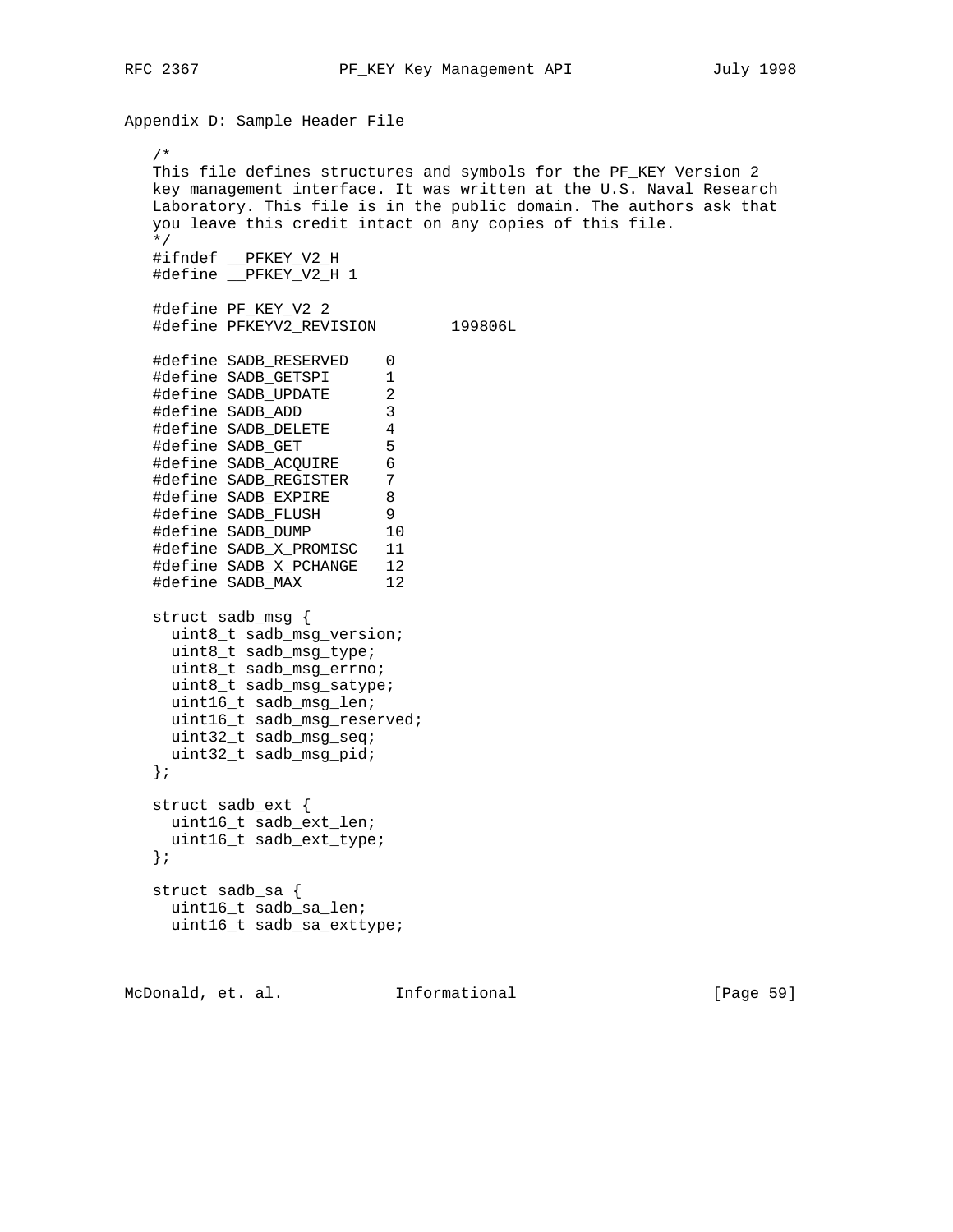Appendix D: Sample Header File /\* This file defines structures and symbols for the PF KEY Version 2 key management interface. It was written at the U.S. Naval Research Laboratory. This file is in the public domain. The authors ask that you leave this credit intact on any copies of this file. \*/ #ifndef \_\_PFKEY\_V2\_H #define PFKEY V2 H 1 #define PF\_KEY\_V2 2 #define PFKEYV2\_REVISION 199806L #define SADB\_RESERVED 0 #define SADB\_GETSPI 1 #define SADB\_UPDATE 2 #define SADB\_ADD 3 #define SADB\_DELETE 4 #define SADB\_GET 5 #define SADB\_ACQUIRE 6 #define SADB\_REGISTER 7 #define SADB\_EXPIRE 8 #define SADB\_FLUSH 9 #define SADB\_DUMP 10 #define SADB\_X\_PROMISC 11 #define SADB\_X\_PCHANGE 12 #define SADB\_MAX 12 struct sadb\_msg { uint8\_t sadb\_msg\_version; uint8\_t sadb\_msg\_type; uint8\_t sadb\_msg\_errno; uint8\_t sadb\_msg\_satype; uint16\_t sadb\_msg\_len; uint16\_t sadb\_msg\_reserved; uint32\_t sadb\_msg\_seq; uint32\_t sadb\_msg\_pid; }; struct sadb\_ext { uint16\_t sadb\_ext\_len; uint16\_t sadb\_ext\_type; }; struct sadb\_sa { uint16\_t sadb\_sa\_len; uint16\_t sadb\_sa\_exttype;

McDonald, et. al. Informational [Page 59]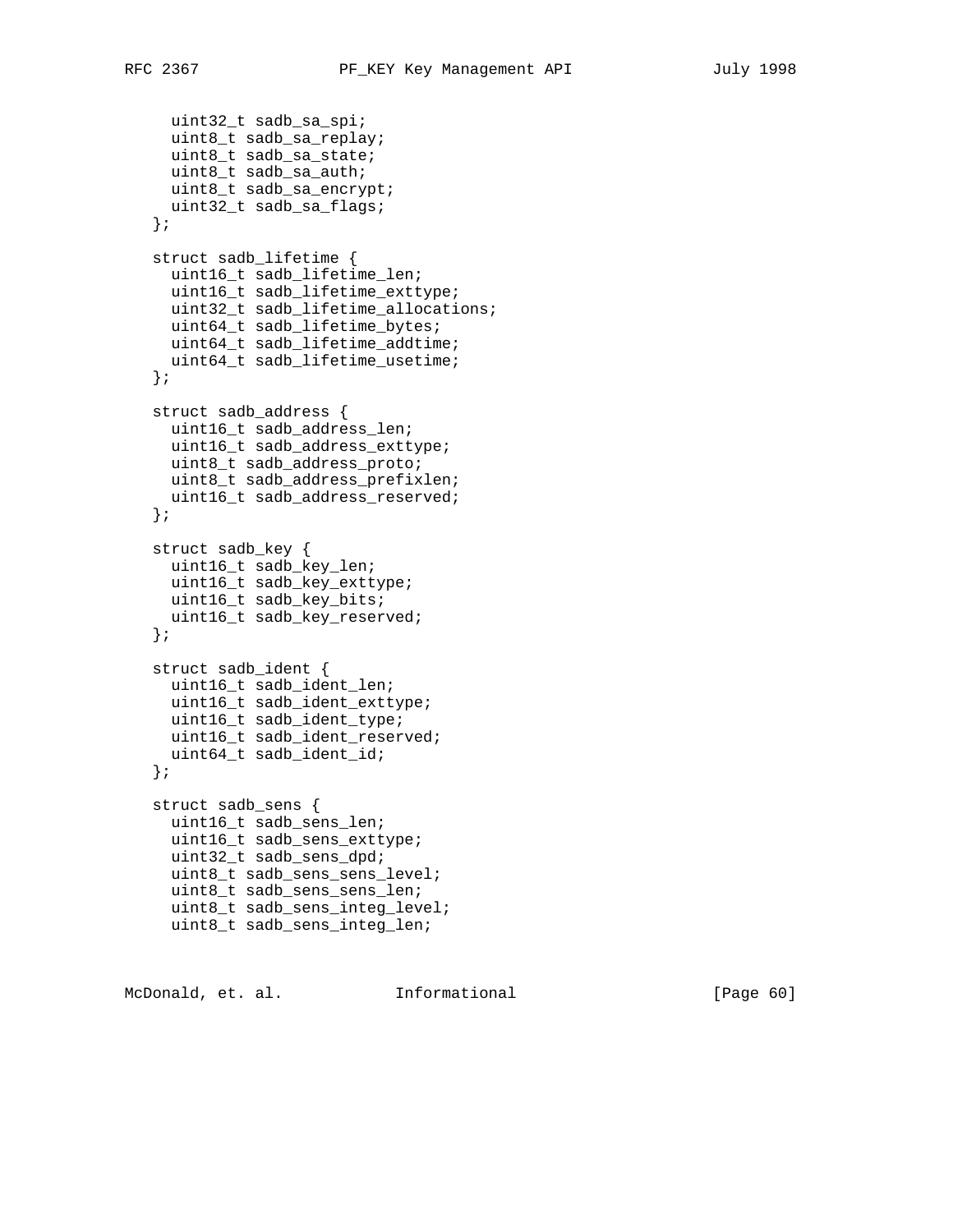```
 uint32_t sadb_sa_spi;
   uint8_t sadb_sa_replay;
   uint8_t sadb_sa_state;
  uint8_t sadb_sa_auth;
   uint8_t sadb_sa_encrypt;
  uint32_t sadb_sa_flags;
 };
 struct sadb_lifetime {
 uint16 t sadb lifetime len;
  uint16_t sadb_lifetime_exttype;
  uint32_t sadb_lifetime_allocations;
   uint64_t sadb_lifetime_bytes;
   uint64_t sadb_lifetime_addtime;
   uint64_t sadb_lifetime_usetime;
 };
 struct sadb_address {
  uint16_t sadb_address_len;
  uint16_t sadb_address_exttype;
  uint8_t sadb_address_proto;
  uint8_t sadb_address_prefixlen;
  uint16_t sadb_address_reserved;
 };
 struct sadb_key {
  uint16_t sadb_key_len;
  uint16_t sadb_key_exttype;
  uint16_t sadb_key_bits;
  uint16_t sadb_key_reserved;
 };
 struct sadb_ident {
  uint16_t sadb_ident_len;
  uint16_t sadb_ident_exttype;
  uint16_t sadb_ident_type;
  uint16_t sadb_ident_reserved;
   uint64_t sadb_ident_id;
 };
 struct sadb_sens {
  uint16_t sadb_sens_len;
  uint16_t sadb_sens_exttype;
  uint32_t sadb_sens_dpd;
  uint8_t sadb_sens_sens_level;
  uint8_t sadb_sens_sens_len;
  uint8_t sadb_sens_integ_level;
  uint8_t sadb_sens_integ_len;
```
McDonald, et. al. Informational [Paqe 60]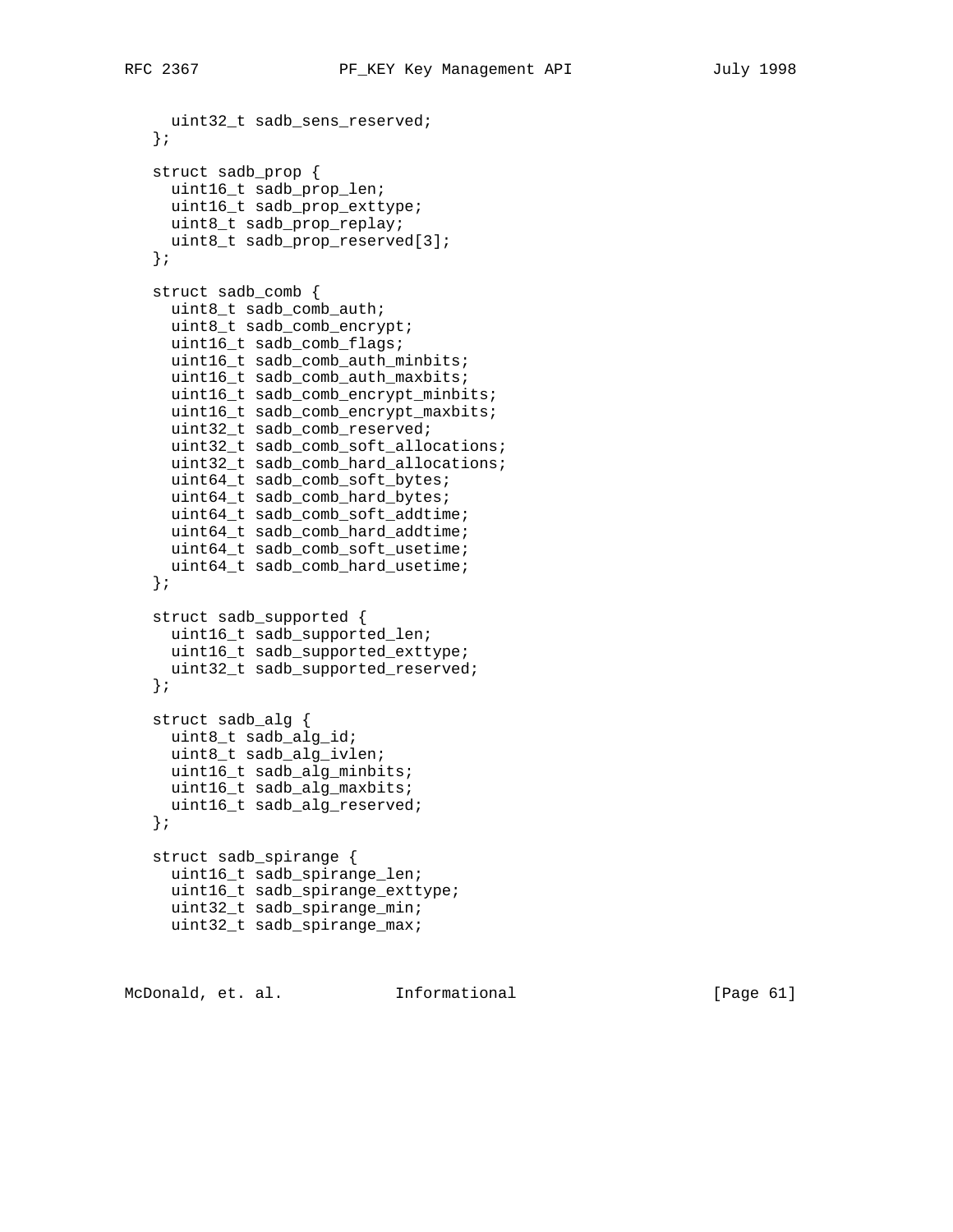```
 uint32_t sadb_sens_reserved;
 };
 struct sadb_prop {
  uint16_t sadb_prop_len;
  uint16_t sadb_prop_exttype;
  uint8_t sadb_prop_replay;
  uint8_t sadb_prop_reserved[3];
 };
 struct sadb_comb {
  uint8_t sadb_comb_auth;
  uint8_t sadb_comb_encrypt;
   uint16_t sadb_comb_flags;
   uint16_t sadb_comb_auth_minbits;
  uint16_t sadb_comb_auth_maxbits;
  uint16_t sadb_comb_encrypt_minbits;
  uint16_t sadb_comb_encrypt_maxbits;
  uint32_t sadb_comb_reserved;
  uint32_t sadb_comb_soft_allocations;
  uint32_t sadb_comb_hard_allocations;
  uint64_t sadb_comb_soft_bytes;
  uint64_t sadb_comb_hard_bytes;
  uint64_t sadb_comb_soft_addtime;
  uint64_t sadb_comb_hard_addtime;
   uint64_t sadb_comb_soft_usetime;
  uint64_t sadb_comb_hard_usetime;
 };
 struct sadb_supported {
  uint16_t sadb_supported_len;
  uint16_t sadb_supported_exttype;
  uint32_t sadb_supported_reserved;
 };
 struct sadb_alg {
  uint8_t sadb_alg_id;
  uint8_t sadb_alg_ivlen;
  uint16_t sadb_alg_minbits;
  uint16_t sadb_alg_maxbits;
  uint16_t sadb_alg_reserved;
 };
 struct sadb_spirange {
  uint16_t sadb_spirange_len;
  uint16_t sadb_spirange_exttype;
  uint32_t sadb_spirange_min;
  uint32_t sadb_spirange_max;
```
McDonald, et. al. Informational [Paqe 61]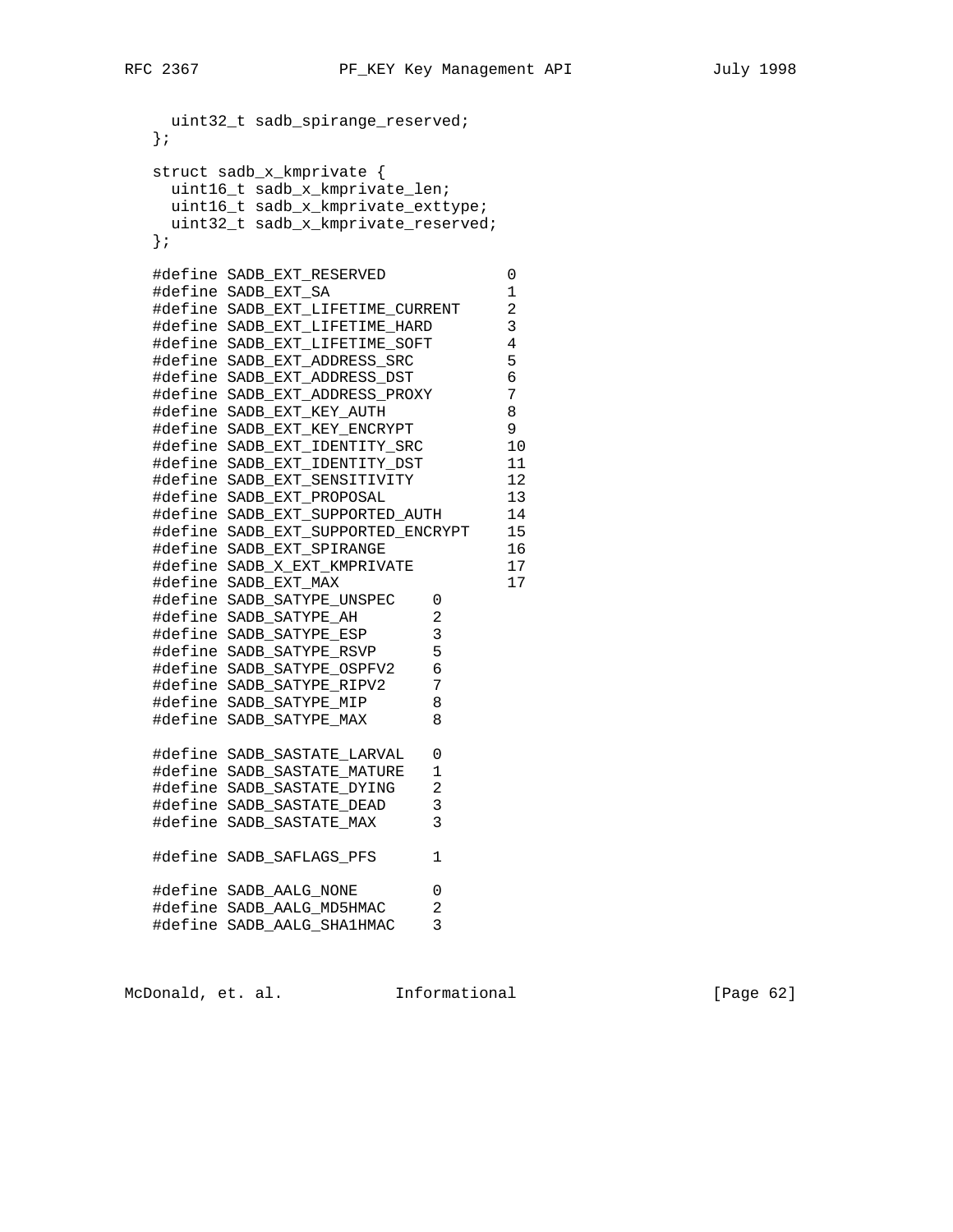```
 uint32_t sadb_spirange_reserved;
   };
   struct sadb_x_kmprivate {
    uint16_t sadb_x_kmprivate_len;
    uint16_t sadb_x_kmprivate_exttype;
    uint32_t sadb_x_kmprivate_reserved;
   };
  #define SADB EXT RESERVED 0
 #define SADB_EXT_SA 1
 #define SADB_EXT_LIFETIME_CURRENT 2
 #define SADB_EXT_LIFETIME_HARD 3
 #define SADB_EXT_LIFETIME_SOFT 4
   #define SADB_EXT_ADDRESS_SRC 5
 #define SADB_EXT_ADDRESS_DST 6
 #define SADB_EXT_ADDRESS_PROXY 7
 #define SADB_EXT_KEY_AUTH 8
 #define SADB_EXT_KEY_ENCRYPT 9
 #define SADB_EXT_IDENTITY_SRC 10
 #define SADB_EXT_IDENTITY_DST 11
 #define SADB_EXT_SENSITIVITY 12
 #define SADB_EXT_PROPOSAL 13
 #define SADB_EXT_SUPPORTED_AUTH 14
 #define SADB_EXT_SUPPORTED_ENCRYPT 15
 #define SADB_EXT_SPIRANGE 16
 #define SADB_X_EXT_KMPRIVATE 17
 #define SADB_EXT_MAX 17
 #define SADB_SATYPE_UNSPEC 0
   #define SADB_SATYPE_AH 2
 #define SADB_SATYPE_ESP 3
 #define SADB_SATYPE_RSVP 5
 #define SADB_SATYPE_OSPFV2 6
 #define SADB_SATYPE_RIPV2 7
   #define SADB_SATYPE_MIP 8
   #define SADB_SATYPE_MAX 8
   #define SADB_SASTATE_LARVAL 0
   #define SADB_SASTATE_MATURE 1
   #define SADB_SASTATE_DYING 2
   #define SADB_SASTATE_DEAD 3
   #define SADB_SASTATE_MAX 3
   #define SADB_SAFLAGS_PFS 1
 #define SADB_AALG_NONE 0
 #define SADB_AALG_MD5HMAC 2
   #define SADB_AALG_SHA1HMAC 3
```
McDonald, et. al. 1nformational 1999 [Page 62]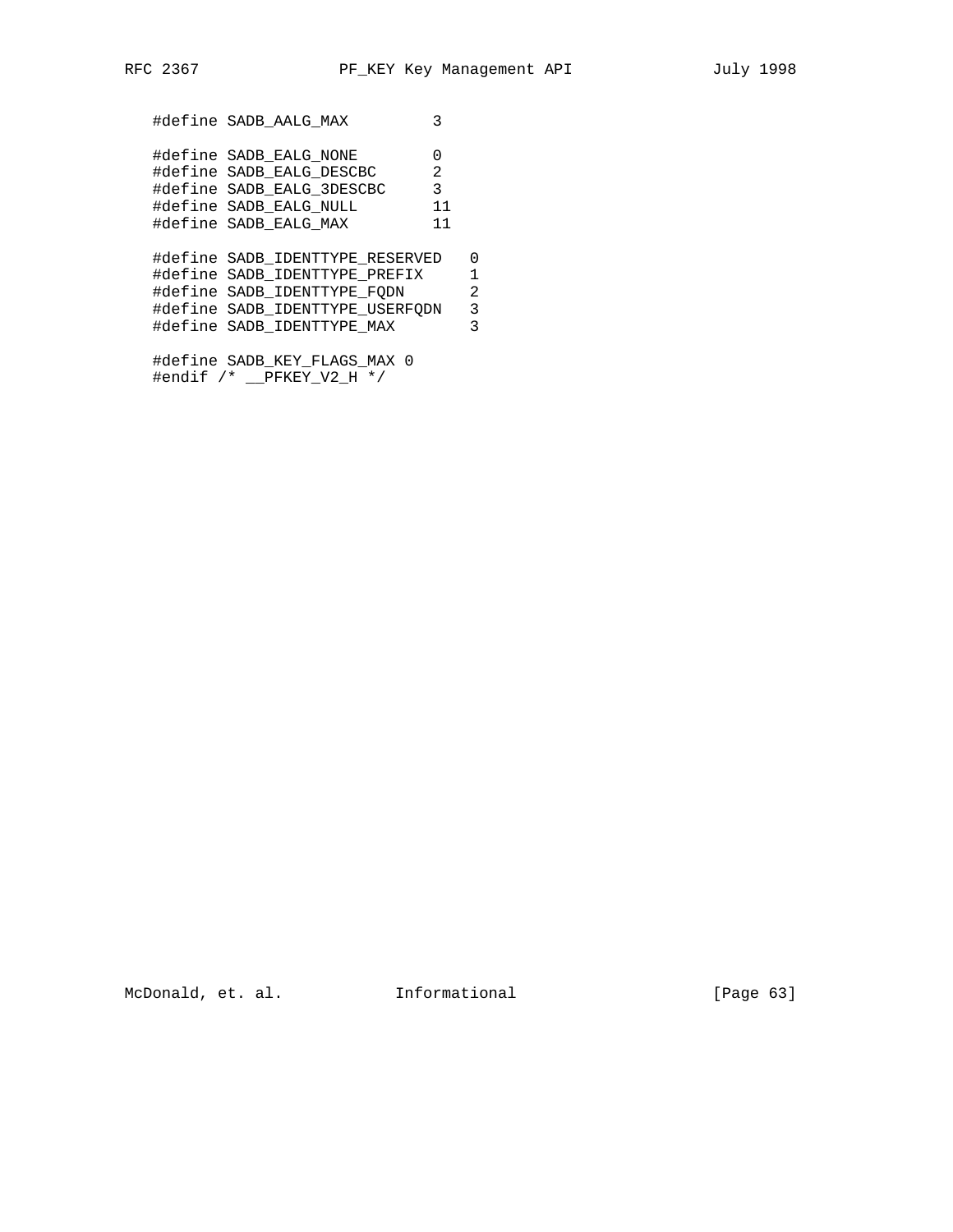#define SADB\_AALG\_MAX 3 #define SADB\_EALG\_NONE 0 #define SADB\_EALG\_DESCBC 2 #define SADB\_EALG\_3DESCBC 3 #define SADB\_EALG\_NULL 11 #define SADB\_EALG\_MAX 11 #define SADB\_IDENTTYPE\_RESERVED 0 #define SADB\_IDENTTYPE\_PREFIX 1 #define SADB\_IDENTTYPE\_FQDN 2 #define SADB\_IDENTTYPE\_USERFQDN 3<br>#define SADB\_IDENTTYPE\_MAX 3 #define SADB\_IDENTTYPE\_MAX 3 #define SADB\_KEY\_FLAGS\_MAX 0 #endif /\* \_\_PFKEY\_V2\_H \*/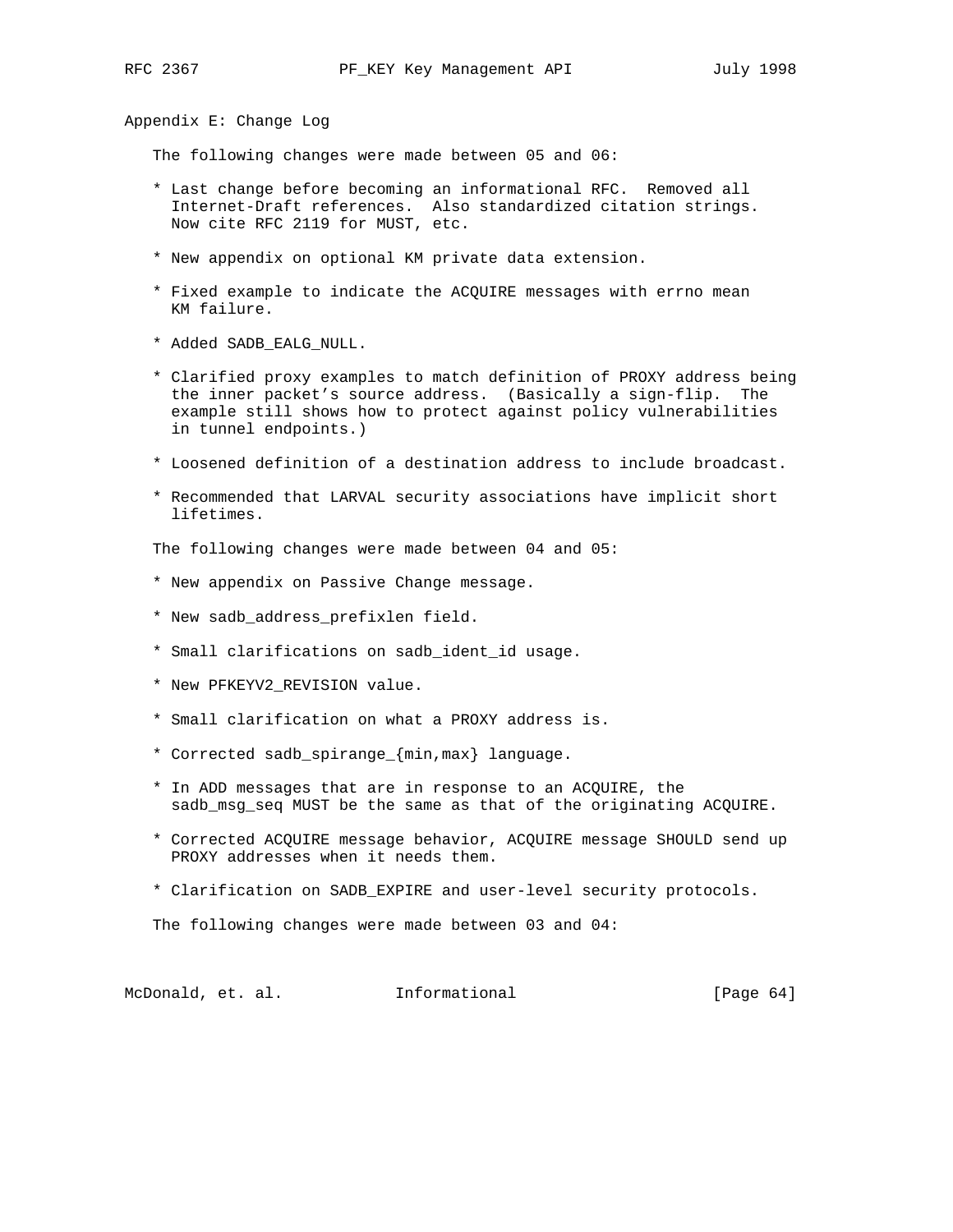Appendix E: Change Log

The following changes were made between 05 and 06:

- \* Last change before becoming an informational RFC. Removed all Internet-Draft references. Also standardized citation strings. Now cite RFC 2119 for MUST, etc.
- \* New appendix on optional KM private data extension.
- \* Fixed example to indicate the ACQUIRE messages with errno mean KM failure.
- \* Added SADB\_EALG\_NULL.
- \* Clarified proxy examples to match definition of PROXY address being the inner packet's source address. (Basically a sign-flip. The example still shows how to protect against policy vulnerabilities in tunnel endpoints.)
- \* Loosened definition of a destination address to include broadcast.
- \* Recommended that LARVAL security associations have implicit short lifetimes.

The following changes were made between 04 and 05:

- \* New appendix on Passive Change message.
- \* New sadb\_address\_prefixlen field.
- \* Small clarifications on sadb\_ident\_id usage.
- \* New PFKEYV2\_REVISION value.
- \* Small clarification on what a PROXY address is.
- \* Corrected sadb\_spirange\_{min,max} language.
- \* In ADD messages that are in response to an ACQUIRE, the sadb\_msg\_seq MUST be the same as that of the originating ACQUIRE.
- \* Corrected ACQUIRE message behavior, ACQUIRE message SHOULD send up PROXY addresses when it needs them.
- \* Clarification on SADB\_EXPIRE and user-level security protocols.

The following changes were made between 03 and 04:

McDonald, et. al. Informational [Page 64]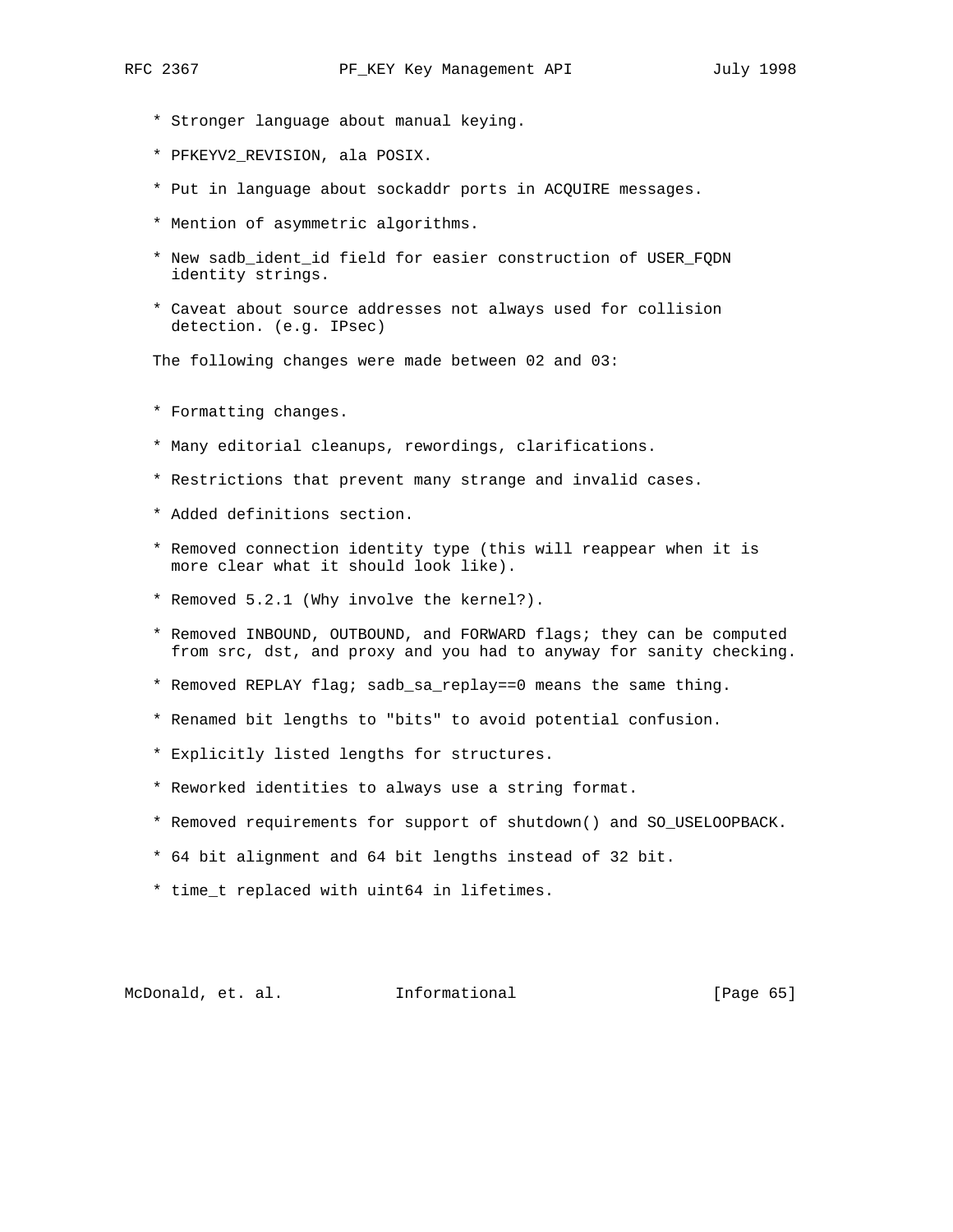- \* Stronger language about manual keying.
- \* PFKEYV2\_REVISION, ala POSIX.
- \* Put in language about sockaddr ports in ACQUIRE messages.
- \* Mention of asymmetric algorithms.
- \* New sadb\_ident\_id field for easier construction of USER\_FQDN identity strings.
- \* Caveat about source addresses not always used for collision detection. (e.g. IPsec)

The following changes were made between 02 and 03:

- \* Formatting changes.
- \* Many editorial cleanups, rewordings, clarifications.
- \* Restrictions that prevent many strange and invalid cases.
- \* Added definitions section.
- \* Removed connection identity type (this will reappear when it is more clear what it should look like).
- \* Removed 5.2.1 (Why involve the kernel?).
- \* Removed INBOUND, OUTBOUND, and FORWARD flags; they can be computed from src, dst, and proxy and you had to anyway for sanity checking.
- \* Removed REPLAY flag; sadb\_sa\_replay==0 means the same thing.
- \* Renamed bit lengths to "bits" to avoid potential confusion.
- \* Explicitly listed lengths for structures.
- \* Reworked identities to always use a string format.
- \* Removed requirements for support of shutdown() and SO\_USELOOPBACK.
- \* 64 bit alignment and 64 bit lengths instead of 32 bit.
- \* time\_t replaced with uint64 in lifetimes.

McDonald, et. al. Informational [Page 65]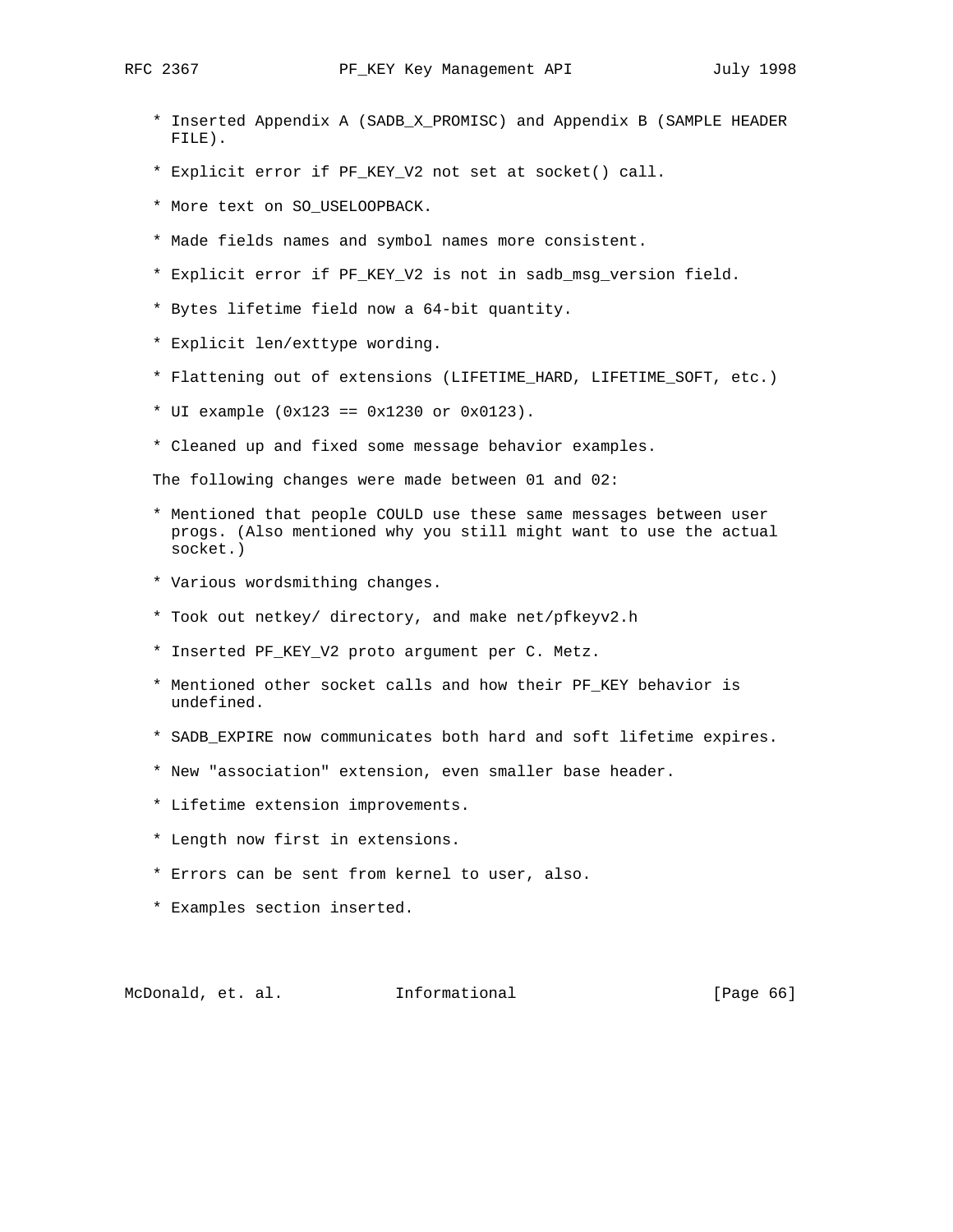- \* Inserted Appendix A (SADB\_X\_PROMISC) and Appendix B (SAMPLE HEADER FILE).
- \* Explicit error if PF\_KEY\_V2 not set at socket() call.
- \* More text on SO\_USELOOPBACK.
- \* Made fields names and symbol names more consistent.
- \* Explicit error if PF\_KEY\_V2 is not in sadb\_msg\_version field.
- \* Bytes lifetime field now a 64-bit quantity.
- \* Explicit len/exttype wording.
- \* Flattening out of extensions (LIFETIME\_HARD, LIFETIME\_SOFT, etc.)
- \* UI example (0x123 == 0x1230 or 0x0123).
- \* Cleaned up and fixed some message behavior examples.

The following changes were made between 01 and 02:

- \* Mentioned that people COULD use these same messages between user progs. (Also mentioned why you still might want to use the actual socket.)
- \* Various wordsmithing changes.
- \* Took out netkey/ directory, and make net/pfkeyv2.h
- \* Inserted PF\_KEY\_V2 proto argument per C. Metz.
- \* Mentioned other socket calls and how their PF\_KEY behavior is undefined.
- \* SADB\_EXPIRE now communicates both hard and soft lifetime expires.
- \* New "association" extension, even smaller base header.
- \* Lifetime extension improvements.
- \* Length now first in extensions.
- \* Errors can be sent from kernel to user, also.
- \* Examples section inserted.

McDonald, et. al. 1nformational 1999 [Page 66]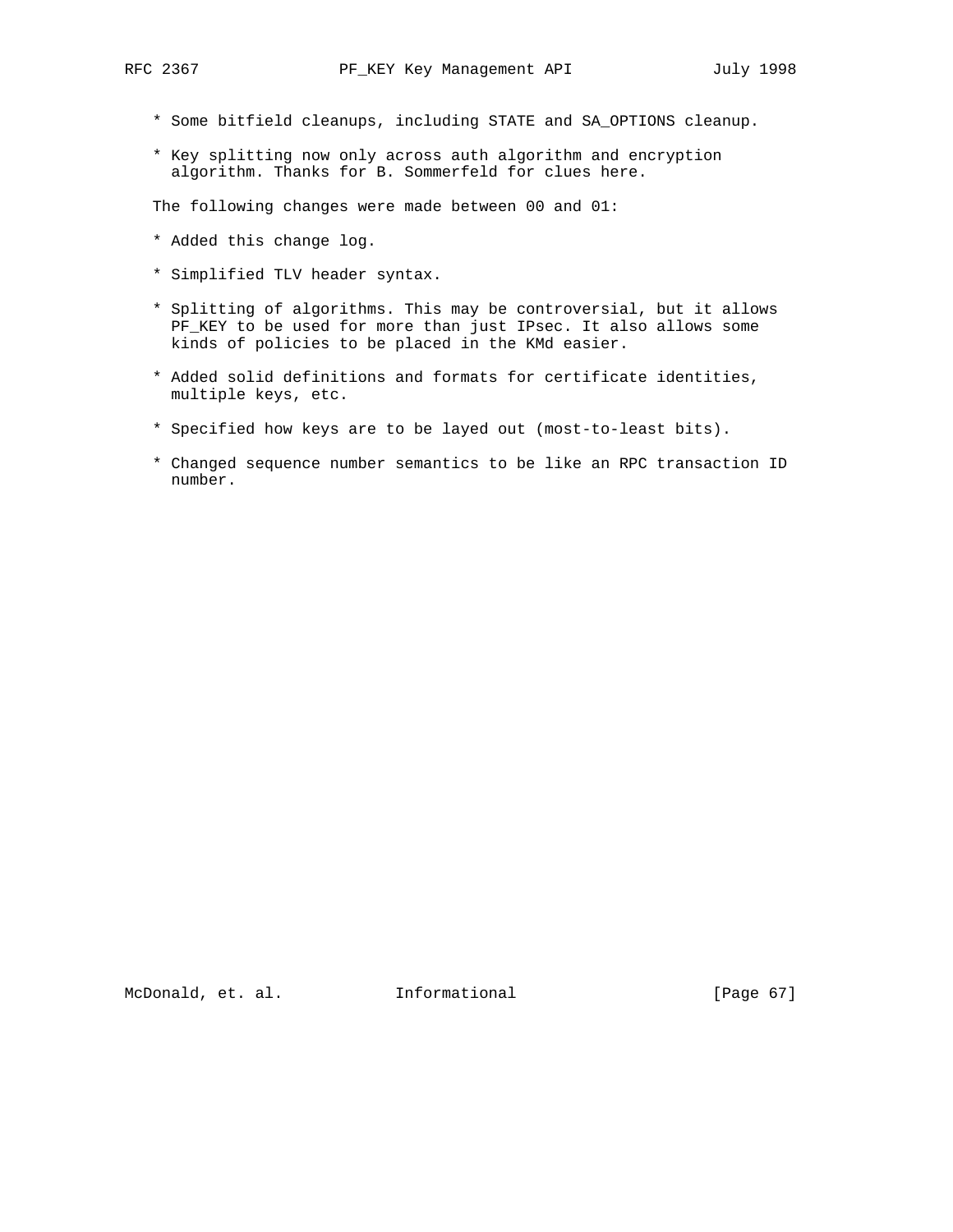- \* Some bitfield cleanups, including STATE and SA\_OPTIONS cleanup.
- \* Key splitting now only across auth algorithm and encryption algorithm. Thanks for B. Sommerfeld for clues here.

The following changes were made between 00 and 01:

- \* Added this change log.
- \* Simplified TLV header syntax.
- \* Splitting of algorithms. This may be controversial, but it allows PF\_KEY to be used for more than just IPsec. It also allows some kinds of policies to be placed in the KMd easier.
- \* Added solid definitions and formats for certificate identities, multiple keys, etc.
- \* Specified how keys are to be layed out (most-to-least bits).
- \* Changed sequence number semantics to be like an RPC transaction ID number.